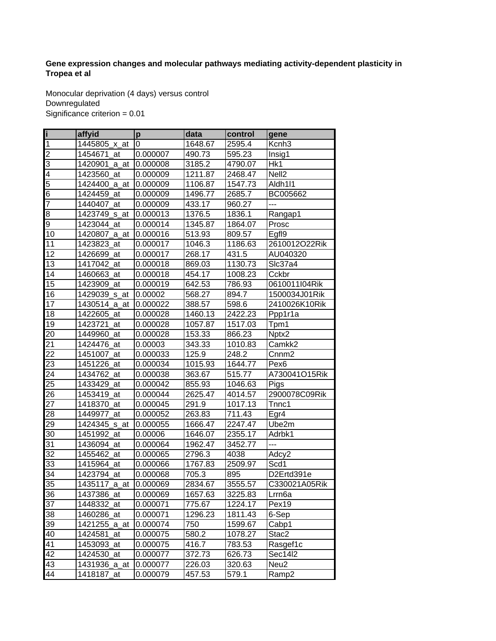## **Gene expression changes and molecular pathways mediating activity-dependent plasticity in Tropea et al**

Monocular deprivation (4 days) versus control **Downregulated** Significance criterion = 0.01

| ſ                       | affyid                   | $\mathbf{p}$ | data    | control | gene               |
|-------------------------|--------------------------|--------------|---------|---------|--------------------|
| $\overline{\mathbf{1}}$ | 1445805<br>x at          | 0            | 1648.67 | 2595.4  | Kcnh <sub>3</sub>  |
| $\overline{c}$          | 1454671 at               | 0.000007     | 490.73  | 595.23  | Insig1             |
| 3                       | 1420901<br>a_at          | 0.000008     | 3185.2  | 4790.07 | Hk1                |
| $\overline{4}$          | 1423560_at               | 0.000009     | 1211.87 | 2468.47 | Nell <sub>2</sub>  |
| 5                       | 1424400_a_at             | 0.000009     | 1106.87 | 1547.73 | Aldh1l1            |
| 6                       | 1424459_at               | 0.000009     | 1496.77 | 2685.7  | BC005662           |
| $\overline{7}$          | 1440407<br>at            | 0.000009     | 433.17  | 960.27  | ---                |
| 8                       | 1423749 <sub>_S_at</sub> | 0.000013     | 1376.5  | 1836.1  | Rangap1            |
| 9                       | 1423044_at               | 0.000014     | 1345.87 | 1864.07 | Prosc              |
| 10                      | 1420807_a_at             | 0.000016     | 513.93  | 809.57  | Egfl9              |
| 11                      | 1423823<br>at            | 0.000017     | 1046.3  | 1186.63 | 2610012O22Rik      |
| 12                      | 1426699<br>_at           | 0.000017     | 268.17  | 431.5   | AU040320           |
| 13                      | 1417042<br>at            | 0.000018     | 869.03  | 1130.73 | Slc37a4            |
| 14                      | 1460663<br>_at           | 0.000018     | 454.17  | 1008.23 | Cckbr              |
| 15                      | 1423909<br>at            | 0.000019     | 642.53  | 786.93  | 0610011I04Rik      |
| 16                      | 1429039_s_at             | 0.00002      | 568.27  | 894.7   | 1500034J01Rik      |
| 17                      | 1430514_a_at             | 0.000022     | 388.57  | 598.6   | 2410026K10Rik      |
| 18                      | 1422605_at               | 0.000028     | 1460.13 | 2422.23 | Ppp1r1a            |
| 19                      | 1423721<br>at            | 0.000028     | 1057.87 | 1517.03 | Tpm1               |
| $\overline{20}$         | 1449960<br>_at           | 0.000028     | 153.33  | 866.23  | Nptx2              |
| $\overline{21}$         | 1424476 at               | 0.00003      | 343.33  | 1010.83 | Camkk2             |
| $\overline{22}$         | 1451007<br>at            | 0.000033     | 125.9   | 248.2   | Cnnm <sub>2</sub>  |
| $\overline{23}$         | 1451226 at               | 0.000034     | 1015.93 | 1644.77 | Pex <sub>6</sub>   |
| 24                      | 1434762<br>at            | 0.000038     | 363.67  | 515.77  | A730041O15Rik      |
| $\overline{25}$         | 1433429 at               | 0.000042     | 855.93  | 1046.63 | Pigs               |
| 26                      | 1453419_at               | 0.000044     | 2625.47 | 4014.57 | 2900078C09Rik      |
| 27                      | 1418370_at               | 0.000045     | 291.9   | 1017.13 | Tnnc1              |
| $\overline{28}$         | 1449977<br>at            | 0.000052     | 263.83  | 711.43  | Egr4               |
| 29                      | 1424345<br><u>_s_at</u>  | 0.000055     | 1666.47 | 2247.47 | Ube2m              |
| 30                      | 1451992<br>at            | 0.00006      | 1646.07 | 2355.17 | Adrbk1             |
| 31                      | 1436094_at               | 0.000064     | 1962.47 | 3452.77 | ---                |
| 32                      | 1455462<br>at            | 0.000065     | 2796.3  | 4038    | Adcy2              |
| 33                      | 1415964_at               | 0.000066     | 1767.83 | 2509.97 | Scd1               |
| 34                      | 1423794 at               | 0.000068     | 705.3   | 895     | D2Ertd391e         |
| 35                      | 1435117 a at             | 0.000069     | 2834.67 | 3555.57 | C330021A05Rik      |
| 36                      | 1437386_at               | 0.000069     | 1657.63 | 3225.83 | Lrrn <sub>6a</sub> |
| $\overline{37}$         | 1448332_at               | 0.000071     | 775.67  | 1224.17 | Pex19              |
| 38                      | 1460286_at               | 0.000071     | 1296.23 | 1811.43 | 6-Sep              |
| $\overline{3}9$         | 1421255_a_at             | 0.000074     | 750     | 1599.67 | Cabp1              |
| 40                      | 1424581<br>at            | 0.000075     | 580.2   | 1078.27 | Stac2              |
| 41                      | 1453093_at               | 0.000075     | 416.7   | 783.53  | Rasgef1c           |
| 42                      | 1424530 at               | 0.000077     | 372.73  | 626.73  | Sec14l2            |
| 43                      | 1431936_a_at             | 0.000077     | 226.03  | 320.63  | Neu <sub>2</sub>   |
| 44                      | 1418187 at               | 0.000079     | 457.53  | 579.1   | Ramp2              |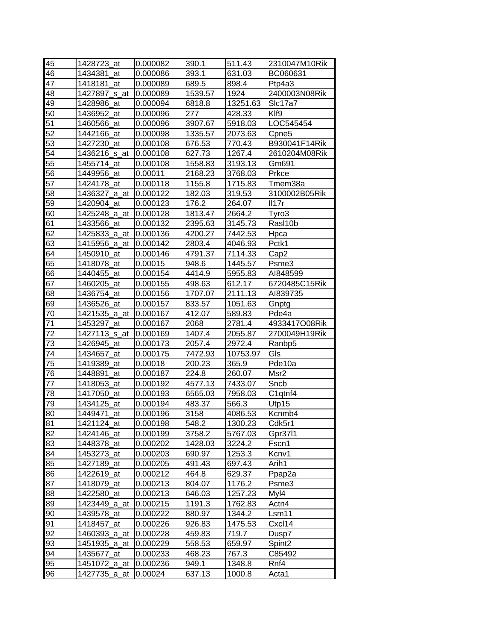| 45              | 1428723_at    | 0.000082 | 390.1            | 511.43   | 2310047M10Rik      |
|-----------------|---------------|----------|------------------|----------|--------------------|
| 46              | 1434381 at    | 0.000086 | 393.1            | 631.03   | BC060631           |
| 47              | 1418181_at    | 0.000089 | 689.5            | 898.4    | Ptp4a3             |
| $4\overline{8}$ | 1427897_s_at  | 0.000089 | 1539.57          | 1924     | 2400003N08Rik      |
| 49              | 1428986_at    | 0.000094 | 6818.8           | 13251.63 | Sic17a7            |
| 50              | 1436952_at    | 0.000096 | $\overline{2}77$ | 428.33   | KIf9               |
| $\overline{51}$ | 1460566_at    | 0.000096 | 3907.67          | 5918.03  | LOC545454          |
| 52              | 1442166_at    | 0.000098 | 1335.57          | 2073.63  | Cpne <sub>5</sub>  |
| 53              | 1427230 at    | 0.000108 | 676.53           | 770.43   | B930041F14Rik      |
| 54              | 1436216_s_at  | 0.000108 | 627.73           | 1267.4   | 2610204M08Rik      |
| 55              | 1455714_at    | 0.000108 | 1558.83          | 3193.13  | Gm691              |
| 56              | 1449956_at    | 0.00011  | 2168.23          | 3768.03  | Prkce              |
| $\overline{57}$ | 1424178_at    | 0.000118 | 1155.8           | 1715.83  | Tmem38a            |
| 58              | 1436327_a_at  | 0.000122 | 182.03           | 319.53   | 3100002B05Rik      |
| 59              | 1420904_at    | 0.000123 | 176.2            | 264.07   | II17r              |
| 60              | 1425248_a_at  | 0.000128 | 1813.47          | 2664.2   | Tyro3              |
| $\overline{61}$ | 1433566_at    | 0.000132 | 2395.63          | 3145.73  | Rasl10b            |
| 62              | 1425833_a_at  | 0.000136 | 4200.27          | 7442.53  | Hpca               |
| 63              | 1415956 a at  | 0.000142 | 2803.4           | 4046.93  | Pctk1              |
| 64              | 1450910_at    | 0.000146 | 4791.37          | 7114.33  | Cap <sub>2</sub>   |
| 65              | 1418078_at    | 0.00015  | 948.6            | 1445.57  | Psme3              |
| 66              | 1440455_at    | 0.000154 | 4414.9           | 5955.83  | AI848599           |
| 67              | 1460205_at    | 0.000155 | 498.63           | 612.17   | 6720485C15Rik      |
| 68              | 1436754_at    | 0.000156 | 1707.07          | 2111.13  | AI839735           |
| 69              | 1436526_at    | 0.000157 | 833.57           | 1051.63  | Gnptg              |
| 70              | 1421535_a_at  | 0.000167 | 412.07           | 589.83   | Pde4a              |
| 71              | 1453297 at    | 0.000167 | 2068             | 2781.4   | 4933417O08Rik      |
| 72              | 1427113_s_at  | 0.000169 | 1407.4           | 2055.87  | 2700049H19Rik      |
| $\overline{73}$ | 1426945<br>at | 0.000173 | 2057.4           | 2972.4   | Ranbp5             |
| 74              | 1434657_at    | 0.000175 | 7472.93          | 10753.97 | Gls                |
| 75              | 1419389<br>at | 0.00018  | 200.23           | 365.9    | Pde10a             |
| 76              | 1448891<br>at | 0.000187 | 224.8            | 260.07   | Msr2               |
| 77              | 1418053_at    | 0.000192 | 4577.13          | 7433.07  | Sncb               |
| 78              | 1417050<br>at | 0.000193 | 6565.03          | 7958.03  | C1qtnf4            |
| 79              | 1434125_at    | 0.000194 | 483.37           | 566.3    | Utp15              |
| 80              | 1449471 at    | 0.000196 | 3158             | 4086.53  | Kcnmb4             |
| 81              | 1421124 at    | 0.000198 | 548.2            | 1300.23  |                    |
|                 |               |          |                  |          | Cdk5r1             |
| 82              | 1424146_at    | 0.000199 | 3758.2           | 5767.03  | Gpr3711            |
| 83              | 1448378_at    | 0.000202 | 1428.03          | 3224.2   | Fscn1              |
| 84              | 1453273_at    | 0.000203 | 690.97           | 1253.3   | Kcnv1              |
| 85              | 1427189_at    | 0.000205 | 491.43           | 697.43   | Arih1              |
| 86              | 1422619_at    | 0.000212 | 464.8            | 629.37   | Ppap2a             |
| 87              | 1418079_at    | 0.000213 | 804.07           | 1176.2   | Psme3              |
| 88              | 1422580_at    | 0.000213 | 646.03           | 1257.23  | Myl4               |
| 89              | 1423449_a_at  | 0.000215 | 1191.3           | 1762.83  | Actn4              |
| 90              | 1439578_at    | 0.000222 | 880.97           | 1344.2   | Lsm11              |
| 91              | 1418457_at    | 0.000226 | 926.83           | 1475.53  | Cxcl14             |
| 92              | 1460393_a_at  | 0.000228 | 459.83           | 719.7    | Dusp7              |
| 93              | 1451935_a_at  | 0.000229 | 558.53           | 659.97   | Spint <sub>2</sub> |
| 94              | 1435677_at    | 0.000233 | 468.23           | 767.3    | C85492             |
| 95              | 1451072_a_at  | 0.000236 | 949.1            | 1348.8   | Rnf4               |
| 96              | 1427735_a_at  | 0.00024  | 637.13           | 1000.8   | Acta1              |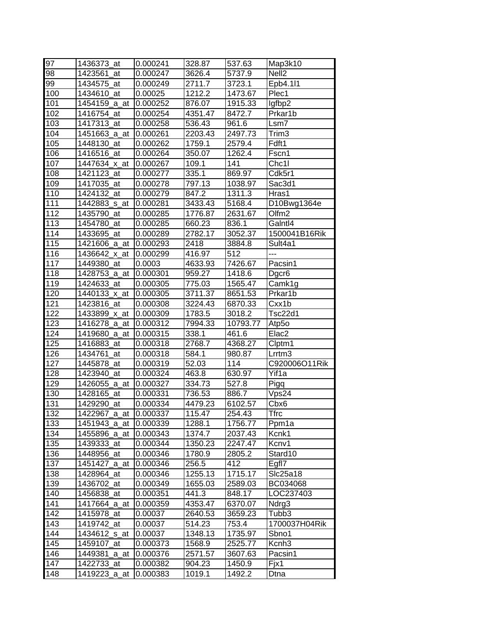| 97         | 1436373_at                 | 0.000241             | 328.87           | 537.63           | Map3k10           |
|------------|----------------------------|----------------------|------------------|------------------|-------------------|
| 98         | 1423561<br>at              | 0.000247             | 3626.4           | 5737.9           | Nell <sub>2</sub> |
| 99         | 1434575_at                 | 0.000249             | 2711.7           | 3723.1           | Epb4.111          |
| 100        | 1434610_at                 | 0.00025              | 1212.2           | 1473.67          | Plec1             |
| 101        | 1454159_a_at               | 0.000252             | 876.07           | 1915.33          | lgfbp2            |
| 102        | 1416754_at                 | 0.000254             | 4351.47          | 8472.7           | Prkar1b           |
| 103        | 1417313_at                 | 0.000258             | 536.43           | 961.6            | Lsm7              |
| 104        | 1451663_a_at               | 0.000261             | 2203.43          | 2497.73          | Trim3             |
| 105        | 1448130_at                 | 0.000262             | 1759.1           | 2579.4           | Fdft1             |
| 106        | 1416516 at                 | 0.000264             | 350.07           | 1262.4           | Fscn1             |
| 107        | 1447634_x_at               | 0.000267             | 109.1            | 141              | Chc1l             |
| 108        | 1421123_at                 | 0.000277             | 335.1            | 869.97           | Cdk5r1            |
| 109        | 1417035<br>at              | 0.000278             | 797.13           | 1038.97          | Sac3d1            |
| 110        | 1424132_at                 | 0.000279             | 847.2            | 1311.3           | Hras1             |
| 111        | 1442883_s_at               | 0.000281             | 3433.43          | 5168.4           | D10Bwg1364e       |
| 112        | 1435790<br>at              | 0.000285             | 1776.87          | 2631.67          | Olfm <sub>2</sub> |
| 113        | 1454780_at                 | 0.000285             | 660.23           | 836.1            | Galntl4           |
| 114        | 1433695 at                 | 0.000289             | 2782.17          | 3052.37          | 1500041B16Rik     |
| 115        | 1421606_a_at               | 0.000293             | 2418             | 3884.8           | Sult4a1           |
| 116        | 1436642 x at               | 0.000299             | 416.97           | 512              | ---               |
| 117        | 1449380_at                 | 0.0003               | 4633.93          | 7426.67          | Pacsin1           |
| 118        | 1428753_a_at               | 0.000301             | 959.27           | 1418.6           | Dgcr <sub>6</sub> |
| 119        | 1424633 at                 | 0.000305             | 775.03           | 1565.47          | Camk1g            |
| 120        | 1440133_x_at               | 0.000305             | 3711.37          | 8651.53          | Prkar1b           |
| 121        | 1423816 at                 | 0.000308             | 3224.43          | 6870.33          | Cxx1b             |
| 122        | 1433899_x_at               | 0.000309             | 1783.5           | 3018.2           | <b>Tsc22d1</b>    |
| 123        | 1416278_a_at               | 0.000312             | 7994.33          | 10793.77         | Atp5o             |
| 124        | 1419680_a_at               | 0.000315             | 338.1            | 461.6            | Elac <sub>2</sub> |
|            |                            |                      |                  |                  |                   |
|            |                            |                      |                  |                  |                   |
| 125        | 1416883<br>at              | 0.000318             | 2768.7           | 4368.27          | Clptm1            |
| 126        | 1434761<br>_at             | 0.000318             | 584.1            | 980.87           | Lrrtm3            |
| 127        | 1445878<br>at              | 0.000319             | 52.03            | 114              | C920006O11Rik     |
| 128        | 1423940<br>at              | 0.000324             | 463.8            | 630.97           | Yif1a             |
| 129        | 1426055_a_at               | 0.000327             | 334.73           | 527.8            | Pigq              |
| 130        | 1428165_at                 | 0.000331             | 736.53           | 886.7            | Vps24             |
| 131        | 1429290_at                 | 0.000334             | 4479.23          | 6102.57          | Cbx6              |
| 132        | 1422967_a_at               | 0.000337             | 115.47           | 254.43           | <b>Tfrc</b>       |
| 133        | 1451943_a_at 0.000339      |                      | 1288.1           | 1756.77          | Ppm1a             |
| 134        | 1455896_a_at               | 0.000343             | 1374.7           | 2037.43          | Kcnk1             |
| 135        | 1439333_at                 | 0.000344             | 1350.23          | 2247.47          | Kcnv1             |
| 136        | 1448956_at                 | 0.000346             | 1780.9           | 2805.2           | Stard10           |
| 137        | 1451427_a_at               | 0.000346             | 256.5            | 412              | Egfl7             |
| 138        | 1428964_at                 | 0.000346             | 1255.13          | 1715.17          | Slc25a18          |
| 139        | 1436702_at                 | 0.000349             | 1655.03          | 2589.03          | BC034068          |
| 140        | 1456838_at                 | 0.000351             | 441.3            | 848.17           | LOC237403         |
| 141        | 1417664_a_at               | 0.000359             | 4353.47          | 6370.07          | Ndrg3             |
| 142        | 1415978_at                 | 0.00037              | 2640.53          | 3659.23          | Tubb3             |
| 143        | 1419742_at                 | 0.00037              | 514.23           | 753.4            | 1700037H04Rik     |
| 144        | 1434612_s_at               | 0.00037              | 1348.13          | 1735.97          | Sbno1             |
| 145        | 1459107_at                 | 0.000373             | 1568.9           | 2525.77          | Kcnh <sub>3</sub> |
| 146        | 1449381<br>_a_at           | 0.000376             | 2571.57          | 3607.63          | Pacsin1           |
| 147<br>148 | 1422733_at<br>1419223_a_at | 0.000382<br>0.000383 | 904.23<br>1019.1 | 1450.9<br>1492.2 | Fjx1<br>Dtna      |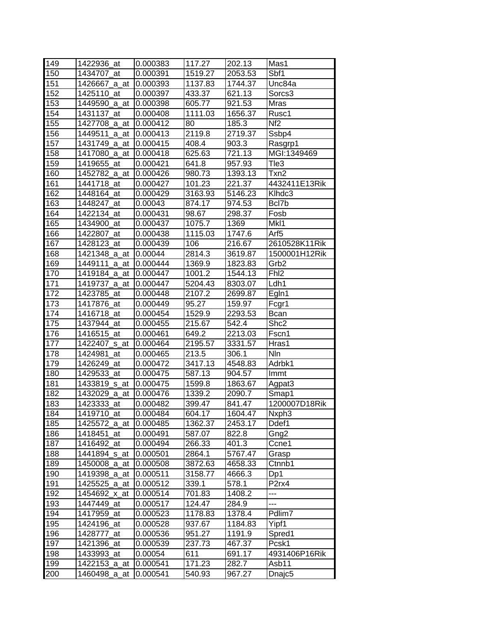| 149 | 1422936_at            | 0.000383 | 117.27  | 202.13  | Mas1               |
|-----|-----------------------|----------|---------|---------|--------------------|
| 150 | 1434707 at            | 0.000391 | 1519.27 | 2053.53 | Sbf1               |
| 151 | 1426667 a at          | 0.000393 | 1137.83 | 1744.37 | Unc84a             |
| 152 | 1425110_at            | 0.000397 | 433.37  | 621.13  | Sorcs3             |
| 153 | 1449590_a_at          | 0.000398 | 605.77  | 921.53  | Mras               |
| 154 | 1431137 at            | 0.000408 | 1111.03 | 1656.37 | Rusc1              |
| 155 | 1427708_a_at          | 0.000412 | 80      | 185.3   | Nf <sub>2</sub>    |
| 156 | 1449511_a_at          | 0.000413 | 2119.8  | 2719.37 | Ssbp4              |
| 157 | 1431749_a_at          | 0.000415 | 408.4   | 903.3   | Rasgrp1            |
| 158 | 1417080 a at          | 0.000418 | 625.63  | 721.13  | MGI:1349469        |
| 159 | 1419655_at            | 0.000421 | 641.8   | 957.93  | Tle3               |
| 160 | 1452782 a at          | 0.000426 | 980.73  | 1393.13 | Txn2               |
| 161 | 1441718_at            | 0.000427 | 101.23  | 221.37  | 4432411E13Rik      |
| 162 | 1448164_at            | 0.000429 | 3163.93 | 5146.23 | Klhdc3             |
| 163 | 1448247 at            | 0.00043  | 874.17  | 974.53  | Bcl7b              |
| 164 | 1422134_at            | 0.000431 | 98.67   | 298.37  | Fosb               |
| 165 | 1434900 at            | 0.000437 | 1075.7  | 1369    | MkI1               |
| 166 | 1422807_at            | 0.000438 | 1115.03 | 1747.6  | Arf5               |
| 167 | 1428123 at            | 0.000439 | 106     | 216.67  | 2610528K11Rik      |
| 168 | 1421348_a_at          | 0.00044  | 2814.3  | 3619.87 | 1500001H12Rik      |
| 169 | 1449111<br>a at       | 0.000444 | 1369.9  | 1823.83 | Grb <sub>2</sub>   |
| 170 | 1419184_a_at          | 0.000447 | 1001.2  | 1544.13 | Fh <sub>12</sub>   |
| 171 | 1419737_a_at          | 0.000447 | 5204.43 | 8303.07 | Ldh1               |
| 172 | 1423785_at            | 0.000448 | 2107.2  | 2699.87 | Egln1              |
| 173 | 1417876 at            | 0.000449 | 95.27   | 159.97  | Fcgr1              |
| 174 | 1416718_at            | 0.000454 | 1529.9  | 2293.53 | Bcan               |
| 175 | 1437944 at            | 0.000455 | 215.67  | 542.4   | Shc2               |
| 176 | 1416515 at            | 0.000461 | 649.2   | 2213.03 | Fscn1              |
| 177 | 1422407_s_at          | 0.000464 | 2195.57 | 3331.57 | Hras1              |
| 178 | 1424981<br>at         | 0.000465 | 213.5   | 306.1   | Nln                |
| 179 | 1426249<br>at         | 0.000472 | 3417.13 | 4548.83 | Adrbk1             |
| 180 | 1429533 at            | 0.000475 | 587.13  | 904.57  | Immt               |
| 181 | 1433819_s_at          | 0.000475 | 1599.8  | 1863.67 | Agpat <sub>3</sub> |
| 182 | 1432029_a_at          | 0.000476 | 1339.2  | 2090.7  | Smap1              |
| 183 | 1423333_at            | 0.000482 | 399.47  | 841.47  | 1200007D18Rik      |
| 184 | 1419710_at            | 0.000484 | 604.17  | 1604.47 | Nxph <sub>3</sub>  |
| 185 | 1425572_a_at 0.000485 |          | 1362.37 | 2453.17 | Ddef1              |
| 186 | 1418451<br>at         | 0.000491 | 587.07  | 822.8   | Gng2               |
| 187 | 1416492_at            | 0.000494 | 266.33  | 401.3   | Ccne1              |
| 188 | 1441894_s_at          | 0.000501 | 2864.1  | 5767.47 | Grasp              |
| 189 | 1450008_a_at          | 0.000508 | 3872.63 | 4658.33 | Ctnnb1             |
| 190 | 1419398_a_at          | 0.000511 | 3158.77 | 4666.3  | Dp1                |
| 191 | 1425525_a_at          | 0.000512 | 339.1   | 578.1   | P <sub>2</sub> rx4 |
| 192 | 1454692 x at          | 0.000514 | 701.83  | 1408.2  | ---                |
| 193 | 1447449_at            | 0.000517 | 124.47  | 284.9   | ---                |
| 194 | 1417959_at            | 0.000523 | 1178.83 | 1378.4  | Pdlim7             |
| 195 | 1424196_at            | 0.000528 | 937.67  | 1184.83 | Yipf1              |
| 196 | 1428777<br>_at        | 0.000536 | 951.27  | 1191.9  | Spred1             |
| 197 | 1421396_at            | 0.000539 | 237.73  | 467.37  | Pcsk1              |
| 198 | 1433993_at            | 0.00054  | 611     | 691.17  | 4931406P16Rik      |
| 199 | 1422153_a_at          | 0.000541 | 171.23  | 282.7   | Asb11              |
| 200 | 1460498_a_at          | 0.000541 | 540.93  | 967.27  | Dnajc <sub>5</sub> |
|     |                       |          |         |         |                    |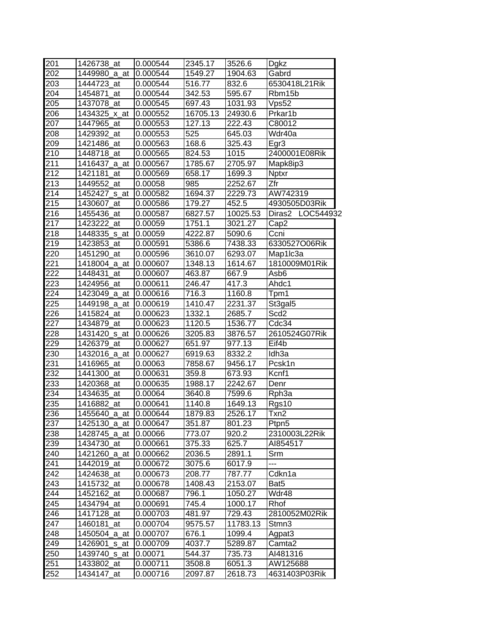| 201              | 1426738 at               | 0.000544 | 2345.17  | 3526.6   | <b>Dgkz</b>       |  |
|------------------|--------------------------|----------|----------|----------|-------------------|--|
| 202              | 1449980 a at             | 0.000544 | 1549.27  | 1904.63  | Gabrd             |  |
| 203              | 1444723 at               | 0.000544 | 516.77   | 832.6    | 6530418L21Rik     |  |
| 204              | 1454871_at               | 0.000544 | 342.53   | 595.67   | Rbm15b            |  |
| 205              | 1437078_at               | 0.000545 | 697.43   | 1031.93  | Vps52             |  |
| 206              | 1434325_x_at             | 0.000552 | 16705.13 | 24930.6  | Prkar1b           |  |
| $\overline{207}$ | 1447965_at               | 0.000553 | 127.13   | 222.43   | C80012            |  |
| 208              | 1429392_at               | 0.000553 | 525      | 645.03   | Wdr40a            |  |
| 209              | 1421486 at               | 0.000563 | 168.6    | 325.43   | Egr3              |  |
| 210              | 1448718_at               | 0.000565 | 824.53   | 1015     | 2400001E08Rik     |  |
| 211              | 1416437 a at             | 0.000567 | 1785.67  | 2705.97  | Mapk8ip3          |  |
| 212              | 1421181_at               | 0.000569 | 658.17   | 1699.3   | <b>Nptxr</b>      |  |
| 213              | 1449552 at               | 0.00058  | 985      | 2252.67  | Zfr               |  |
| 214              | 1452427 <sub>_S_at</sub> | 0.000582 | 1694.37  | 2229.73  | AW742319          |  |
| 215              | 1430607_at               | 0.000586 | 179.27   | 452.5    | 4930505D03Rik     |  |
| 216              | 1455436_at               | 0.000587 | 6827.57  | 10025.53 | Diras2 LOC544932  |  |
| 217              | 1423222 at               | 0.00059  | 1751.1   | 3021.27  | Cap2              |  |
| 218              | 1448335_s_at             | 0.00059  | 4222.87  | 5090.6   | Ccni              |  |
| 219              | 1423853_at               | 0.000591 | 5386.6   | 7438.33  | 6330527O06Rik     |  |
| 220              | 1451290_at               | 0.000596 | 3610.07  | 6293.07  | Map1lc3a          |  |
| 221              | 1418004_a_at             | 0.000607 | 1348.13  | 1614.67  | 1810009M01Rik     |  |
| 222              | 1448431_at               | 0.000607 | 463.87   | 667.9    | Asb6              |  |
| 223              | 1424956 at               | 0.000611 | 246.47   | 417.3    | Ahdc1             |  |
| 224              | 1423049_a_at 0.000616    |          | 716.3    | 1160.8   | Tpm1              |  |
| 225              | 1449198_a_at             | 0.000619 | 1410.47  | 2231.37  | St3gal5           |  |
| 226              | 1415824_at               | 0.000623 | 1332.1   | 2685.7   | Scd <sub>2</sub>  |  |
| 227              | 1434879 at               | 0.000623 | 1120.5   | 1536.77  | Cdc34             |  |
| 228              | 1431420_s_at             | 0.000626 | 3205.83  | 3876.57  | 2610524G07Rik     |  |
| 229              | 1426379_at               | 0.000627 | 651.97   | 977.13   | Eif4b             |  |
| 230              | 1432016_a_at             | 0.000627 | 6919.63  | 8332.2   | Idh <sub>3a</sub> |  |
| 231              | 1416965_at               | 0.00063  | 7858.67  | 9456.17  | Pcsk1n            |  |
| 232              | 1441300_at               | 0.000631 | 359.8    | 673.93   | Kcnf1             |  |
| 233              | 1420368_at               | 0.000635 | 1988.17  | 2242.67  | Denr              |  |
| 234              | 1434635_at               | 0.00064  | 3640.8   | 7599.6   |                   |  |
| 235              |                          |          |          |          | Rph <sub>3a</sub> |  |
|                  | 1416882_at               | 0.000641 | 1140.8   | 1649.13  | Rgs10             |  |
| 236              | 1455640_a_at             | 0.000644 | 1879.83  | 2526.17  | Txn2              |  |
| 237              | 1425130_a_at 0.000647    |          | 351.87   | 801.23   | Ptpn5             |  |
| 238              | 1428745_a_at             | 0.00066  | 773.07   | 920.2    | 2310003L22Rik     |  |
| 239              | 1434730 at               | 0.000661 | 375.33   | 625.7    | AI854517          |  |
| 240              | 1421260_a_at             | 0.000662 | 2036.5   | 2891.1   | Srm               |  |
| 241              | 1442019 at               | 0.000672 | 3075.6   | 6017.9   | $\overline{a}$    |  |
| 242              | 1424638_at               | 0.000673 | 208.77   | 787.77   | Cdkn1a            |  |
| 243              | 1415732_at               | 0.000678 | 1408.43  | 2153.07  | Bat <sub>5</sub>  |  |
| 244              | 1452162_at               | 0.000687 | 796.1    | 1050.27  | Wdr48             |  |
| 245              | 1434794_at               | 0.000691 | 745.4    | 1000.17  | Rhof              |  |
| 246              | 1417128 at               | 0.000703 | 481.97   | 729.43   | 2810052M02Rik     |  |
| 247              | 1460181_at               | 0.000704 | 9575.57  | 11783.13 | Stmn3             |  |
| 248              | 1450504_a_at             | 0.000707 | 676.1    | 1099.4   | Agpat3            |  |
| 249              | 1426901_s_at             | 0.000709 | 4037.7   | 5289.87  | Camta2            |  |
| 250              | 1439740_s_at             | 0.00071  | 544.37   | 735.73   | AI481316          |  |
| 251              | 1433802_at               | 0.000711 | 3508.8   | 6051.3   | AW125688          |  |
| 252              | 1434147_at               | 0.000716 | 2097.87  | 2618.73  | 4631403P03Rik     |  |
|                  |                          |          |          |          |                   |  |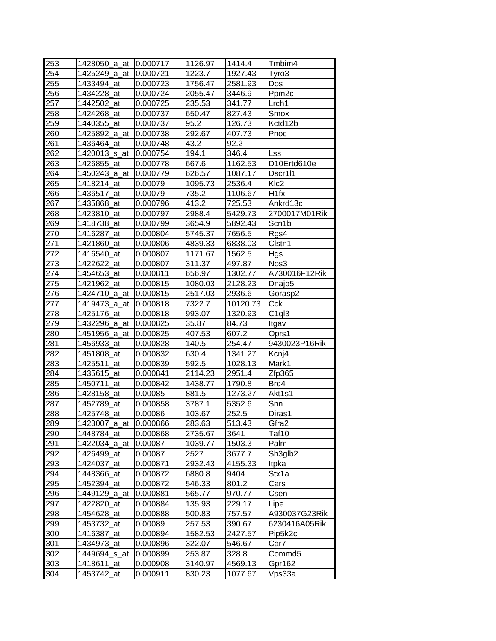| 253        | 1428050_a_at             | 0.000717             | 1126.97           | 1414.4             | Tmbim4             |
|------------|--------------------------|----------------------|-------------------|--------------------|--------------------|
| 254        | 1425249 a at             | 0.000721             | 1223.7            | 1927.43            | Tyro3              |
| 255        | 1433494_at               | 0.000723             | 1756.47           | 2581.93            | Dos                |
| 256        | 1434228 at               | 0.000724             | 2055.47           | 3446.9             | Ppm <sub>2c</sub>  |
| 257        | 1442502 at               | 0.000725             | 235.53            | 341.77             | Lrch <sub>1</sub>  |
| 258        | 1424268 at               | 0.000737             | 650.47            | 827.43             | Smox               |
| 259        | 1440355_at               | 0.000737             | 95.2              | 126.73             | Kctd12b            |
| 260        | 1425892_a_at             | 0.000738             | 292.67            | 407.73             | Pnoc               |
| 261        | 1436464 at               | 0.000748             | 43.2              | 92.2               | ---                |
| 262        | 1420013_s_at             | 0.000754             | 194.1             | 346.4              | Lss                |
| 263        | 1426855 at               | 0.000778             | 667.6             | 1162.53            | D10Ertd610e        |
| 264        | 1450243_a_at             | 0.000779             | 626.57            | 1087.17            | Dscr1l1            |
| 265        | 1418214<br>at            | 0.00079              | 1095.73           | 2536.4             | KI <sub>c</sub> 2  |
| 266        | 1436517_at               | 0.00079              | 735.2             | 1106.67            | H <sub>1fx</sub>   |
| 267        | 1435868<br>at            | 0.000796             | 413.2             | 725.53             | Ankrd13c           |
| 268        | 1423810<br>at            | 0.000797             | 2988.4            | 5429.73            | 2700017M01Rik      |
| 269        | 1418738<br>at            | 0.000799             | 3654.9            | 5892.43            | Scn1b              |
| 270        | 1416287_at               | 0.000804             | 5745.37           | 7656.5             | Rgs4               |
| 271        | 1421860<br>at            | 0.000806             | 4839.33           | 6838.03            | Clstn1             |
| 272        | 1416540_at               | 0.000807             | 1171.67           | 1562.5             | Hgs                |
| 273        | 1422622 at               | 0.000807             | 311.37            | 497.87             | Nos3               |
| 274        | 1454653_at               | 0.000811             | 656.97            | 1302.77            | A730016F12Rik      |
| 275        | 1421962 at               | 0.000815             | 1080.03           | 2128.23            | Dnajb <sub>5</sub> |
| 276        | 1424710_a_at             | 0.000815             | 2517.03           | 2936.6             | Gorasp2            |
| 277        | 1419473_a_at             | 0.000818             | 7322.7            | 10120.73           | Cck                |
| 278        | 1425176_at               | 0.000818             | 993.07            | 1320.93            | C <sub>1ql</sub> 3 |
|            |                          |                      |                   |                    |                    |
|            |                          |                      |                   |                    |                    |
| 279        | 1432296_a_at             | 0.000825             | 35.87             | 84.73              | Itgav              |
| 280        | 1451956 a at<br>at       | 0.000825             | 407.53            | 607.2              | Oprs1              |
| 281        | 1456933                  | 0.000828<br>0.000832 | 140.5             | 254.47<br>1341.27  | 9430023P16Rik      |
| 282        | 1451808<br>_at<br>at     | 0.000839             | 630.4             |                    | Kcnj4<br>Mark1     |
| 283        | 1425511<br>at            | 0.000841             | 592.5             | 1028.13            |                    |
| 284        | 1435615<br>at            | 0.000842             | 2114.23           | 2951.4             | Zfp365             |
| 285        | 1450711<br>at            | 0.00085              | 1438.77           | 1790.8<br>1273.27  | Brd4               |
| 286        | 1428158                  |                      | 881.5             |                    | Akt1s1             |
| 287        | 1452789_at               | 0.000858             | 3787.1            | 5352.6             | Snn                |
| 288        | 1425748_at               | 0.00086              | 103.67            | 252.5              | Diras1             |
|            | 1423007_a_at             | 0.000866             | 283.63            | 513.43             | Gfra2              |
| 290        | 1448784 at               | 0.000868             | 2735.67           | 3641               | Taf10              |
| 291        | 1422034_a_at             | 0.00087              | 1039.77           | 1503.3             | Palm               |
| 292        | 1426499_at               | 0.00087              | 2527              | 3677.7             | Sh3glb2            |
| 293        | 1424037_at               | 0.000871             | 2932.43           | 4155.33            | Itpka              |
| 289<br>294 | 1448366_at               | 0.000872             | 6880.8            | 9404               | Stx1a              |
| 295        | 1452394_at               | 0.000872             | 546.33            | 801.2              | Cars               |
| 296        | 1449129_a_at             | 0.000881             | 565.77            | 970.77             | Csen               |
| 297        | 1422820_at               | 0.000884             | 135.93            | 229.17             | Lipe               |
| 298        | 1454628<br>at            | 0.000888             | 500.83            | 757.57             | A930037G23Rik      |
| 299        | 1453732_at               | 0.00089              | 257.53            | 390.67             | 6230416A05Rik      |
| 300        | 1416387<br>at            | 0.000894             | 1582.53           | 2427.57            | Pip5k2c            |
| 301        | 1434973_at               | 0.000896             | 322.07            | 546.67             | Car7               |
| 302        | 1449694_s_at             | 0.000899             | 253.87            | 328.8              | Commd5             |
| 303<br>304 | 1418611_at<br>1453742_at | 0.000908<br>0.000911 | 3140.97<br>830.23 | 4569.13<br>1077.67 | Gpr162<br>Vps33a   |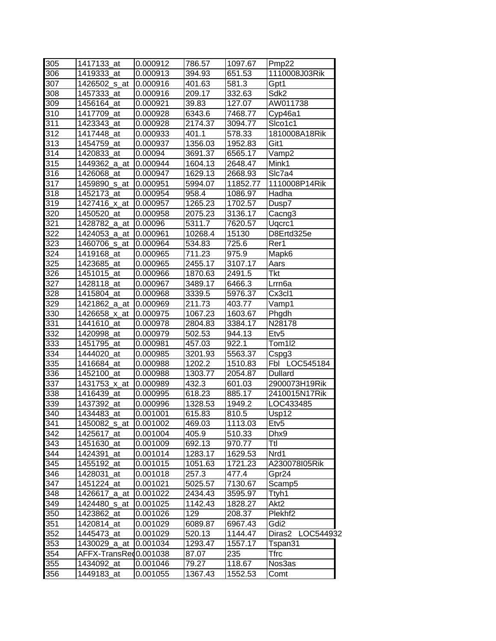| 305 | 1417133_at            | 0.000912             | 786.57  | 1097.67          | Pmp22               |
|-----|-----------------------|----------------------|---------|------------------|---------------------|
| 306 | 1419333 at            | 0.000913             | 394.93  | 651.53           | 1110008J03Rik       |
| 307 | 1426502 s at          | 0.000916             | 401.63  | 581.3            | Gpt1                |
| 308 | 1457333_at            | 0.000916             | 209.17  | 332.63           | Sdk <sub>2</sub>    |
| 309 | 1456164_at            | 0.000921             | 39.83   | 127.07           | AW011738            |
| 310 | 1417709 at            | 0.000928             | 6343.6  | 7468.77          | Cyp46a1             |
| 311 | 1423343 at            | 0.000928             | 2174.37 | 3094.77          | Sico1c1             |
| 312 | 1417448_at            | 0.000933             | 401.1   | 578.33           | 1810008A18Rik       |
| 313 | 1454759_at            | 0.000937             | 1356.03 | 1952.83          | Git1                |
| 314 | 1420833_at            | 0.00094              | 3691.37 | 6565.17          | Vamp2               |
| 315 | 1449362 a at          | 0.000944             | 1604.13 | 2648.47          | Mink1               |
| 316 | 1426068_at            | 0.000947             | 1629.13 | 2668.93          | Slc7a4              |
| 317 | 1459890_s_at          | 0.000951             | 5994.07 | 11852.77         | 1110008P14Rik       |
| 318 | 1452173_at            | 0.000954             | 958.4   | 1086.97          | Hadha               |
| 319 | 1427416 x at          | 0.000957             | 1265.23 | 1702.57          | Dusp7               |
| 320 | 1450520_at            | 0.000958             | 2075.23 | 3136.17          | Cacng3              |
| 321 | 1428782_a_at          | 0.00096              | 5311.7  | 7620.57          | Ugcrc1              |
| 322 | 1424053_a_at          | 0.000961             | 10268.4 | 15130            | D8Ertd325e          |
| 323 | 1460706 s at          | 0.000964             | 534.83  | 725.6            | Rer1                |
| 324 | 1419168_at            |                      | 711.23  |                  |                     |
| 325 | 1423685_at            | 0.000965<br>0.000965 | 2455.17 | 975.9<br>3107.17 | Mapk6               |
|     |                       |                      |         |                  | Aars                |
| 326 | 1451015_at            | 0.000966             | 1870.63 | 2491.5           | Tkt                 |
| 327 | 1428118 at            | 0.000967             | 3489.17 | 6466.3           | Lrrn <sub>6a</sub>  |
| 328 | 1415804_at            | 0.000968             | 3339.5  | 5976.37          | Cx3cl1              |
| 329 | 1421862_a_at          | 0.000969             | 211.73  | 403.77           | Vamp1               |
| 330 | 1426658_x_at          | 0.000975             | 1067.23 | 1603.67          | Phgdh               |
| 331 | 1441610 at            | 0.000978             | 2804.83 | 3384.17          | N28178              |
| 332 | 1420998_at            | 0.000979             | 502.53  | 944.13           | Etv <sub>5</sub>    |
| 333 | 1451795_at            | 0.000981             | 457.03  | 922.1            | Tom1l2              |
| 334 | 1444020 at            | 0.000985             | 3201.93 | 5563.37          | Cspg3               |
| 335 | 1416684_at            | 0.000988             | 1202.2  | 1510.83          | Fbl<br>LOC545184    |
| 336 | 1452100 at            | 0.000988             | 1303.77 | 2054.87          | <b>Dullard</b>      |
| 337 | 1431753 x at          | 0.000989             | 432.3   | 601.03           | 2900073H19Rik       |
| 338 | 1416439 at            | 0.000995             | 618.23  | 885.17           | 2410015N17Rik       |
| 339 | 1437392_at            | 0.000996             | 1328.53 | 1949.2           | LOC433485           |
| 340 | 1434483_at            | 0.001001             | 615.83  | 810.5            | Usp12               |
| 341 | 1450082_s_at          | 0.001002             | 469.03  | 1113.03          | Etv <sub>5</sub>    |
| 342 | 1425617_at            | 0.001004             | 405.9   | 510.33           | Dhx9                |
| 343 | 1451630_at            | 0.001009             | 692.13  | 970.77           | Ttl                 |
| 344 | 1424391_at            | 0.001014             | 1283.17 | 1629.53          | Nrd1                |
| 345 | 1455192_at            | 0.001015             | 1051.63 | 1721.23          | A230078105Rik       |
| 346 | 1428031<br>at         | 0.001018             | 257.3   | 477.4            | Gpr24               |
| 347 | 1451224_at            | 0.001021             | 5025.57 | 7130.67          | Scamp5              |
| 348 | 1426617 a at          | 0.001022             | 2434.43 | 3595.97          | Ttyh1               |
| 349 | 1424480_s_at          | 0.001025             | 1142.43 | 1828.27          | Akt2                |
| 350 | 1423862_at            | 0.001026             | 129     | 208.37           | Plekhf <sub>2</sub> |
| 351 | 1420814_at            | 0.001029             | 6089.87 | 6967.43          | Gdi2                |
| 352 | 1445473_at            | 0.001029             | 520.13  | 1144.47          | Diras2<br>LOC544932 |
| 353 | 1430029_a_at          | 0.001034             | 1293.47 | 1557.17          | Tspan31             |
| 354 | AFFX-TransRed0.001038 |                      | 87.07   | 235              | Tfrc                |
| 355 | 1434092_at            | 0.001046             | 79.27   | 118.67           | Nos3as              |
|     |                       |                      |         |                  |                     |
| 356 | 1449183_at            | 0.001055             | 1367.43 | 1552.53          | Comt                |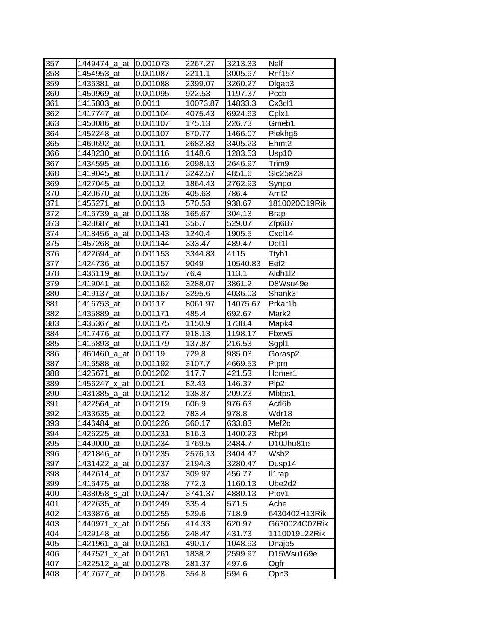| 357 | 1449474 a at           | 0.001073 |          |          | <b>Nelf</b>        |
|-----|------------------------|----------|----------|----------|--------------------|
| 358 |                        |          | 2267.27  | 3213.33  |                    |
|     | 1454953 at             | 0.001087 | 2211.1   | 3005.97  | <b>Rnf157</b>      |
| 359 | 1436381 at             | 0.001088 | 2399.07  | 3260.27  | Digap3             |
| 360 | 1450969_at             | 0.001095 | 922.53   | 1197.37  | Pccb               |
| 361 | 1415803_at             | 0.0011   | 10073.87 | 14833.3  | Cx3cl1             |
| 362 | 1417747_at             | 0.001104 | 4075.43  | 6924.63  | Cplx1              |
| 363 | 1450086_at             | 0.001107 | 175.13   | 226.73   | Gmeb1              |
| 364 | 1452248 at             | 0.001107 | 870.77   | 1466.07  | Plekhg5            |
| 365 | 1460692 at             | 0.00111  | 2682.83  | 3405.23  | Ehmt <sub>2</sub>  |
| 366 | 1448230_at             | 0.001116 | 1148.6   | 1283.53  | Usp10              |
| 367 | 1434595_at             | 0.001116 | 2098.13  | 2646.97  | Trim <sub>9</sub>  |
| 368 | 1419045 at             | 0.001117 | 3242.57  | 4851.6   | Slc25a23           |
| 369 | 1427045_at             | 0.00112  | 1864.43  | 2762.93  | Synpo              |
| 370 | 1420670<br>at          | 0.001126 | 405.63   | 786.4    | Arnt <sub>2</sub>  |
| 371 | 1455271<br>_at         | 0.00113  | 570.53   | 938.67   | 1810020C19Rik      |
| 372 | 1416739_a_at           | 0.001138 | 165.67   | 304.13   | <b>Brap</b>        |
| 373 | 1428687_at             | 0.001141 | 356.7    | 529.07   | Zfp687             |
| 374 | 1418456_a_at           | 0.001143 | 1240.4   | 1905.5   | Cxcl14             |
| 375 | 1457268_at             | 0.001144 | 333.47   | 489.47   | Dot <sub>1</sub>   |
| 376 | 1422694 at             | 0.001153 | 3344.83  | 4115     | Ttyh1              |
| 377 | 1424736 at             | 0.001157 | 9049     | 10540.83 | Eef <sub>2</sub>   |
| 378 | 1436119_at             | 0.001157 | 76.4     | 113.1    | Aldh1l2            |
| 379 | 1419041 at             | 0.001162 | 3288.07  | 3861.2   | D8Wsu49e           |
| 380 | 1419137 at             | 0.001167 | 3295.6   | 4036.03  | Shank3             |
| 381 | 1416753_at             | 0.00117  | 8061.97  | 14075.67 | Prkar1b            |
| 382 | 1435889 at             | 0.001171 | 485.4    | 692.67   | Mark2              |
| 383 | 1435367_at             | 0.001175 | 1150.9   | 1738.4   | Mapk4              |
| 384 | 1417476 at             | 0.001177 | 918.13   | 1198.17  | Fbxw <sub>5</sub>  |
| 385 | 1415893_at             | 0.001179 | 137.87   | 216.53   | Sgp11              |
| 386 | 1460460_a_at           | 0.00119  | 729.8    | 985.03   | Gorasp2            |
| 387 | 1416588_at             | 0.001192 | 3107.7   | 4669.53  | Ptprn              |
| 388 | 1425671<br>_at         | 0.001202 | 117.7    | 421.53   | Homer1             |
| 389 | 1456247_x_at           | 0.00121  | 82.43    | 146.37   | Plp <sub>2</sub>   |
| 390 | 1431385_a_at           | 0.001212 | 138.87   | 209.23   | Mbtps1             |
| 391 | 1422564_at             | 0.001219 | 606.9    | 976.63   | Actl6b             |
| 392 | 1433635_at             | 0.00122  | 783.4    | 978.8    | Wdr18              |
| 393 | 1446484_at             | 0.001226 | 360.17   | 633.83   | Mef <sub>2c</sub>  |
| 394 | 1426225_at             | 0.001231 | 816.3    | 1400.23  | Rbp4               |
| 395 | 1449000_at             | 0.001234 | 1769.5   | 2484.7   | D10Jhu81e          |
| 396 | 1421846_at             | 0.001235 | 2576.13  | 3404.47  | Wsb2               |
| 397 | 1431422_a_at           | 0.001237 | 2194.3   | 3280.47  | Dusp14             |
| 398 | 1442614_at             | 0.001237 | 309.97   | 456.77   | II1rap             |
| 399 | 1416475_at             | 0.001238 | 772.3    | 1160.13  | Ube2d2             |
| 400 | 1438058_s_at           | 0.001247 | 3741.37  | 4880.13  | Ptov1              |
| 401 | 1422635_at             | 0.001249 | 335.4    | 571.5    | Ache               |
| 402 | 1433876_at             | 0.001255 | 529.6    | 718.9    | 6430402H13Rik      |
| 403 | 1440971<br><u>x_at</u> | 0.001256 | 414.33   | 620.97   | G630024C07Rik      |
| 404 | 1429148_at             | 0.001256 | 248.47   | 431.73   | 1110019L22Rik      |
| 405 | 1421961<br>_a_at       | 0.001261 | 490.17   | 1048.93  | Dnajb <sub>5</sub> |
| 406 | 1447521                | 0.001261 |          | 2599.97  | D15Wsu169e         |
|     | _x_at                  |          | 1838.2   |          |                    |
| 407 | 1422512_a_at           | 0.001278 | 281.37   | 497.6    | Ogfr               |
| 408 | 1417677_at             | 0.00128  | 354.8    | 594.6    | Opn3               |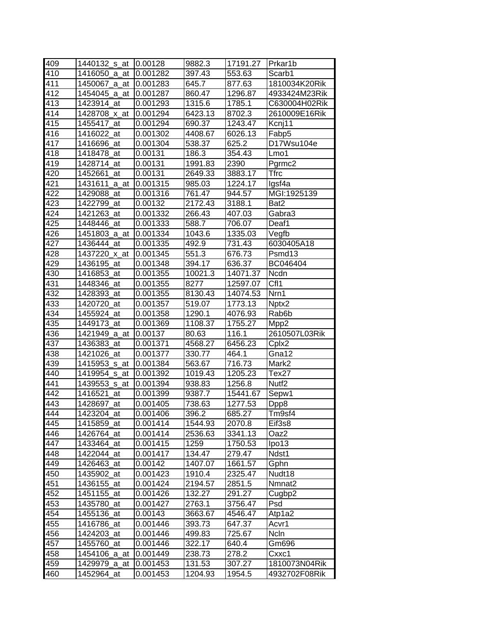| 409 | 1440132_s_at     | 0.00128  | 9882.3  | 17191.27 | lPrkar1b           |
|-----|------------------|----------|---------|----------|--------------------|
| 410 | 1416050_a_at     | 0.001282 | 397.43  | 553.63   | Scarb1             |
| 411 | 1450067_a_at     | 0.001283 | 645.7   | 877.63   | 1810034K20Rik      |
| 412 | 1454045_a_at     | 0.001287 | 860.47  | 1296.87  | 4933424M23Rik      |
| 413 | 1423914_at       | 0.001293 | 1315.6  | 1785.1   | C630004H02Rik      |
| 414 | 1428708 x at     | 0.001294 | 6423.13 | 8702.3   | 2610009E16Rik      |
| 415 | 1455417_at       | 0.001294 | 690.37  | 1243.47  | Kcnj11             |
| 416 | 1416022_at       | 0.001302 | 4408.67 | 6026.13  | Fabp5              |
| 417 | 1416696_at       | 0.001304 | 538.37  | 625.2    | D17Wsu104e         |
| 418 | 1418478_at       | 0.00131  | 186.3   | 354.43   | Lmo1               |
| 419 | 1428714 at       | 0.00131  | 1991.83 | 2390     | Pgrmc2             |
| 420 | 1452661_at       | 0.00131  | 2649.33 | 3883.17  | <b>Tfrc</b>        |
| 421 | 1431611<br>_a_at | 0.001315 | 985.03  | 1224.17  | lgsf4a             |
| 422 | 1429088<br>at    | 0.001316 | 761.47  | 944.57   | MGI:1925139        |
| 423 | 1422799 at       | 0.00132  | 2172.43 | 3188.1   | Bat2               |
| 424 | 1421263_at       | 0.001332 | 266.43  | 407.03   | Gabra3             |
| 425 | 1448446 at       | 0.001333 | 588.7   | 706.07   | Deaf1              |
| 426 | 1451803_a_at     | 0.001334 | 1043.6  | 1335.03  | Vegfb              |
| 427 | 1436444_at       | 0.001335 | 492.9   | 731.43   | 6030405A18         |
| 428 | 1437220 x at     | 0.001345 | 551.3   | 676.73   | Psmd13             |
| 429 | 1436195_at       | 0.001348 | 394.17  | 636.37   | BC046404           |
| 430 | 1416853_at       | 0.001355 | 10021.3 | 14071.37 | <b>Ncdn</b>        |
| 431 | 1448346 at       | 0.001355 | 8277    | 12597.07 | CfI <sub>1</sub>   |
| 432 | 1428393_at       | 0.001355 | 8130.43 | 14074.53 | Nrn1               |
| 433 | 1420720 at       | 0.001357 | 519.07  | 1773.13  | Nptx2              |
| 434 | 1455924_at       | 0.001358 | 1290.1  | 4076.93  | Rab6b              |
| 435 | 1449173 at       | 0.001369 | 1108.37 | 1755.27  | Mpp <sub>2</sub>   |
| 436 | 1421949_a_at     | 0.00137  | 80.63   | 116.1    | 2610507L03Rik      |
| 437 | 1436383_at       | 0.001371 | 4568.27 | 6456.23  | Cplx2              |
| 438 | 1421026 at       | 0.001377 | 330.77  | 464.1    | Gna12              |
| 439 | 1415953_s_at     | 0.001384 | 563.67  | 716.73   | Mark2              |
| 440 | 1419954_s_at     | 0.001392 | 1019.43 | 1205.23  | Tex27              |
| 441 | 1439553_s_at     | 0.001394 | 938.83  | 1256.8   | Nutf <sub>2</sub>  |
| 442 | 1416521<br>at    | 0.001399 | 9387.7  | 15441.67 | Sepw1              |
| 443 | 1428697_at       | 0.001405 | 738.63  | 1277.53  | Dpp8               |
| 444 | 1423204_at       | 0.001406 | 396.2   | 685.27   | Tm9sf4             |
| 445 | 1415859_at       | 0.001414 | 1544.93 | 2070.8   | Eif3s8             |
| 446 | 1426764_at       | 0.001414 | 2536.63 | 3341.13  | Oaz2               |
| 447 | 1433464_at       | 0.001415 | 1259    | 1750.53  | lpo13              |
| 448 | 1422044_at       | 0.001417 | 134.47  | 279.47   | Ndst1              |
| 449 | 1426463 at       | 0.00142  | 1407.07 | 1661.57  | Gphn               |
| 450 | 1435902_at       | 0.001423 | 1910.4  | 2325.47  | Nudt18             |
| 451 | 1436155_at       | 0.001424 | 2194.57 | 2851.5   | Nmnat <sub>2</sub> |
| 452 | 1451155_at       | 0.001426 | 132.27  | 291.27   | Cugbp2             |
| 453 | 1435780_at       | 0.001427 | 2763.1  | 3756.47  | Psd                |
| 454 | 1455136_at       | 0.00143  | 3663.67 | 4546.47  | Atp1a2             |
| 455 | 1416786_at       | 0.001446 | 393.73  | 647.37   | Acvr1              |
| 456 | 1424203_at       | 0.001446 | 499.83  | 725.67   | Ncln               |
| 457 | 1455760_at       | 0.001446 | 322.17  | 640.4    | Gm696              |
| 458 | 1454106_a_at     | 0.001449 | 238.73  | 278.2    | Cxxc1              |
| 459 | 1429979_a_at     | 0.001453 | 131.53  | 307.27   | 1810073N04Rik      |
| 460 | 1452964_at       | 0.001453 | 1204.93 | 1954.5   | 4932702F08Rik      |
|     |                  |          |         |          |                    |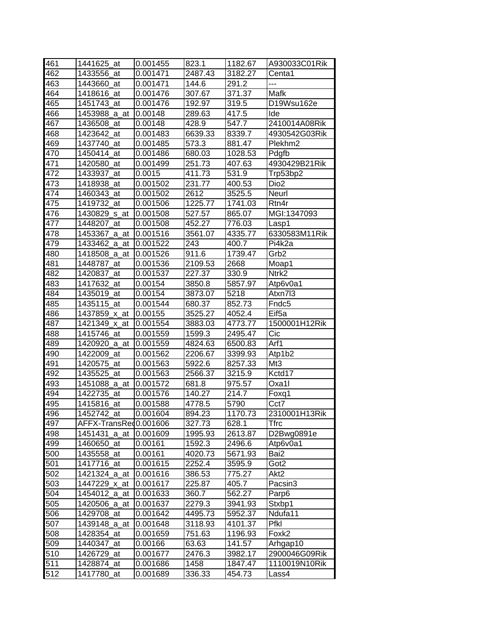| 461 | 1441625_at            | 0.001455 | 823.1   | 1182.67 | A930033C01Rik       |
|-----|-----------------------|----------|---------|---------|---------------------|
| 462 | 1433556<br>at         | 0.001471 | 2487.43 | 3182.27 | Centa1              |
| 463 | 1443660_at            | 0.001471 | 144.6   | 291.2   | ---                 |
| 464 | 1418616_at            | 0.001476 | 307.67  | 371.37  | Mafk                |
| 465 | 1451743_at            | 0.001476 | 192.97  | 319.5   | D19Wsu162e          |
| 466 | 1453988 a at          | 0.00148  | 289.63  | 417.5   | Ide                 |
| 467 | 1436508_at            | 0.00148  | 428.9   | 547.7   | 2410014A08Rik       |
| 468 | 1423642_at            | 0.001483 | 6639.33 | 8339.7  | 4930542G03Rik       |
| 469 | 1437740_at            | 0.001485 | 573.3   | 881.47  | Plekhm <sub>2</sub> |
| 470 | 1450414_at            | 0.001486 | 680.03  | 1028.53 | Pdgfb               |
| 471 | 1420580_at            | 0.001499 | 251.73  | 407.63  | 4930429B21Rik       |
| 472 | 1433937_at            | 0.0015   | 411.73  | 531.9   | Trp53bp2            |
| 473 | 1418938<br>at         | 0.001502 | 231.77  | 400.53  | Dio <sub>2</sub>    |
| 474 | 1460343_at            | 0.001502 | 2612    | 3525.5  | Neurl               |
| 475 | 1419732 at            | 0.001506 | 1225.77 | 1741.03 | Rtn4r               |
| 476 | 1430829_s_at          | 0.001508 | 527.57  | 865.07  | MGI:1347093         |
| 477 | 1448207 at            | 0.001508 | 452.27  | 776.03  | Lasp1               |
| 478 | 1453367_a_at          | 0.001516 | 3561.07 | 4335.77 | 6330583M11Rik       |
| 479 | 1433462_a_at          | 0.001522 | 243     | 400.7   | Pi4k2a              |
| 480 | 1418508 a at          | 0.001526 | 911.6   | 1739.47 | Grb2                |
| 481 | 1448787 at            | 0.001536 | 2109.53 | 2668    | Moap1               |
| 482 | 1420837 at            | 0.001537 | 227.37  | 330.9   | Ntrk <sub>2</sub>   |
| 483 | 1417632 at            | 0.00154  | 3850.8  | 5857.97 | Atp6v0a1            |
| 484 | 1435019_at            | 0.00154  | 3873.07 | 5218    | Atxn7l3             |
| 485 | 1435115 at            | 0.001544 | 680.37  | 852.73  | Fndc <sub>5</sub>   |
| 486 | 1437859_x_at          | 0.00155  | 3525.27 | 4052.4  | Eif <sub>5a</sub>   |
| 487 | 1421349_x_at          | 0.001554 | 3883.03 | 4773.77 | 1500001H12Rik       |
| 488 | 1415746 at            | 0.001559 | 1599.3  | 2495.47 | Cic                 |
| 489 | _a_at<br>1420920      | 0.001559 | 4824.63 | 6500.83 | Arf1                |
| 490 | 1422009_at            | 0.001562 | 2206.67 | 3399.93 | Atp1b2              |
| 491 | 1420575<br>at         | 0.001563 | 5922.6  | 8257.33 | Mt3                 |
| 492 | 1435525<br>at         | 0.001563 | 2566.37 | 3215.9  | Kctd17              |
| 493 | 1451088_a_at          | 0.001572 | 681.8   | 975.57  | Oxa1l               |
| 494 | 1422735_at            | 0.001576 | 140.27  | 214.7   | Foxq1               |
| 495 | 1415816_at            | 0.001588 | 4778.5  | 5790    | Cct7                |
| 496 | 1452742_at            | 0.001604 | 894.23  | 1170.73 | 2310001H13Rik       |
| 497 | AFFX-TransRed0.001606 |          | 327.73  | 628.1   | Tfrc                |
| 498 | 1451431<br>_a_at      | 0.001609 | 1995.93 | 2613.87 | D2Bwg0891e          |
| 499 | 1460650_at            | 0.00161  | 1592.3  | 2496.6  | Atp6v0a1            |
| 500 | 1435558_at            | 0.00161  | 4020.73 | 5671.93 | Bai2                |
| 501 | 1417716_at            | 0.001615 | 2252.4  | 3595.9  | Got2                |
| 502 | 1421324_a_at          | 0.001616 | 386.53  | 775.27  | Akt2                |
| 503 | 1447229_x_at          | 0.001617 | 225.87  | 405.7   | Pacsin3             |
| 504 | 1454012_a_at          | 0.001633 | 360.7   | 562.27  | Parp6               |
| 505 | 1420506_a_at          | 0.001637 | 2279.3  | 3941.93 | Stxbp1              |
| 506 | 1429708_at            | 0.001642 | 4495.73 | 5952.37 | Ndufa11             |
| 507 | 1439148_a_at          | 0.001648 | 3118.93 | 4101.37 | Pfkl                |
| 508 | 1428354_at            | 0.001659 | 751.63  | 1196.93 | Foxk2               |
| 509 | 1440347_at            | 0.00166  | 63.63   | 141.57  | Arhgap10            |
| 510 | 1426729<br>at         | 0.001677 | 2476.3  | 3982.17 | 2900046G09Rik       |
| 511 | 1428874_at            | 0.001686 | 1458    | 1847.47 | 1110019N10Rik       |
| 512 | 1417780_at            | 0.001689 | 336.33  | 454.73  | Lass4               |
|     |                       |          |         |         |                     |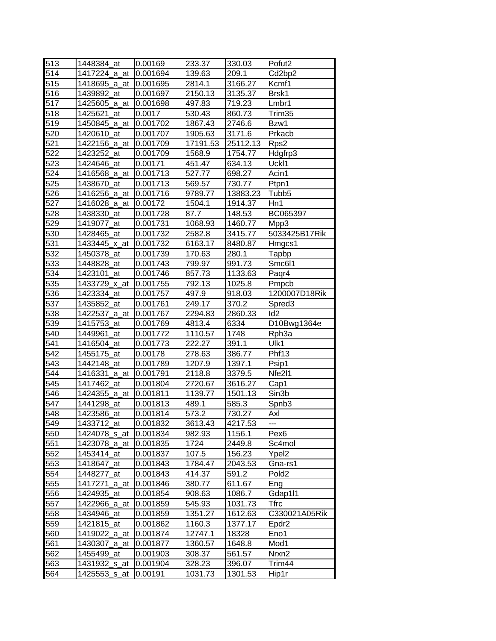| 513 | 1448384 at       | 0.00169  | 233.37   | 330.03   | Pofut <sub>2</sub> |
|-----|------------------|----------|----------|----------|--------------------|
| 514 | 1417224_a_at     | 0.001694 | 139.63   | 209.1    | Cd2bp2             |
| 515 | 1418695_a_at     | 0.001695 | 2814.1   | 3166.27  | Kcmf1              |
| 516 | 1439892_at       | 0.001697 | 2150.13  | 3135.37  | Brsk1              |
| 517 | 1425605 a at     | 0.001698 | 497.83   | 719.23   | Lmbr1              |
| 518 | 1425621<br>at    | 0.0017   | 530.43   | 860.73   | Trim35             |
| 519 | 1450845_a_at     | 0.001702 | 1867.43  | 2746.6   | Bzw1               |
| 520 | 1420610_at       | 0.001707 | 1905.63  | 3171.6   | Prkacb             |
| 521 | 1422156 a at     | 0.001709 | 17191.53 | 25112.13 | Rps2               |
| 522 | 1423252_at       | 0.001709 | 1568.9   | 1754.77  | Hdgfrp3            |
| 523 | 1424646_at       | 0.00171  | 451.47   | 634.13   | Uckl1              |
| 524 | 1416568_a_at     | 0.001713 | 527.77   | 698.27   | Acin1              |
| 525 | 1438670<br>_at   | 0.001713 | 569.57   | 730.77   | Ptpn1              |
| 526 | 1416256_a_at     | 0.001716 | 9789.77  | 13883.23 | Tubb5              |
| 527 | 1416028_a_at     | 0.00172  | 1504.1   | 1914.37  | Hn1                |
| 528 | 1438330<br>at    | 0.001728 | 87.7     | 148.53   | BC065397           |
| 529 | 1419077<br>at    | 0.001731 | 1068.93  | 1460.77  | Mpp3               |
| 530 | 1428465_at       | 0.001732 | 2582.8   | 3415.77  | 5033425B17Rik      |
| 531 | 1433445 x at     | 0.001732 | 6163.17  | 8480.87  | Hmgcs1             |
| 532 | 1450378 at       | 0.001739 | 170.63   | 280.1    | Tapbp              |
| 533 | 1448828_at       | 0.001743 | 799.97   | 991.73   | Smc6I1             |
| 534 | 1423101_at       | 0.001746 | 857.73   | 1133.63  | Paqr4              |
| 535 | 1433729_x_at     | 0.001755 | 792.13   | 1025.8   | Pmpcb              |
| 536 | 1423334_at       | 0.001757 | 497.9    | 918.03   | 1200007D18Rik      |
| 537 | 1435852_at       | 0.001761 | 249.17   | 370.2    | Spred3             |
| 538 | 1422537_a_at     | 0.001767 | 2294.83  | 2860.33  | Id <sub>2</sub>    |
| 539 | 1415753 at       | 0.001769 | 4813.4   | 6334     | D10Bwg1364e        |
| 540 | 1449961<br>at    | 0.001772 | 1110.57  | 1748     | Rph <sub>3a</sub>  |
| 541 | 1416504_at       | 0.001773 | 222.27   | 391.1    | Ulk1               |
| 542 | 1455175<br>_at   | 0.00178  | 278.63   | 386.77   | Phf13              |
| 543 | 1442148<br>at    | 0.001789 | 1207.9   | 1397.1   | Psip1              |
| 544 | 1416331<br>a_at  | 0.001791 | 2118.8   | 3379.5   | Nfe2I1             |
| 545 | 1417462<br>at    | 0.001804 | 2720.67  | 3616.27  | Cap1               |
| 546 | 1424355<br>_a_at | 0.001811 | 1139.77  | 1501.13  | Sin3b              |
| 547 | 1441298_at       | 0.001813 | 489.1    | 585.3    | Spnb3              |
| 548 | 1423586_at       | 0.001814 | 573.2    | 730.27   | Axl                |
| 549 | 1433712 at       | 0.001832 | 3613.43  | 4217.53  | ---                |
| 550 | 1424078_s_at     | 0.001834 | 982.93   | 1156.1   | Pex <sub>6</sub>   |
| 551 | 1423078_a_at     | 0.001835 | 1724     | 2449.8   | Sc4mol             |
| 552 | 1453414_at       | 0.001837 | 107.5    | 156.23   | Ypel2              |
| 553 | 1418647_at       | 0.001843 | 1784.47  | 2043.53  | Gna-rs1            |
| 554 | 1448277_at       | 0.001843 | 414.37   | 591.2    | Pold <sub>2</sub>  |
| 555 | 1417271_a_at     | 0.001846 | 380.77   | 611.67   | Eng                |
| 556 | 1424935_at       | 0.001854 | 908.63   | 1086.7   | Gdap1l1            |
| 557 | 1422966_a_at     | 0.001859 | 545.93   | 1031.73  | Tfrc               |
| 558 | 1434946<br>at    | 0.001859 | 1351.27  | 1612.63  | C330021A05Rik      |
| 559 | 1421815_at       | 0.001862 | 1160.3   | 1377.17  | Epdr2              |
| 560 | 1419022_a_at     | 0.001874 | 12747.1  | 18328    | Eno1               |
| 561 | 1430307_a_at     | 0.001877 | 1360.57  | 1648.8   | Mod1               |
| 562 | 1455499_at       | 0.001903 | 308.37   | 561.57   | Nrxn2              |
| 563 | 1431932_s_at     | 0.001904 | 328.23   | 396.07   | Trim44             |
| 564 | 1425553_s_at     | 0.00191  | 1031.73  | 1301.53  | Hip1r              |
|     |                  |          |          |          |                    |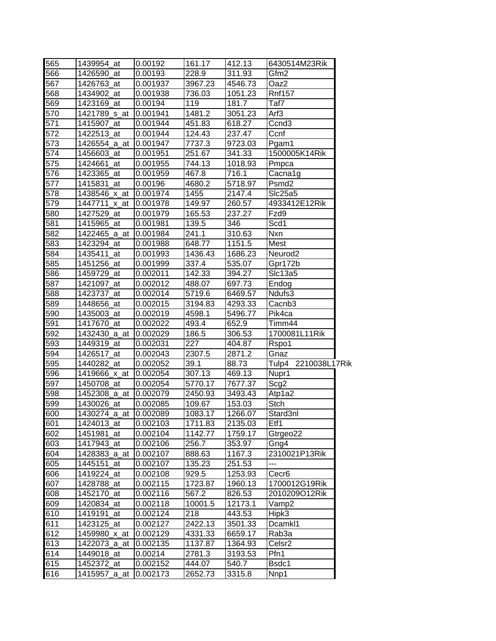| 565 | 1439954 at    | 0.00192  | 161.17  | 412.13  | 6430514M23Rik       |  |
|-----|---------------|----------|---------|---------|---------------------|--|
| 566 | 1426590 at    | 0.00193  | 228.9   | 311.93  | Gfm <sub>2</sub>    |  |
| 567 | 1426763 at    | 0.001937 | 3967.23 | 4546.73 | Oaz2                |  |
| 568 | 1434902_at    | 0.001938 | 736.03  | 1051.23 | <b>Rnf157</b>       |  |
| 569 | 1423169_at    | 0.00194  | 119     | 181.7   | Taf7                |  |
| 570 | 1421789 s at  | 0.001941 | 1481.2  | 3051.23 | Arf3                |  |
| 571 | 1415907_at    | 0.001944 | 451.83  | 618.27  | Ccnd <sub>3</sub>   |  |
| 572 | 1422513_at    | 0.001944 | 124.43  | 237.47  | Ccnf                |  |
| 573 | 1426554_a_at  | 0.001947 | 7737.3  | 9723.03 | Pgam1               |  |
| 574 | 1456603_at    | 0.001951 | 251.67  | 341.33  | 1500005K14Rik       |  |
| 575 | 1424661<br>at | 0.001955 | 744.13  | 1018.93 | Pmpca               |  |
| 576 | 1423365<br>at | 0.001959 | 467.8   | 716.1   | Cacna1g             |  |
| 577 | 1415831<br>at | 0.00196  | 4680.2  | 5718.97 | Psmd2               |  |
| 578 | 1438546_x_at  | 0.001974 | 1455    | 2147.4  | Slc25a5             |  |
| 579 | 1447711_x_at  | 0.001978 | 149.97  | 260.57  | 4933412E12Rik       |  |
| 580 | 1427529 at    | 0.001979 | 165.53  | 237.27  | Fzd9                |  |
| 581 | 1415965 at    | 0.001981 | 139.5   | 346     | Scd1                |  |
| 582 | 1422465 a at  | 0.001984 | 241.1   | 310.63  | Nxn                 |  |
| 583 | 1423294 at    | 0.001988 | 648.77  | 1151.5  | Mest                |  |
| 584 | 1435411<br>at | 0.001993 | 1436.43 | 1686.23 | Neurod <sub>2</sub> |  |
| 585 | 1451256_at    | 0.001999 | 337.4   | 535.07  | Gpr172b             |  |
| 586 | 1459729_at    | 0.002011 | 142.33  | 394.27  | Slc13a5             |  |
| 587 | 1421097_at    | 0.002012 | 488.07  | 697.73  | Endog               |  |
| 588 | 1423737<br>at | 0.002014 | 5719.6  | 6469.57 | Ndufs3              |  |
| 589 | 1448656_at    | 0.002015 | 3194.83 | 4293.33 | Cacnb <sub>3</sub>  |  |
| 590 | 1435003_at    | 0.002019 | 4598.1  | 5496.77 | Pik4ca              |  |
| 591 | 1417670 at    | 0.002022 | 493.4   | 652.9   | Timm44              |  |
| 592 | 1432430_a_at  | 0.002029 | 186.5   | 306.53  | 1700081L11Rik       |  |
| 593 | 1449319_at    | 0.002031 | 227     | 404.87  | Rspo1               |  |
| 594 | 1426517_at    | 0.002043 | 2307.5  | 2871.2  | Gnaz                |  |
| 595 | 1440282_at    | 0.002052 | 39.1    | 88.73   | Tulp4 2210038L17Rik |  |
| 596 | 1419666_x_at  | 0.002054 | 307.13  | 469.13  | Nupr1               |  |
| 597 | 1450708 at    | 0.002054 | 5770.17 | 7677.37 | Scg2                |  |
| 598 | 1452308_a_at  | 0.002079 | 2450.93 | 3493.43 | Atp1a2              |  |
| 599 | 1430026_at    | 0.002085 | 109.67  | 153.03  | Stch                |  |
| 600 | 1430274_a_at  | 0.002089 | 1083.17 | 1266.07 | Stard3nl            |  |
| 601 | 1424013_at    | 0.002103 | 1711.83 | 2135.03 | Etf1                |  |
| 602 | 1451981_at    | 0.002104 | 1142.77 | 1759.17 | Gtrgeo22            |  |
| 603 | 1417943_at    | 0.002106 | 256.7   | 353.97  | Gng4                |  |
| 604 | 1428383_a_at  | 0.002107 | 888.63  | 1167.3  | 2310021P13Rik       |  |
| 605 | 1445151<br>at | 0.002107 | 135.23  | 251.53  | ---                 |  |
| 606 | 1419224_at    | 0.002108 | 929.5   | 1253.93 | Cecr <sub>6</sub>   |  |
| 607 | 1428788_at    | 0.002115 | 1723.87 | 1960.13 | 1700012G19Rik       |  |
| 608 | 1452170_at    | 0.002116 | 567.2   | 826.53  | 2010209O12Rik       |  |
| 609 | 1420834_at    | 0.002118 | 10001.5 | 12173.1 | Vamp2               |  |
| 610 | 1419191<br>at | 0.002124 | 218     | 443.53  | Hipk3               |  |
| 611 | 1423125_at    | 0.002127 | 2422.13 | 3501.33 | Dcamkl1             |  |
| 612 | 1459980_x_at  | 0.002129 | 4331.33 | 6659.17 | Rab3a               |  |
| 613 | 1422073_a_at  | 0.002135 | 1137.87 | 1364.93 | Celsr2              |  |
| 614 | 1449018_at    | 0.00214  | 2781.3  | 3193.53 | Pfn1                |  |
| 615 | 1452372_at    | 0.002152 | 444.07  | 540.7   | Bsdc1               |  |
| 616 | 1415957_a_at  | 0.002173 | 2652.73 | 3315.8  | Nnp1                |  |
|     |               |          |         |         |                     |  |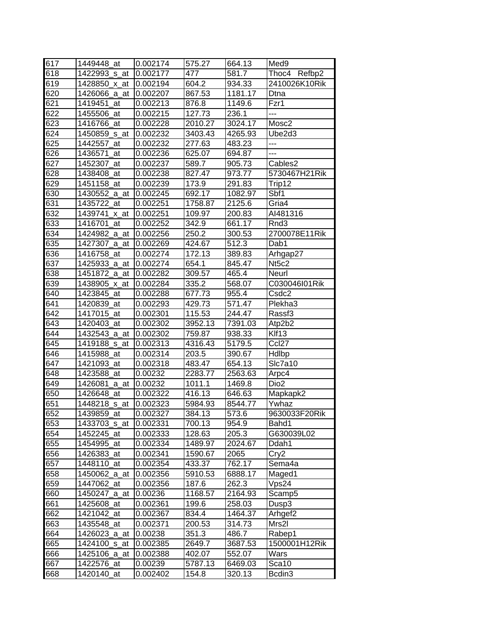| 617 | 1449448 at               | 0.002174 | 575.27  | 664.13  | Med <sub>9</sub>    |
|-----|--------------------------|----------|---------|---------|---------------------|
| 618 | 1422993 s at             | 0.002177 | 477     | 581.7   | Thoc4 Refbp2        |
| 619 | 1428850_x_at             | 0.002194 | 604.2   | 934.33  | 2410026K10Rik       |
| 620 | 1426066_a_at             | 0.002207 | 867.53  | 1181.17 | Dtna                |
| 621 | 1419451 at               | 0.002213 | 876.8   | 1149.6  | Fzr1                |
| 622 | 1455506_at               | 0.002215 | 127.73  | 236.1   | ---                 |
| 623 | 1416766_at               | 0.002228 | 2010.27 | 3024.17 | Mosc2               |
| 624 | 1450859 <sub>_S_at</sub> | 0.002232 | 3403.43 | 4265.93 | Ube2d3              |
| 625 | 1442557 at               | 0.002232 | 277.63  | 483.23  | ---                 |
| 626 | 1436571_at               | 0.002236 | 625.07  | 694.87  | ---                 |
| 627 | 1452307 at               | 0.002237 | 589.7   | 905.73  | Cables2             |
| 628 | 1438408_at               | 0.002238 | 827.47  | 973.77  | 5730467H21Rik       |
| 629 | 1451158<br>at            | 0.002239 | 173.9   | 291.83  | Trip12              |
| 630 | 1430552_a_at             | 0.002245 | 692.17  | 1082.97 | Sbf1                |
| 631 | 1435722<br>at            | 0.002251 | 1758.87 | 2125.6  | Gria4               |
| 632 | 1439741<br>x at          | 0.002251 | 109.97  | 200.83  | AI481316            |
| 633 | 1416701<br>at            | 0.002252 | 342.9   | 661.17  | Rnd3                |
| 634 | 1424982_a_at             | 0.002256 | 250.2   | 300.53  | 2700078E11Rik       |
| 635 | 1427307_a_at             | 0.002269 | 424.67  | 512.3   | Dab1                |
| 636 | 1416758_at               | 0.002274 | 172.13  | 389.83  | Arhgap27            |
| 637 | 1425933_a_at             | 0.002274 | 654.1   | 845.47  | Nt5c2               |
| 638 | 1451872 a at             | 0.002282 | 309.57  | 465.4   | Neurl               |
| 639 | 1438905_x_at             | 0.002284 | 335.2   | 568.07  | C030046I01Rik       |
| 640 | 1423845 at               | 0.002288 | 677.73  | 955.4   | Csdc2               |
| 641 | 1420839_at               | 0.002293 | 429.73  | 571.47  | Plekha3             |
| 642 | 1417015_at               | 0.002301 | 115.53  | 244.47  | Rassf <sub>3</sub>  |
| 643 | 1420403 at               | 0.002302 | 3952.13 | 7391.03 | Atp2b2              |
| 644 | 1432543_a_at             | 0.002302 | 759.87  | 938.33  | Klf13               |
| 645 | 1419188_s_at             | 0.002313 | 4316.43 | 5179.5  | Ccl27               |
| 646 | 1415988<br>at            | 0.002314 | 203.5   | 390.67  | <b>Hdlbp</b>        |
| 647 | 1421093<br>at            | 0.002318 | 483.47  | 654.13  | Slc7a10             |
| 648 | 1423588 at               | 0.00232  | 2283.77 | 2563.63 | Arpc4               |
| 649 | 1426081<br>_a_at         | 0.00232  | 1011.1  | 1469.8  | Dio <sub>2</sub>    |
| 650 | 1426648 at               | 0.002322 | 416.13  | 646.63  | Mapkapk2            |
| 651 | 1448218_s_at             | 0.002323 | 5984.93 | 8544.77 | Ywhaz               |
| 652 | 1439859_at               | 0.002327 | 384.13  | 573.6   | 9630033F20Rik       |
| 653 | 1433703_s_at             | 0.002331 | 700.13  | 954.9   | Bahd1               |
| 654 | 1452245_at               | 0.002333 | 128.63  | 205.3   | G630039L02          |
| 655 | 1454995_at               | 0.002334 | 1489.97 | 2024.67 | Ddah1               |
| 656 | 1426383_at               | 0.002341 | 1590.67 | 2065    | Cry2                |
| 657 | 1448110 at               | 0.002354 | 433.37  | 762.17  | Sema4a              |
| 658 | 1450062_a_at             | 0.002356 | 5910.53 | 6888.17 | Maged1              |
| 659 | 1447062_at               | 0.002356 | 187.6   | 262.3   | Vps24               |
| 660 | 1450247_a_at             | 0.00236  | 1168.57 | 2164.93 | Scamp5              |
| 661 | 1425608_at               | 0.002361 | 199.6   | 258.03  | Dusp3               |
| 662 | 1421042<br>at            | 0.002367 | 834.4   | 1464.37 | Arhgef <sub>2</sub> |
| 663 | 1435548_at               | 0.002371 | 200.53  | 314.73  | Mrs2l               |
| 664 | 1426023_a_at             | 0.00238  | 351.3   | 486.7   | Rabep1              |
| 665 | 1424100<br>_s_at         | 0.002385 | 2649.7  | 3687.53 | 1500001H12Rik       |
| 666 | 1425106<br>_a_at         | 0.002388 | 402.07  | 552.07  | Wars                |
| 667 | 1422576_at               | 0.00239  | 5787.13 | 6469.03 | Sca10               |
| 668 | 1420140_at               | 0.002402 | 154.8   | 320.13  | Bcdin3              |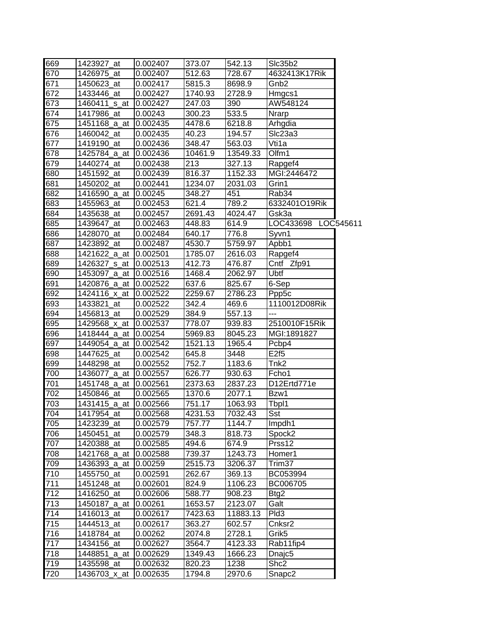| 669              | 1423927 at            | 0.002407 | 373.07  | 542.13   | SIc35b2             |  |
|------------------|-----------------------|----------|---------|----------|---------------------|--|
| 670              | 1426975 at            | 0.002407 | 512.63  | 728.67   | 4632413K17Rik       |  |
| $\overline{671}$ | 1450623 at            | 0.002417 | 5815.3  | 8698.9   | Gnb <sub>2</sub>    |  |
| 672              | 1433446_at            | 0.002427 | 1740.93 | 2728.9   | Hmgcs1              |  |
| $\overline{673}$ | 1460411_s_at          | 0.002427 | 247.03  | 390      | AW548124            |  |
| 674              | 1417986 at            | 0.00243  | 300.23  | 533.5    | <b>Nrarp</b>        |  |
| 675              | 1451168_a_at          | 0.002435 | 4478.6  | 6218.8   | Arhgdia             |  |
| 676              | 1460042_at            | 0.002435 | 40.23   | 194.57   | Slc23a3             |  |
| 677              | 1419190_at            | 0.002436 | 348.47  | 563.03   | Vti1a               |  |
| 678              | 1425784 a at          | 0.002436 | 10461.9 | 13549.33 | Olfm1               |  |
| 679              | 1440274_at            | 0.002438 | 213     | 327.13   | Rapgef4             |  |
| 680              | 1451592 at            | 0.002439 | 816.37  | 1152.33  | MGI:2446472         |  |
| 681              | 1450202_at            | 0.002441 | 1234.07 | 2031.03  | Grin1               |  |
| 682              | 1416590_a_at          | 0.00245  | 348.27  | 451      | Rab34               |  |
| 683              | 1455963_at            | 0.002453 | 621.4   | 789.2    | 6332401O19Rik       |  |
| 684              | 1435638_at            | 0.002457 | 2691.43 | 4024.47  | Gsk3a               |  |
| 685              | 1439647 at            | 0.002463 | 448.83  | 614.9    | LOC433698 LOC545611 |  |
| 686              | 1428070 at            | 0.002484 | 640.17  | 776.8    | Syvn1               |  |
| 687              | 1423892_at            | 0.002487 | 4530.7  | 5759.97  | Apbb1               |  |
| 688              | 1421622 a at          | 0.002501 | 1785.07 | 2616.03  | Rapgef4             |  |
| 689              | 1426327_s_at          | 0.002513 | 412.73  | 476.87   | Cntf Zfp91          |  |
| 690              | 1453097_a_at          | 0.002516 | 1468.4  | 2062.97  | Ubtf                |  |
| 691              | 1420876_a_at          | 0.002522 | 637.6   | 825.67   | 6-Sep               |  |
| 692              | 1424116_x_at          | 0.002522 | 2259.67 | 2786.23  | Ppp5c               |  |
| 693              | 1433821 at            | 0.002522 | 342.4   | 469.6    | 1110012D08Rik       |  |
| 694              | 1456813 at            | 0.002529 | 384.9   | 557.13   | ---                 |  |
| 695              | 1429568_x_at          | 0.002537 | 778.07  | 939.83   | 2510010F15Rik       |  |
| 696              | 1418444 a at          | 0.00254  | 5969.83 | 8045.23  | MGI:1891827         |  |
| 697              | 1449054_a_at 0.002542 |          | 1521.13 | 1965.4   | Pcbp4               |  |
| 698              | 1447625 at            | 0.002542 | 645.8   | 3448     | $E2f\overline{5}$   |  |
| 699              | 1448298 at            | 0.002552 | 752.7   | 1183.6   | Tnk2                |  |
| 700              | 1436077_a_at          | 0.002557 | 626.77  | 930.63   | Fcho1               |  |
| 701              | 1451748_a at          | 0.002561 | 2373.63 | 2837.23  | D12Ertd771e         |  |
| 702              | 1450846_at            | 0.002565 | 1370.6  | 2077.1   | Bzw1                |  |
| 703              | 1431415 a at          | 0.002566 | 751.17  | 1063.93  | Tbpl1               |  |
| 704              | 1417954 at            | 0.002568 | 4231.53 | 7032.43  | Sst                 |  |
| 705              | 1423239_at            | 0.002579 | 757.77  | 1144.7   | Impdh1              |  |
| 706              | 1450451<br>at         | 0.002579 | 348.3   | 818.73   | Spock2              |  |
| 707              | 1420388_at            | 0.002585 | 494.6   | 674.9    | Prss12              |  |
| 708              | 1421768_a_at          | 0.002588 | 739.37  | 1243.73  | Homer1              |  |
| 709              | 1436393 a at          | 0.00259  | 2515.73 | 3206.37  | Trim37              |  |
| 710              | 1455750_at            | 0.002591 | 262.67  | 369.13   | BC053994            |  |
| 711              | 1451248_at            | 0.002601 | 824.9   | 1106.23  | BC006705            |  |
| 712              |                       |          |         |          |                     |  |
|                  | 1416250_at            | 0.002606 | 588.77  | 908.23   | Btg2                |  |
| 713              | 1450187_a_at          | 0.00261  | 1653.57 | 2123.07  | Galt                |  |
| 714              | 1416013_at            | 0.002617 | 7423.63 | 11883.13 | Pld <sub>3</sub>    |  |
| 715              | 1444513_at            | 0.002617 | 363.27  | 602.57   | Cnksr2              |  |
| 716              | 1418784_at            | 0.00262  | 2074.8  | 2728.1   | Grik <sub>5</sub>   |  |
| 717              | 1434156_at            | 0.002627 | 3564.7  | 4123.33  | Rab11fip4           |  |
| 718              | 1448851_a_at          | 0.002629 | 1349.43 | 1666.23  | Dnajc <sub>5</sub>  |  |
| 719              | 1435598_at            | 0.002632 | 820.23  | 1238     | Shc2                |  |
| 720              | 1436703_x_at          | 0.002635 | 1794.8  | 2970.6   | Snapc2              |  |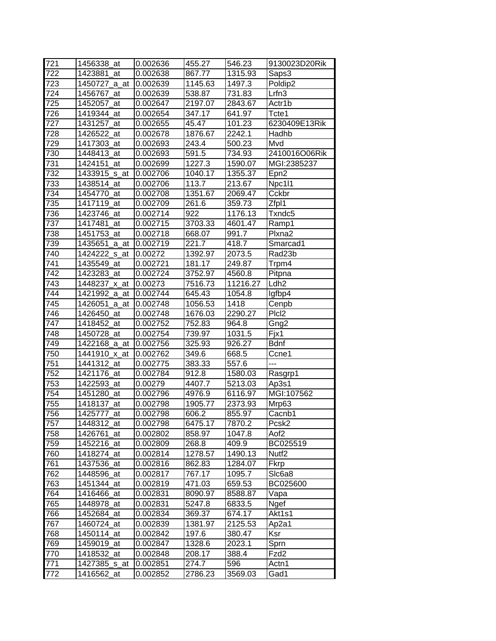| 721 | 1456338 at       | 0.002636 | 455.27  | 546.23   | 9130023D20Rik     |
|-----|------------------|----------|---------|----------|-------------------|
| 722 | 1423881<br>at    | 0.002638 | 867.77  | 1315.93  | Saps3             |
| 723 | 1450727_a_at     | 0.002639 | 1145.63 | 1497.3   | Poldip2           |
| 724 | 1456767_at       | 0.002639 | 538.87  | 731.83   | Lrfn3             |
| 725 | 1452057_at       | 0.002647 | 2197.07 | 2843.67  | Actr1b            |
| 726 | 1419344 at       | 0.002654 | 347.17  | 641.97   | Tcte1             |
| 727 | 1431257_at       | 0.002655 | 45.47   | 101.23   | 6230409E13Rik     |
| 728 | 1426522_at       | 0.002678 | 1876.67 | 2242.1   | Hadhb             |
| 729 | 1417303_at       | 0.002693 | 243.4   | 500.23   | Mvd               |
| 730 | 1448413_at       | 0.002693 | 591.5   | 734.93   | 2410016O06Rik     |
| 731 | 1424151 at       | 0.002699 | 1227.3  | 1590.07  | MGI:2385237       |
| 732 | 1433915_s_at     | 0.002706 | 1040.17 | 1355.37  | Epn <sub>2</sub>  |
| 733 | 1438514<br>at    | 0.002706 | 113.7   | 213.67   | Npc1l1            |
| 734 | 1454770<br>at    | 0.002708 | 1351.67 | 2069.47  | Cckbr             |
| 735 | 1417119<br>at    | 0.002709 | 261.6   | 359.73   | Zfpl1             |
| 736 | 1423746_at       | 0.002714 | 922     | 1176.13  | Txndc5            |
| 737 | 1417481<br>at    | 0.002715 | 3703.33 | 4601.47  | Ramp1             |
| 738 | 1451753_at       | 0.002718 | 668.07  | 991.7    | Plxna2            |
| 739 | 1435651<br>_a_at | 0.002719 | 221.7   | 418.7    | Smarcad1          |
| 740 | 1424222_s_at     | 0.00272  | 1392.97 | 2073.5   | Rad23b            |
| 741 | 1435549 at       | 0.002721 | 181.17  | 249.87   | Trpm4             |
| 742 | 1423283_at       | 0.002724 | 3752.97 | 4560.8   | Pitpna            |
| 743 | 1448237_x_at     | 0.00273  | 7516.73 | 11216.27 | Ldh <sub>2</sub>  |
| 744 | 1421992_a_at     | 0.002744 | 645.43  | 1054.8   | lgfbp4            |
| 745 | 1426051_a_at     | 0.002748 | 1056.53 | 1418     | Cenpb             |
| 746 | 1426450_at       | 0.002748 | 1676.03 | 2290.27  | Plcl <sub>2</sub> |
| 747 | 1418452 at       | 0.002752 | 752.83  | 964.8    | Gng2              |
| 748 | 1450728_at       | 0.002754 | 739.97  | 1031.5   | Fjx1              |
| 749 | 1422168_a_at     | 0.002756 | 325.93  | 926.27   | <b>Bdnf</b>       |
| 750 | 1441910_x_at     | 0.002762 | 349.6   | 668.5    | Ccne1             |
| 751 | 1441312<br>at    | 0.002775 | 383.33  | 557.6    | ---               |
| 752 | 1421176<br>at    | 0.002784 | 912.8   | 1580.03  | Rasgrp1           |
| 753 | 1422593<br>at    | 0.00279  | 4407.7  | 5213.03  | Ap3s1             |
| 754 | 1451280<br>at    | 0.002796 | 4976.9  | 6116.97  | MGI:107562        |
| 755 | 1418137_at       | 0.002798 | 1905.77 | 2373.93  | Mrp63             |
| 756 | 1425777 at       | 0.002798 | 606.2   | 855.97   | Cacnb1            |
| 757 | 1448312_at       | 0.002798 | 6475.17 | 7870.2   | Pcsk2             |
| 758 | 1426761<br>at    | 0.002802 | 858.97  | 1047.8   | Aof <sub>2</sub>  |
| 759 | 1452216_at       | 0.002809 | 268.8   | 409.9    | BC025519          |
| 760 | 1418274 at       | 0.002814 | 1278.57 | 1490.13  | Nutf <sub>2</sub> |
| 761 | 1437536 at       | 0.002816 | 862.83  | 1284.07  | Fkrp              |
| 762 | 1448596_at       | 0.002817 | 767.17  | 1095.7   | SIc6a8            |
| 763 | 1451344_at       | 0.002819 | 471.03  | 659.53   | BC025600          |
| 764 | 1416466_at       | 0.002831 | 8090.97 | 8588.87  | Vapa              |
| 765 | 1448978_at       | 0.002831 | 5247.8  | 6833.5   | Ngef              |
| 766 | 1452684_at       | 0.002834 | 369.37  | 674.17   | Akt1s1            |
| 767 | 1460724_at       | 0.002839 | 1381.97 | 2125.53  | Ap2a1             |
| 768 | 1450114_at       | 0.002842 | 197.6   | 380.47   | Ksr               |
| 769 | 1459019_at       | 0.002847 | 1328.6  | 2023.1   | Sprn              |
| 770 | 1418532_at       | 0.002848 | 208.17  | 388.4    | Fzd <sub>2</sub>  |
| 771 | 1427385_s_at     | 0.002851 | 274.7   | 596      | Actn1             |
|     |                  |          |         |          |                   |
| 772 | 1416562_at       | 0.002852 | 2786.23 | 3569.03  | Gad1              |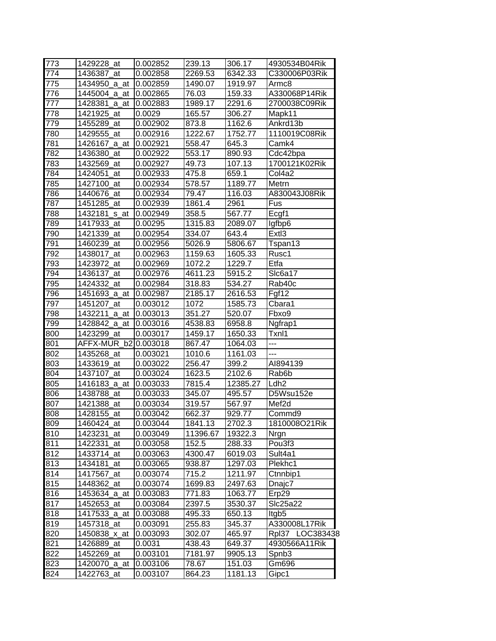| 773 | 1429228 at       | 0.002852 | 239.13         | 306.17   | 4930534B04Rik      |
|-----|------------------|----------|----------------|----------|--------------------|
| 774 | 1436387 at       | 0.002858 | 2269.53        | 6342.33  | C330006P03Rik      |
| 775 | 1434950<br>_a_at | 0.002859 | 1490.07        | 1919.97  | Armc8              |
| 776 | 1445004_a_at     | 0.002865 | 76.03          | 159.33   | A330068P14Rik      |
| 777 | 1428381<br>a at  | 0.002883 | 1989.17        | 2291.6   | 2700038C09Rik      |
| 778 | 1421925_at       | 0.0029   | 165.57         | 306.27   | Mapk11             |
| 779 | 1455289_at       | 0.002902 | 873.8          | 1162.6   | Ankrd13b           |
| 780 | 1429555_at       | 0.002916 | 1222.67        | 1752.77  | 1110019C08Rik      |
| 781 | 1426167_a_at     | 0.002921 | 558.47         | 645.3    | Camk4              |
| 782 | 1436380<br>at    | 0.002922 | 553.17         | 890.93   | Cdc42bpa           |
| 783 | 1432569_at       | 0.002927 | 49.73          | 107.13   | 1700121K02Rik      |
| 784 | 1424051<br>at    | 0.002933 | 475.8          | 659.1    | Col4a2             |
| 785 | 1427100<br>at    | 0.002934 | 578.57         | 1189.77  | Metrn              |
| 786 | 1440676<br>at    | 0.002934 | 79.47          | 116.03   | A830043J08Rik      |
| 787 | 1451285_at       | 0.002939 | 1861.4         | 2961     | Fus                |
| 788 | 1432181<br>s at  | 0.002949 | 358.5          | 567.77   | Ecgf1              |
| 789 | 1417933 at       | 0.00295  | 1315.83        | 2089.07  | Igfbp6             |
| 790 | 1421339<br>at    | 0.002954 | 334.07         | 643.4    | Extl3              |
| 791 | 1460239_at       | 0.002956 | 5026.9         | 5806.67  | Tspan13            |
| 792 | 1438017<br>at    | 0.002963 | 1159.63        | 1605.33  | Rusc1              |
| 793 | 1423972_at       | 0.002969 | 1072.2         | 1229.7   | Etfa               |
| 794 | 1436137 at       | 0.002976 | 4611.23        | 5915.2   | Slc6a17            |
| 795 | 1424332 at       | 0.002984 | 318.83         | 534.27   | Rab40c             |
| 796 | 1451693_a_at     | 0.002987 | 2185.17        | 2616.53  | Fgf12              |
|     | 1451207_at       |          |                | 1585.73  |                    |
| 797 |                  | 0.003012 | 1072<br>351.27 |          | Cbara1             |
| 798 | 1432211<br>_a_at | 0.003013 |                | 520.07   | Fbxo9              |
| 799 | 1428842_a at     | 0.003016 | 4538.83        | 6958.8   | Ngfrap1            |
| 800 | 1423299<br>at    | 0.003017 | 1459.17        | 1650.33  | Txnl1              |
| 801 | b2<br>AFFX-MUR   | 0.003018 | 867.47         | 1064.03  | ---                |
| 802 | 1435268_at       | 0.003021 | 1010.6         | 1161.03  |                    |
| 803 | 1433619<br>at    | 0.003022 | 256.47         | 399.2    | AI894139           |
| 804 | 1437107<br>at    | 0.003024 | 1623.5         | 2102.6   | Rab <sub>6</sub> b |
| 805 | 1416183<br>a at  | 0.003033 | 7815.4         | 12385.27 | Ldh <sub>2</sub>   |
| 806 | 1438788 at       | 0.003033 | 345.07         | 495.57   | D5Wsu152e          |
| 807 | 1421388_at       | 0.003034 | 319.57         | 567.97   | Mef <sub>2d</sub>  |
| 808 | 1428155 at       | 0.003042 | 662.37         | 929.77   | Commd9             |
| 809 | 1460424 at       | 0.003044 | 1841.13        | 2702.3   | 1810008O21Rik      |
| 810 | 1423231<br>at    | 0.003049 | 11396.67       | 19322.3  | Nrgn               |
| 811 | 1422331<br>_at   | 0.003058 | 152.5          | 288.33   | Pou3f3             |
| 812 | 1433714_at       | 0.003063 | 4300.47        | 6019.03  | Sult4a1            |
| 813 | 1434181<br>_at   | 0.003065 | 938.87         | 1297.03  | Plekhc1            |
| 814 | 1417567_at       | 0.003074 | 715.2          | 1211.97  | Ctnnbip1           |
| 815 | 1448362_at       | 0.003074 | 1699.83        | 2497.63  | Dnajc7             |
| 816 | 1453634_a_at     | 0.003083 | 771.83         | 1063.77  | Erp29              |
| 817 | 1452653_at       | 0.003084 | 2397.5         | 3530.37  | Slc25a22           |
| 818 | 1417533_a_at     | 0.003088 | 495.33         | 650.13   | Itgb5              |
| 819 | 1457318_at       | 0.003091 | 255.83         | 345.37   | A330008L17Rik      |
| 820 | 1450838_x_at     | 0.003093 | 302.07         | 465.97   | Rpl37 LOC383438    |
| 821 | 1426889<br>at    | 0.0031   | 438.43         | 649.37   | 4930566A11Rik      |
| 822 | 1452269_at       | 0.003101 | 7181.97        | 9905.13  | Spnb <sub>3</sub>  |
| 823 | 1420070_a_at     | 0.003106 | 78.67          | 151.03   | Gm696              |
| 824 | 1422763_at       | 0.003107 | 864.23         | 1181.13  | Gipc1              |
|     |                  |          |                |          |                    |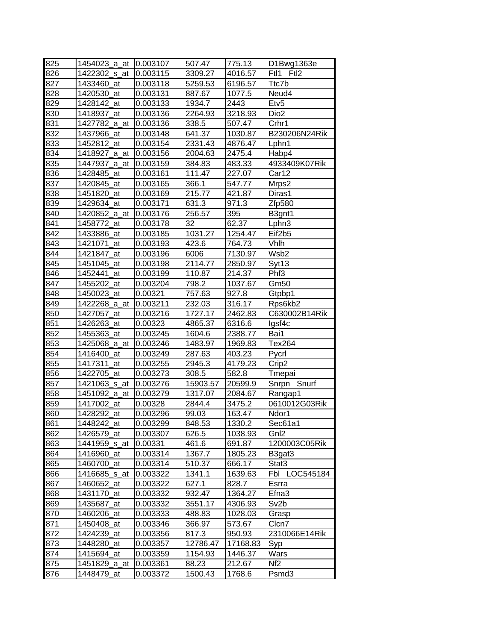| 825<br>507.47<br>775.13<br>1454023 a at<br>0.003107<br>826<br>Ftl1<br>1422302 s at<br>0.003115<br>3309.27<br>4016.57<br>827<br>1433460_at<br>0.003118<br>5259.53<br>6196.57<br>Ttc7b<br>828<br>1420530_at<br>0.003131<br>887.67<br>1077.5<br>Neud4<br>829<br>Etv <sub>5</sub><br>1428142_at<br>0.003133<br>1934.7<br>2443<br>830<br>0.003136<br>2264.93<br>3218.93<br>Dio <sub>2</sub><br>1418937_at<br>831<br>0.003136<br>338.5<br>507.47<br>Crhr1<br>1427782_a_at | D1Bwg1363e<br>Ftl <sub>2</sub> |
|---------------------------------------------------------------------------------------------------------------------------------------------------------------------------------------------------------------------------------------------------------------------------------------------------------------------------------------------------------------------------------------------------------------------------------------------------------------------|--------------------------------|
|                                                                                                                                                                                                                                                                                                                                                                                                                                                                     |                                |
|                                                                                                                                                                                                                                                                                                                                                                                                                                                                     |                                |
|                                                                                                                                                                                                                                                                                                                                                                                                                                                                     |                                |
|                                                                                                                                                                                                                                                                                                                                                                                                                                                                     |                                |
|                                                                                                                                                                                                                                                                                                                                                                                                                                                                     |                                |
|                                                                                                                                                                                                                                                                                                                                                                                                                                                                     |                                |
|                                                                                                                                                                                                                                                                                                                                                                                                                                                                     |                                |
| 832<br>641.37<br>1437966_at<br>0.003148<br>1030.87                                                                                                                                                                                                                                                                                                                                                                                                                  | B230206N24Rik                  |
| 833<br>1452812 at<br>0.003154<br>2331.43<br>4876.47<br>Lphn1                                                                                                                                                                                                                                                                                                                                                                                                        |                                |
| 834<br>0.003156<br>2004.63<br>2475.4<br>Habp4<br>1418927_a_at                                                                                                                                                                                                                                                                                                                                                                                                       |                                |
| 835<br>0.003159<br>384.83<br>483.33<br>1447937 a at                                                                                                                                                                                                                                                                                                                                                                                                                 | 4933409K07Rik                  |
| 836<br>Car12<br>1428485_at<br>0.003161<br>111.47<br>227.07                                                                                                                                                                                                                                                                                                                                                                                                          |                                |
| 837<br>1420845<br>0.003165<br>366.1<br>547.77<br>at<br>Mrps2                                                                                                                                                                                                                                                                                                                                                                                                        |                                |
| 838<br>215.77<br>1451820<br>0.003169<br>421.87<br>Diras1<br>at                                                                                                                                                                                                                                                                                                                                                                                                      |                                |
| 839<br>1429634 at<br>0.003171<br>631.3<br>971.3<br>Zfp580                                                                                                                                                                                                                                                                                                                                                                                                           |                                |
| 840<br>256.57<br>1420852_a_at<br>0.003176<br>395<br>B3gnt1                                                                                                                                                                                                                                                                                                                                                                                                          |                                |
| 32<br>62.37<br>841<br>0.003178<br>1458772<br>Lphn3<br>at                                                                                                                                                                                                                                                                                                                                                                                                            |                                |
| 842<br>1433886<br>0.003185<br>1031.27<br>1254.47<br>Eif <sub>2b5</sub><br>at                                                                                                                                                                                                                                                                                                                                                                                        |                                |
| 843<br>1421071<br>0.003193<br>423.6<br>764.73<br>Vhlh<br>at                                                                                                                                                                                                                                                                                                                                                                                                         |                                |
| 844<br>Wsb2<br>1421847<br>0.003196<br>6006<br>7130.97<br>at                                                                                                                                                                                                                                                                                                                                                                                                         |                                |
| 845<br>1451045<br>2114.77<br>0.003198<br>2850.97<br>Syt13<br>at                                                                                                                                                                                                                                                                                                                                                                                                     |                                |
| 846<br>Phf <sub>3</sub><br>1452441<br>0.003199<br>110.87<br>214.37<br>at                                                                                                                                                                                                                                                                                                                                                                                            |                                |
| 847<br>1455202 at<br>1037.67<br>Gm50<br>0.003204<br>798.2                                                                                                                                                                                                                                                                                                                                                                                                           |                                |
| 848<br>757.63<br>927.8<br>1450023_at<br>0.00321<br>Gtpbp1                                                                                                                                                                                                                                                                                                                                                                                                           |                                |
| 849<br>232.03<br>1422268_a_at<br>0.003211<br>316.17<br>Rps6kb2                                                                                                                                                                                                                                                                                                                                                                                                      |                                |
| 1727.17<br>850<br>1427057_at<br>0.003216<br>2462.83                                                                                                                                                                                                                                                                                                                                                                                                                 | C630002B14Rik                  |
| 851<br>1426263 at<br>0.00323<br>4865.37<br>6316.6<br>lgsf4c                                                                                                                                                                                                                                                                                                                                                                                                         |                                |
| 852<br>1455363_at<br>0.003245<br>1604.6<br>2388.77<br>Bai1                                                                                                                                                                                                                                                                                                                                                                                                          |                                |
| 853<br>Tex264<br>1425068_a_at<br>0.003246<br>1483.97<br>1969.83                                                                                                                                                                                                                                                                                                                                                                                                     |                                |
|                                                                                                                                                                                                                                                                                                                                                                                                                                                                     |                                |
| 854<br>287.63<br>1416400<br>403.23<br>_at<br>0.003249<br>Pycrl                                                                                                                                                                                                                                                                                                                                                                                                      |                                |
| 855<br>1417311<br>4179.23<br>at<br>0.003255<br>2945.3<br>Crip2                                                                                                                                                                                                                                                                                                                                                                                                      |                                |
| 856<br>582.8<br>1422705<br>0.003273<br>308.5<br>at<br>Tmepai                                                                                                                                                                                                                                                                                                                                                                                                        |                                |
| 857<br>1421063_s_at<br>0.003276<br>15903.57<br>20599.9                                                                                                                                                                                                                                                                                                                                                                                                              | Snrpn Snurf                    |
| 858<br>1451092<br>1317.07<br>_a_at<br>0.003279<br>2084.67<br>Rangap1                                                                                                                                                                                                                                                                                                                                                                                                |                                |
| 859<br>1417002_at<br>0.00328<br>2844.4<br>3475.2                                                                                                                                                                                                                                                                                                                                                                                                                    | 0610012G03Rik                  |
| 860<br>0.003296<br>99.03<br>163.47<br>Ndor1<br>1428292_at                                                                                                                                                                                                                                                                                                                                                                                                           |                                |
| 861<br>1448242_at<br>0.003299<br>848.53<br>1330.2<br>Sec61a1                                                                                                                                                                                                                                                                                                                                                                                                        |                                |
| 862<br>Gnl2<br>1426579_at<br>0.003307<br>626.5<br>1038.93                                                                                                                                                                                                                                                                                                                                                                                                           |                                |
| 863<br>1441959_s_at<br>0.00331<br>461.6<br>691.87                                                                                                                                                                                                                                                                                                                                                                                                                   | 1200003C05Rik                  |
| 864<br>1416960_at<br>0.003314<br>1367.7<br>1805.23<br>B3gat3                                                                                                                                                                                                                                                                                                                                                                                                        |                                |
| 865<br>1460700_at<br>666.17<br>Stat3<br>0.003314<br>510.37                                                                                                                                                                                                                                                                                                                                                                                                          |                                |
| 866<br>1416685_s_at<br>1341.1<br>1639.63<br>Fbl<br>0.003322                                                                                                                                                                                                                                                                                                                                                                                                         | LOC545184                      |
| 867<br>1460652_at<br>627.1<br>828.7<br>Esrra<br>0.003322                                                                                                                                                                                                                                                                                                                                                                                                            |                                |
| Efna3<br>868<br>1431170_at<br>932.47<br>1364.27<br>0.003332                                                                                                                                                                                                                                                                                                                                                                                                         |                                |
| 869<br>Sv2b<br>1435687_at<br>3551.17<br>4306.93<br>0.003332                                                                                                                                                                                                                                                                                                                                                                                                         |                                |
| 870<br>1460206<br>488.83<br>1028.03<br>_at<br>0.003333<br>Grasp                                                                                                                                                                                                                                                                                                                                                                                                     |                                |
| 871<br>1450408_at<br>0.003346<br>366.97<br>573.67<br>Clcn7                                                                                                                                                                                                                                                                                                                                                                                                          |                                |
| 872<br>1424239_at<br>0.003356<br>817.3<br>950.93                                                                                                                                                                                                                                                                                                                                                                                                                    | 2310066E14Rik                  |
| 873<br>12786.47<br>1448280_at<br>17168.83<br>0.003357<br>Syp                                                                                                                                                                                                                                                                                                                                                                                                        |                                |
| Wars<br>874<br>1415694_at<br>1154.93<br>1446.37<br>0.003359                                                                                                                                                                                                                                                                                                                                                                                                         |                                |
| 875<br>Nf <sub>2</sub><br>0.003361<br>88.23<br>212.67<br>1451829_a_at                                                                                                                                                                                                                                                                                                                                                                                               |                                |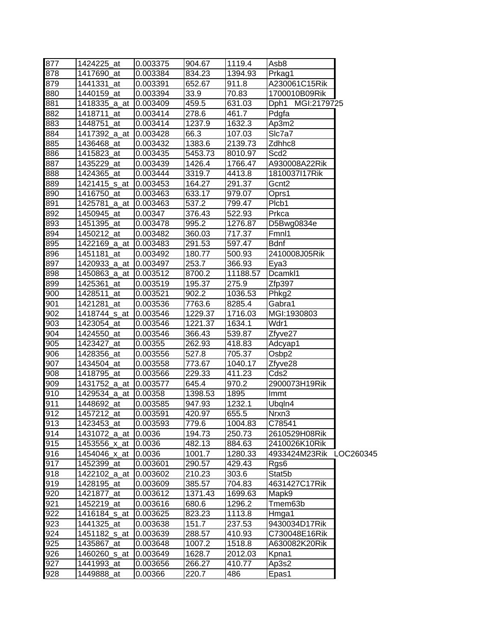| 877 | 1424225_at             | 0.003375 | 904.67  | 1119.4   | Asb8                |           |
|-----|------------------------|----------|---------|----------|---------------------|-----------|
| 878 | 1417690_at             | 0.003384 | 834.23  | 1394.93  | Prkag1              |           |
| 879 | 1441331 at             | 0.003391 | 652.67  | 911.8    | A230061C15Rik       |           |
| 880 | 1440159_at             | 0.003394 | 33.9    | 70.83    | 1700010B09Rik       |           |
| 881 | 1418335_a_at 0.003409  |          | 459.5   | 631.03   | Dph1 MGI:2179725    |           |
| 882 | 1418711 at             | 0.003414 | 278.6   | 461.7    | Pdgfa               |           |
| 883 | 1448751_at             | 0.003414 | 1237.9  | 1632.3   | Ap3m2               |           |
| 884 | 1417392_a_at 10.003428 |          | 66.3    | 107.03   | SIc7a7              |           |
| 885 | 1436468_at             | 0.003432 | 1383.6  | 2139.73  | Zdhhc8              |           |
| 886 | 1415823 at             | 0.003435 | 5453.73 | 8010.97  | Scd <sub>2</sub>    |           |
| 887 | 1435229_at             | 0.003439 | 1426.4  | 1766.47  | A930008A22Rik       |           |
| 888 | 1424365 at             | 0.003444 | 3319.7  | 4413.8   | 1810037I17Rik       |           |
| 889 | 1421415_s_at           | 0.003453 | 164.27  | 291.37   | Gcnt2               |           |
| 890 | 1416750_at             | 0.003463 | 633.17  | 979.07   | Oprs1               |           |
| 891 | 1425781_a_at 10.003463 |          | 537.2   | 799.47   | Plcb1               |           |
| 892 | 1450945_at             | 0.00347  | 376.43  | 522.93   | Prkca               |           |
| 893 | 1451395_at             | 0.003478 | 995.2   | 1276.87  | D5Bwg0834e          |           |
| 894 | 1450212_at             | 0.003482 | 360.03  | 717.37   | Fmnl1               |           |
| 895 | 1422169_a_at 10.003483 |          | 291.53  | 597.47   | <b>Bdnf</b>         |           |
| 896 | 1451181 at             | 0.003492 | 180.77  | 500.93   | 2410008J05Rik       |           |
| 897 | 1420933_a_at 0.003497  |          | 253.7   | 366.93   | Eya3                |           |
| 898 | 1450863_a_at 0.003512  |          | 8700.2  | 11188.57 | Dcamkl1             |           |
| 899 | 1425361_at             | 0.003519 | 195.37  | 275.9    | Zfp397              |           |
| 900 | 1428511 at             | 0.003521 | 902.2   | 1036.53  | Phkg2               |           |
| 901 | 1421281_at             | 0.003536 | 7763.6  | 8285.4   | Gabra1              |           |
| 902 | 1418744_s_at           | 0.003546 | 1229.37 | 1716.03  | MGI:1930803         |           |
| 903 | 1423054_at             | 0.003546 | 1221.37 | 1634.1   | Wdr1                |           |
| 904 | 1424550 at             | 0.003546 | 366.43  | 539.87   | Zfyve27             |           |
| 905 | 1423427_at             | 0.00355  | 262.93  | 418.83   | Adcyap1             |           |
| 906 | 1428356_at             | 0.003556 | 527.8   | 705.37   | Osbp2               |           |
| 907 | 1434504_at             | 0.003558 | 773.67  | 1040.17  | Zfyve28             |           |
| 908 | 1418795_at             | 0.003566 | 229.33  | 411.23   | Cds2                |           |
| 909 | 1431752_a_at 0.003577  |          | 645.4   | 970.2    | 2900073H19Rik       |           |
| 910 | 1429534_a_at 0.00358   |          | 1398.53 | 1895     | Immt                |           |
| 911 | 1448692_at             | 0.003585 | 947.93  | 1232.1   | Ubqln4              |           |
| 912 | 1457212_at             | 0.003591 | 420.97  | 655.5    | Nrxn <sub>3</sub>   |           |
| 913 | 1423453_at             | 0.003593 | 779.6   | 1004.83  | C78541              |           |
| 914 | 1431072_a_at 0.0036    |          | 194.73  | 250.73   | 2610529H08Rik       |           |
| 915 | 1453556 x at 0.0036    |          | 482.13  | 884.63   | 2410026K10Rik       |           |
| 916 | 1454046_x_at           | 0.0036   | 1001.7  | 1280.33  | 4933424M23Rik       | LOC260345 |
| 917 | 1452399_at             | 0.003601 | 290.57  | 429.43   | Rgs6                |           |
| 918 | 1422102 a at           | 0.003602 | 210.23  | 303.6    | Stat <sub>5</sub> b |           |
| 919 | 1428195_at             | 0.003609 | 385.57  | 704.83   | 4631427C17Rik       |           |
| 920 | 1421877_at             | 0.003612 | 1371.43 | 1699.63  | Mapk9               |           |
| 921 | 1452219_at             | 0.003616 | 680.6   | 1296.2   | Tmem63b             |           |
| 922 | 1416184_s_at           | 0.003625 | 823.23  | 1113.8   | Hmga1               |           |
| 923 | 1441325_at             | 0.003638 | 151.7   | 237.53   | 9430034D17Rik       |           |
| 924 | 1451182_s_at           | 0.003639 | 288.57  | 410.93   | C730048E16Rik       |           |
| 925 | 1435867_at             | 0.003648 | 1007.2  | 1518.8   | A630082K20Rik       |           |
| 926 | 1460260_s_at           | 0.003649 | 1628.7  | 2012.03  | Kpna1               |           |
| 927 | 1441993_at             | 0.003656 | 266.27  | 410.77   | Ap3s2               |           |
| 928 | 1449888_at             | 0.00366  | 220.7   | 486      | Epas1               |           |
|     |                        |          |         |          |                     |           |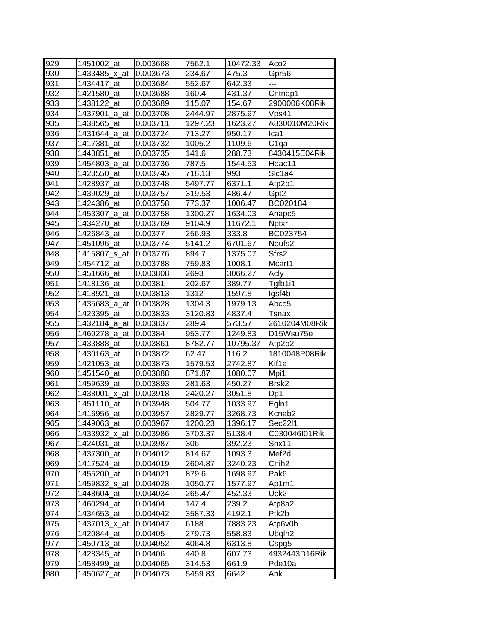| 929              | 1451002_at                 | 0.003668             | 7562.1            | 10472.33      | Aco <sub>2</sub>                    |
|------------------|----------------------------|----------------------|-------------------|---------------|-------------------------------------|
| 930              | 1433485_x_at               | 0.003673             | 234.67            | 475.3         | Gpr56                               |
| 931              | 1434417 at                 | 0.003684             | 552.67            | 642.33        | ---                                 |
| 932              | 1421580_at                 | 0.003688             | 160.4             | 431.37        | Cntnap1                             |
| 933              | 1438122 at                 | 0.003689             | 115.07            | 154.67        | 2900006K08Rik                       |
| $\overline{934}$ | 1437901<br>_a_at           | 0.003708             | 2444.97           | 2875.97       | Vps41                               |
| 935              | 1438565_at                 | 0.003711             | 1297.23           | 1623.27       | A830010M20Rik                       |
| 936              | 1431644_a_at               | 0.003724             | 713.27            | 950.17        | Ica1                                |
| 937              | 1417381<br>at              | 0.003732             | 1005.2            | 1109.6        | C <sub>1qa</sub>                    |
| 938              | 1443851_at                 | 0.003735             | 141.6             | 288.73        | 8430415E04Rik                       |
| 939              | 1454803_a_at               | 0.003736             | 787.5             | 1544.53       | Hdac11                              |
| 940              | 1423550<br>at              | 0.003745             | 718.13            | 993           | Slc1a4                              |
| 941              | 1428937<br>at              | 0.003748             | 5497.77           | 6371.1        | Atp2b1                              |
| 942              | 1439029<br>_at             | 0.003757             | 319.53            | 486.47        | Gpt2                                |
| 943              | 1424386<br>at              | 0.003758             | 773.37            | 1006.47       | BC020184                            |
| 944              | 1453307_a_at               | 0.003758             | 1300.27           | 1634.03       | Anapc5                              |
| 945              | 1434270<br>at              | 0.003769             | 9104.9            | 11672.1       | <b>Nptxr</b>                        |
| 946              | 1426843_at                 | 0.00377              | 256.93            | 333.8         | BC023754                            |
| 947              | 1451096_at                 | 0.003774             | 5141.2            | 6701.67       | Ndufs2                              |
| 948              | 1415807 s at               | 0.003776             | 894.7             | 1375.07       | Sfrs2                               |
| 949              | 1454712 at                 | 0.003788             | 759.83            | 1008.1        | Mcart1                              |
| 950              | 1451666_at                 | 0.003808             | 2693              | 3066.27       | Acly                                |
| 951              | 1418136 at                 | 0.00381              | 202.67            | 389.77        | Tgfb1i1                             |
| 952              | 1418921_at                 | 0.003813             | 1312              | 1597.8        | lgsf4b                              |
| 953              | 1435683_a_at               | 0.003828             | 1304.3            | 1979.13       | Abcc5                               |
| 954              | 1423395_at                 | 0.003833             | 3120.83           | 4837.4        | Tsnax                               |
| 955              | 1432184_a_at               | 0.003837             | 289.4             | 573.57        | 2610204M08Rik                       |
| 956              | 1460278_a_at               | 0.00384              | 953.77            | 1249.83       | D <sub>15</sub> W <sub>su</sub> 75e |
|                  |                            |                      |                   |               |                                     |
| 957              | 1433888<br>at              | 0.003861             | 8782.77           | 10795.37      | Atp2b2                              |
| 958              | 1430163<br>at              | 0.003872             | 62.47             | 116.2         | 1810048P08Rik                       |
| 959              | 1421053<br>at              | 0.003873             | 1579.53           | 2742.87       | Kif1a                               |
| 960              | 1451540<br>at              | 0.003888             | 871.87            | 1080.07       | Mpi1                                |
| 961              | 1459639_at                 | 0.003893             | 281.63            | 450.27        | Brsk <sub>2</sub>                   |
| 962              | 1438001<br>x at            | 0.003918             | 2420.27           | 3051.8        | Dp1                                 |
| 963              | 1451110_at                 | 0.003948             | 504.77            | 1033.97       | Egln1                               |
|                  | 1416956 at                 | 0.003957             | 2829.77           | 3268.73       | Kcnab <sub>2</sub>                  |
| 964<br>965       | 1449063 at                 | 0.003967             | 1200.23           | 1396.17       | Sec22l1                             |
| 966              | 1433932_x_at               | 0.003986             | 3703.37           | 5138.4        | C030046I01Rik                       |
| 967              | 1424031_at                 |                      | 306               | 392.23        | Snx11                               |
| 968              | 1437300 at                 | 0.003987<br>0.004012 | 814.67            |               | Mef <sub>2d</sub>                   |
|                  |                            | 0.004019             |                   | 1093.3        |                                     |
| 969              | 1417524_at                 | 0.004021             | 2604.87           | 3240.23       | Cnih2                               |
| 970              | 1455200_at<br>1459832 s at |                      | 879.6             | 1698.97       | Pak6                                |
| 971              |                            | 0.004028             | 1050.77           | 1577.97       | Ap1m1                               |
| 972              | 1448604_at                 | 0.004034             | 265.47            | 452.33        | Uck2                                |
| 973              | 1460294_at                 | 0.00404              | 147.4<br>3587.33  | 239.2         | Atp8a2                              |
| 974              | 1434653_at                 | 0.004042             |                   | 4192.1        | Ptk2b                               |
| 975              | 1437013_x_at<br>at         | 0.004047             | 6188              | 7883.23       | Atp6v0b                             |
| 976              | 1420844                    | 0.00405              | 279.73            | 558.83        | Ubqln2                              |
| 977              | 1450713_at                 | 0.004052             | 4064.8            | 6313.8        | Cspg5                               |
| 978              | 1428345_at                 | 0.00406              | 440.8             | 607.73        | 4932443D16Rik                       |
| 979<br>980       | 1458499_at<br>1450627_at   | 0.004065<br>0.004073 | 314.53<br>5459.83 | 661.9<br>6642 | Pde10a<br>Ank                       |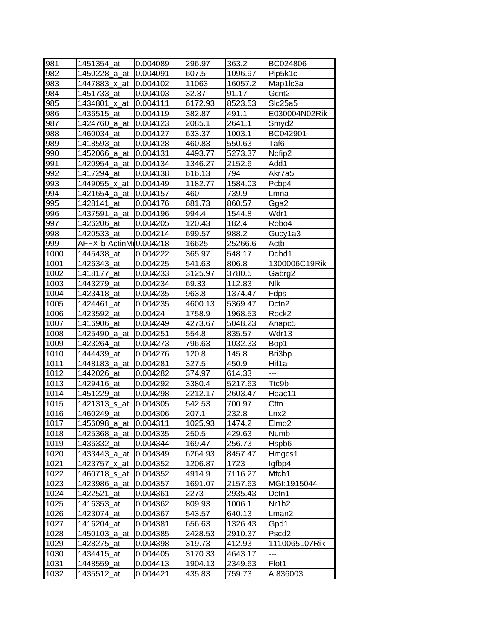| 981  | 1451354_at             | 0.004089 | 296.97  | 363.2   | BC024806           |
|------|------------------------|----------|---------|---------|--------------------|
| 982  | 1450228_a_at           | 0.004091 | 607.5   | 1096.97 | Pip5k1c            |
| 983  | 1447883 x at           | 0.004102 | 11063   | 16057.2 | Map1Ic3a           |
| 984  | 1451733_at             | 0.004103 | 32.37   | 91.17   | Gcnt <sub>2</sub>  |
| 985  | 1434801_x_at           | 0.004111 | 6172.93 | 8523.53 | Slc25a5            |
| 986  | 1436515 at             | 0.004119 | 382.87  | 491.1   | E030004N02Rik      |
| 987  | 1424760_a_at           | 0.004123 | 2085.1  | 2641.1  | Smyd <sub>2</sub>  |
| 988  | 1460034_at             | 0.004127 | 633.37  | 1003.1  | BC042901           |
| 989  | 1418593_at             | 0.004128 | 460.83  | 550.63  | Taf <sub>6</sub>   |
| 990  | 1452066 a at           | 0.004131 | 4493.77 | 5273.37 | Ndfip <sub>2</sub> |
| 991  | 1420954_a_at           | 0.004134 | 1346.27 | 2152.6  | Add1               |
| 992  | 1417294 at             | 0.004138 | 616.13  | 794     | Akr7a5             |
| 993  | 1449055_x_at           | 0.004149 | 1182.77 | 1584.03 | Pcbp4              |
| 994  | 1421654_a_at           | 0.004157 | 460     | 739.9   | Lmna               |
| 995  | 1428141_at             | 0.004176 | 681.73  | 860.57  | Gga2               |
| 996  | 1437591_a_at           | 0.004196 | 994.4   | 1544.8  | Wdr1               |
| 997  | 1426206_at             | 0.004205 | 120.43  | 182.4   | Robo4              |
| 998  | 1420533 at             | 0.004214 | 699.57  | 988.2   | Gucy1a3            |
| 999  | AFFX-b-ActinMI0.004218 |          | 16625   | 25266.6 | Actb               |
| 1000 | 1445438_at             | 0.004222 | 365.97  | 548.17  | Ddhd1              |
| 1001 | 1426343_at             | 0.004225 | 541.63  | 806.8   | 1300006C19Rik      |
| 1002 | 1418177_at             | 0.004233 | 3125.97 | 3780.5  | Gabrg2             |
| 1003 | 1443279_at             | 0.004234 | 69.33   | 112.83  | <b>Nlk</b>         |
| 1004 | 1423418 at             | 0.004235 | 963.8   | 1374.47 | Fdps               |
| 1005 | 1424461 at             | 0.004235 | 4600.13 | 5369.47 | Dctn <sub>2</sub>  |
| 1006 | 1423592_at             | 0.00424  | 1758.9  | 1968.53 | Rock <sub>2</sub>  |
| 1007 | 1416906 at             | 0.004249 | 4273.67 | 5048.23 | Anapc <sub>5</sub> |
| 1008 | 1425490_a_at           | 0.004251 | 554.8   | 835.57  | Wdr13              |
| 1009 | 1423264 at             | 0.004273 | 796.63  | 1032.33 | Bop1               |
| 1010 | 1444439 at             | 0.004276 | 120.8   | 145.8   | Bri3bp             |
| 1011 | 1448183_a_at           | 0.004281 | 327.5   | 450.9   | Hif1a              |
| 1012 | 1442026_at             | 0.004282 | 374.97  | 614.33  | ---                |
| 1013 | 1429416_at             | 0.004292 | 3380.4  | 5217.63 | Ttc9b              |
| 1014 | 1451229_at             | 0.004298 | 2212.17 | 2603.47 | Hdac11             |
| 1015 | 1421313_s_at           | 0.004305 | 542.53  | 700.97  | Cttn               |
| 1016 | 1460249_at             | 0.004306 | 207.1   | 232.8   | Lnx2               |
| 1017 | 1456098_a_at           | 0.004311 | 1025.93 | 1474.2  | Elmo <sub>2</sub>  |
| 1018 | 1425368_a_at           | 0.004335 | 250.5   | 429.63  | Numb               |
| 1019 | 1436332_at             | 0.004344 | 169.47  | 256.73  | Hspb6              |
| 1020 | 1433443_a_at           | 0.004349 | 6264.93 | 8457.47 | Hmgcs1             |
| 1021 | 1423757_x_at           | 0.004352 | 1206.87 | 1723    | lgfbp4             |
| 1022 | 1460718_s_at           | 0.004352 | 4914.9  | 7116.27 | Mtch <sub>1</sub>  |
| 1023 | 1423986_a_at           | 0.004357 | 1691.07 | 2157.63 | MGI:1915044        |
| 1024 | 1422521_at             | 0.004361 | 2273    | 2935.43 | Dctn1              |
| 1025 | 1416353_at             | 0.004362 | 809.93  | 1006.1  | Nr1h <sub>2</sub>  |
| 1026 | 1423074_at             | 0.004367 | 543.57  | 640.13  | Lman <sub>2</sub>  |
| 1027 | 1416204_at             | 0.004381 | 656.63  | 1326.43 | Gpd1               |
| 1028 | 1450103_a_at           | 0.004385 | 2428.53 | 2910.37 | Pscd <sub>2</sub>  |
| 1029 | 1428275_at             | 0.004398 | 319.73  | 412.93  | 1110065L07Rik      |
| 1030 | 1434415_at             | 0.004405 | 3170.33 | 4643.17 | $---$              |
| 1031 | 1448559_at             | 0.004413 | 1904.13 | 2349.63 | Flot1              |
| 1032 | 1435512_at             | 0.004421 | 435.83  | 759.73  | AI836003           |
|      |                        |          |         |         |                    |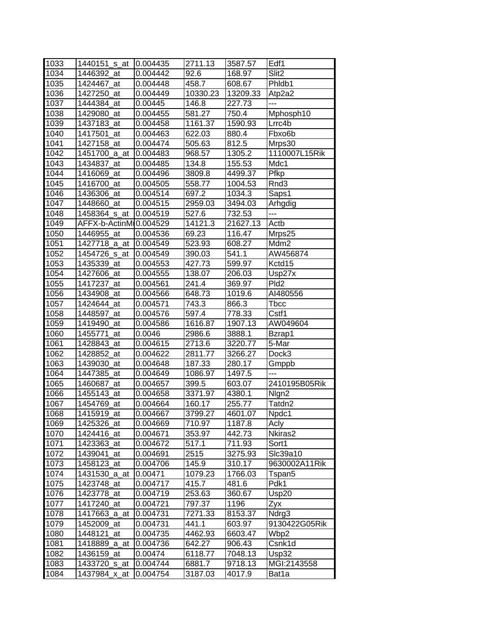| 1033 | 1440151_s_at   | 0.004435 | 2711.13  | 3587.57  | Edf1                |
|------|----------------|----------|----------|----------|---------------------|
| 1034 | 1446392 at     | 0.004442 | 92.6     | 168.97   | Slit <sub>2</sub>   |
| 1035 | 1424467 at     | 0.004448 | 458.7    | 608.67   | Phidb1              |
| 1036 | 1427250_at     | 0.004449 | 10330.23 | 13209.33 | Atp2a2              |
| 1037 | 1444384 at     | 0.00445  | 146.8    | 227.73   | ---                 |
| 1038 | 1429080_at     | 0.004455 | 581.27   | 750.4    | Mphosph10           |
| 1039 | 1437183_at     | 0.004458 | 1161.37  | 1590.93  | Lrrc4b              |
| 1040 | 1417501<br>at  | 0.004463 | 622.03   | 880.4    | Fbxo <sub>6</sub> b |
| 1041 | 1427158_at     | 0.004474 | 505.63   | 812.5    | Mrps30              |
| 1042 | 1451700_a_at   | 0.004483 | 968.57   | 1305.2   | 1110007L15Rik       |
| 1043 | 1434837_at     | 0.004485 | 134.8    | 155.53   | Mdc1                |
| 1044 | 1416069<br>at  | 0.004496 | 3809.8   | 4499.37  | Pfkp                |
| 1045 | 1416700<br>at  | 0.004505 | 558.77   | 1004.53  | Rnd3                |
| 1046 | 1436306<br>at  | 0.004514 | 697.2    | 1034.3   | Saps1               |
| 1047 | 1448660_at     | 0.004515 | 2959.03  | 3494.03  | Arhgdig             |
| 1048 | 1458364_s_at   | 0.004519 | 527.6    | 732.53   | $\qquad \qquad -$   |
| 1049 | AFFX-b-ActinMi | 0.004529 | 14121.3  | 21627.13 | Actb                |
| 1050 | 1446955_at     | 0.004536 | 69.23    | 116.47   | Mrps25              |
| 1051 | 1427718_a_at   | 0.004549 | 523.93   | 608.27   | Mdm2                |
| 1052 | 1454726_s_at   | 0.004549 | 390.03   | 541.1    | AW456874            |
| 1053 | 1435339_at     | 0.004553 | 427.73   | 599.97   | Kctd15              |
| 1054 | 1427606_at     | 0.004555 | 138.07   | 206.03   | Usp27x              |
| 1055 | 1417237 at     | 0.004561 | 241.4    | 369.97   | Pld <sub>2</sub>    |
| 1056 | 1434908 at     | 0.004566 | 648.73   | 1019.6   | AI480556            |
| 1057 | 1424644_at     | 0.004571 | 743.3    | 866.3    | <b>T</b> bcc        |
| 1058 | 1448597 at     | 0.004576 | 597.4    | 778.33   | Cstf1               |
| 1059 | 1419490_at     | 0.004586 | 1616.87  | 1907.13  | AW049604            |
| 1060 | 1455771<br>at  | 0.0046   | 2986.6   | 3888.1   | Bzrap1              |
| 1061 | 1428843<br>at  | 0.004615 | 2713.6   | 3220.77  | 5-Mar               |
| 1062 | 1428852<br>at  | 0.004622 | 2811.77  | 3266.27  | Dock3               |
| 1063 | 1439030<br>at  | 0.004648 | 187.33   | 280.17   | Gmppb               |
| 1064 | 1447385<br>at  | 0.004649 | 1086.97  | 1497.5   | ---                 |
| 1065 | 1460687<br>at  | 0.004657 | 399.5    | 603.07   | 2410195B05Rik       |
| 1066 | 1455143 at     | 0.004658 | 3371.97  | 4380.1   | Nlgn2               |
| 1067 | 1454769_at     | 0.004664 | 160.17   | 255.77   | Tatdn2              |
| 1068 | 1415919_at     | 0.004667 | 3799.27  | 4601.07  | Npdc1               |
| 1069 | 1425326 at     | 0.004669 | 710.97   | 1187.8   | Acly                |
| 1070 | 1424416 at     | 0.004671 | 353.97   | 442.73   | Nkiras2             |
| 1071 | 1423363_at     | 0.004672 | 517.1    | 711.93   | Sort1               |
| 1072 | 1439041_at     | 0.004691 | 2515     | 3275.93  | Slc39a10            |
| 1073 | 1458123_at     | 0.004706 | 145.9    | 310.17   | 9630002A11Rik       |
| 1074 | 1431530_a_at   | 0.00471  | 1079.23  | 1766.03  | Tspan5              |
| 1075 | 1423748_at     | 0.004717 | 415.7    | 481.6    | Pdk1                |
| 1076 | 1423778_at     | 0.004719 | 253.63   | 360.67   | Usp20               |
| 1077 | 1417240<br>at  | 0.004721 | 797.37   | 1196     | Zyx                 |
| 1078 | 1417663_a_at   | 0.004731 | 7271.33  | 8153.37  | Ndrg3               |
| 1079 | 1452009_at     | 0.004731 | 441.1    | 603.97   | 9130422G05Rik       |
| 1080 | 1448121<br>at  | 0.004735 | 4462.93  | 6603.47  | Wbp2                |
| 1081 | 1418889_a_at   | 0.004736 | 642.27   | 906.43   | Csnk1d              |
| 1082 | 1436159_at     | 0.00474  | 6118.77  | 7048.13  | Usp32               |
| 1083 | 1433720_s_at   | 0.004744 | 6881.7   | 9718.13  | MGI:2143558         |
|      | 1437984_x_at   | 0.004754 | 3187.03  | 4017.9   |                     |
| 1084 |                |          |          |          | Bat1a               |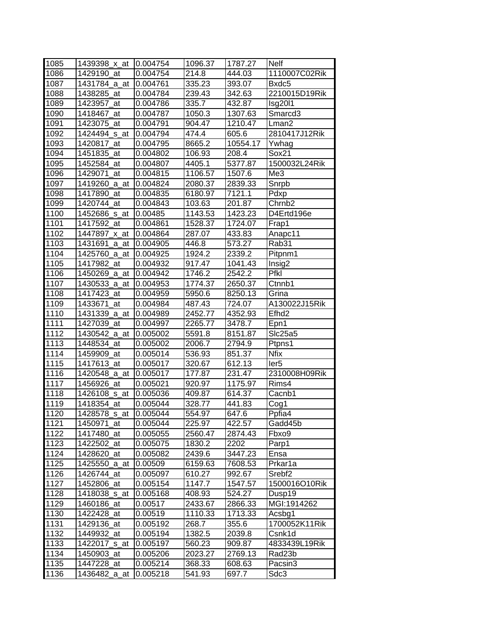| 1085 | 1439398_x_at  | 0.004754 | 1096.37 | 1787.27  | Nelf              |
|------|---------------|----------|---------|----------|-------------------|
| 1086 | 1429190_at    | 0.004754 | 214.8   | 444.03   | 1110007C02Rik     |
| 1087 | 1431784 a at  | 0.004761 | 335.23  | 393.07   | Bxdc5             |
| 1088 | 1438285_at    | 0.004784 | 239.43  | 342.63   | 2210015D19Rik     |
| 1089 | 1423957_at    | 0.004786 | 335.7   | 432.87   | <b>Isg2011</b>    |
| 1090 | 1418467_at    | 0.004787 | 1050.3  | 1307.63  | Smarcd3           |
| 1091 | 1423075_at    | 0.004791 | 904.47  | 1210.47  | Lman <sub>2</sub> |
| 1092 | 1424494_s_at  | 0.004794 | 474.4   | 605.6    | 2810417J12Rik     |
| 1093 | 1420817 at    | 0.004795 | 8665.2  | 10554.17 | Ywhag             |
| 1094 | 1451835_at    | 0.004802 | 106.93  | 208.4    | Sox21             |
| 1095 | 1452584 at    | 0.004807 | 4405.1  | 5377.87  | 1500032L24Rik     |
| 1096 | 1429071<br>at | 0.004815 | 1106.57 | 1507.6   | Me3               |
| 1097 | 1419260_a_at  | 0.004824 | 2080.37 | 2839.33  | Snrpb             |
| 1098 | 1417890<br>at | 0.004835 | 6180.97 | 7121.1   | Pdxp              |
| 1099 | 1420744_at    | 0.004843 | 103.63  | 201.87   | Chrnb2            |
| 1100 | 1452686_s_at  | 0.00485  | 1143.53 | 1423.23  | D4Ertd196e        |
| 1101 | 1417592_at    | 0.004861 | 1528.37 | 1724.07  | Frap1             |
| 1102 | 1447897 x at  | 0.004864 | 287.07  | 433.83   | Anapc11           |
| 1103 | 1431691 a at  | 0.004905 | 446.8   | 573.27   | Rab31             |
| 1104 | 1425760_a_at  | 0.004925 | 1924.2  | 2339.2   | Pitpnm1           |
| 1105 | 1417982_at    | 0.004932 | 917.47  | 1041.43  | Insig2            |
| 1106 | 1450269 a at  | 0.004942 | 1746.2  | 2542.2   | Pfkl              |
| 1107 | 1430533 a at  | 0.004953 | 1774.37 | 2650.37  | Ctnnb1            |
| 1108 | 1417423 at    | 0.004959 | 5950.6  | 8250.13  | Grina             |
| 1109 | 1433671_at    | 0.004984 | 487.43  | 724.07   | A130022J15Rik     |
| 1110 | 1431339_a_at  | 0.004989 | 2452.77 | 4352.93  | Efhd <sub>2</sub> |
| 1111 | 1427039_at    | 0.004997 | 2265.77 | 3478.7   | Epn1              |
| 1112 | 1430542_a_at  | 0.005002 | 5591.8  | 8151.87  | Slc25a5           |
| 1113 | 1448534_at    | 0.005002 | 2006.7  | 2794.9   | Ptpns1            |
| 1114 | 1459909_at    | 0.005014 | 536.93  | 851.37   | <b>Nfix</b>       |
| 1115 | 1417613_at    | 0.005017 | 320.67  | 612.13   | ler <sub>5</sub>  |
| 1116 | 1420548_a_at  | 0.005017 | 177.87  | 231.47   | 2310008H09Rik     |
| 1117 | 1456926_at    | 0.005021 | 920.97  | 1175.97  | Rims4             |
| 1118 | 1426108_s_at  | 0.005036 | 409.87  | 614.37   | Cacnb1            |
| 1119 | 1418354_at    | 0.005044 | 328.77  | 441.83   | Cog1              |
| 1120 | 1428578_s_at  | 0.005044 | 554.97  | 647.6    | Ppfia4            |
| 1121 | 1450971_at    | 0.005044 | 225.97  | 422.57   | Gadd45b           |
| 1122 | 1417480_at    | 0.005055 | 2560.47 | 2874.43  | Fbxo9             |
| 1123 | 1422502 at    | 0.005075 | 1830.2  | 2202     | Parp1             |
| 1124 | 1428620_at    | 0.005082 | 2439.6  | 3447.23  | Ensa              |
| 1125 | 1425550_a_at  | 0.00509  | 6159.63 | 7608.53  | Prkar1a           |
| 1126 | 1426744_at    | 0.005097 | 610.27  | 992.67   | Srebf2            |
| 1127 | 1452806 at    | 0.005154 | 1147.7  | 1547.57  | 1500016O10Rik     |
| 1128 | 1418038_s_at  | 0.005168 | 408.93  | 524.27   | Dusp19            |
| 1129 | 1460186_at    | 0.00517  | 2433.67 | 2866.33  | MGI:1914262       |
| 1130 | 1422428_at    | 0.00519  | 1110.33 | 1713.33  | Acsbg1            |
| 1131 | 1429136_at    | 0.005192 | 268.7   | 355.6    | 1700052K11Rik     |
| 1132 | 1449932_at    | 0.005194 | 1382.5  | 2039.8   | Csnk1d            |
| 1133 | 1422017_s_at  | 0.005197 | 560.23  | 909.87   | 4833439L19Rik     |
| 1134 | 1450903_at    | 0.005206 | 2023.27 | 2769.13  | Rad23b            |
| 1135 | 1447228_at    | 0.005214 | 368.33  | 608.63   | Pacsin3           |
| 1136 | 1436482_a_at  | 0.005218 | 541.93  | 697.7    | Sdc3              |
|      |               |          |         |          |                   |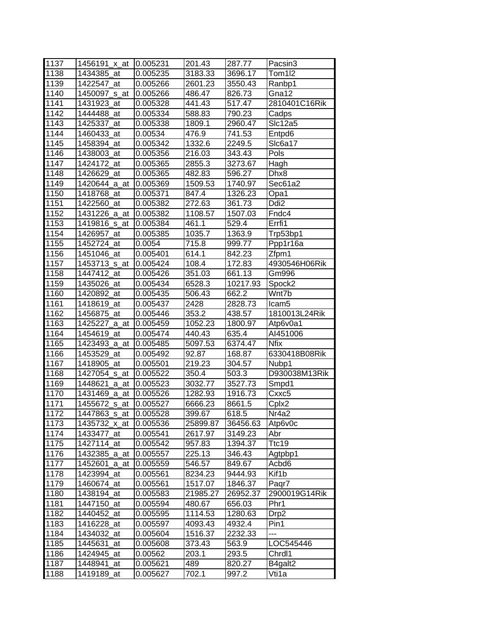| 1137 | 1456191 x at             | 10.005231 | 201.43   | 287.77   | Pacsin3          |
|------|--------------------------|-----------|----------|----------|------------------|
| 1138 | 1434385 at               | 0.005235  | 3183.33  | 3696.17  | Tom1l2           |
| 1139 | 1422547_at               | 0.005266  | 2601.23  | 3550.43  | Ranbp1           |
| 1140 | 1450097_s_at             | 0.005266  | 486.47   | 826.73   | Gna12            |
| 1141 | 1431923_at               | 0.005328  | 441.43   | 517.47   | 2810401C16Rik    |
| 1142 | 1444488 at               | 0.005334  | 588.83   | 790.23   | Cadps            |
| 1143 | 1425337 at               | 0.005338  | 1809.1   | 2960.47  | Slc12a5          |
| 1144 | 1460433_at               | 0.00534   | 476.9    | 741.53   | Entpd6           |
| 1145 | 1458394_at               | 0.005342  | 1332.6   | 2249.5   | Slc6a17          |
| 1146 | 1438003_at               | 0.005356  | 216.03   | 343.43   | Pols             |
| 1147 | 1424172 at               | 0.005365  | 2855.3   | 3273.67  | Hagh             |
| 1148 | 1426629_at               | 0.005365  | 482.83   | 596.27   | Dhx8             |
| 1149 | 1420644_a_at             | 0.005369  | 1509.53  | 1740.97  | Sec61a2          |
| 1150 | 1418768_at               | 0.005371  | 847.4    | 1326.23  | Opa1             |
| 1151 | 1422560 at               | 0.005382  | 272.63   | 361.73   | Ddi <sub>2</sub> |
| 1152 | 1431226_a_at             | 0.005382  | 1108.57  | 1507.03  | Fndc4            |
| 1153 | 1419816_s_at             | 0.005384  | 461.1    | 529.4    | Errfi1           |
| 1154 | 1426957_at               | 0.005385  | 1035.7   | 1363.9   | Trp53bp1         |
| 1155 | 1452724 at               | 0.0054    | 715.8    | 999.77   | Ppp1r16a         |
| 1156 | 1451046 at               | 0.005401  | 614.1    | 842.23   | Zfpm1            |
| 1157 | 1453713 s at             | 0.005424  | 108.4    | 172.83   | 4930546H06Rik    |
| 1158 | 1447412 at               | 0.005426  | 351.03   | 661.13   | Gm996            |
| 1159 | 1435026_at               | 0.005434  | 6528.3   | 10217.93 | Spock2           |
| 1160 | 1420892_at               | 0.005435  | 506.43   | 662.2    | Wnt7b            |
| 1161 | 1418619 at               | 0.005437  | 2428     | 2828.73  | Icam5            |
| 1162 | 1456875_at               | 0.005446  | 353.2    | 438.57   | 1810013L24Rik    |
| 1163 | 1425227_a_at             | 0.005459  | 1052.23  | 1800.97  | Atp6v0a1         |
| 1164 | 1454619 at               | 0.005474  | 440.43   | 635.4    | AI451006         |
| 1165 | 1423493_a_at             | 0.005485  | 5097.53  | 6374.47  | <b>Nfix</b>      |
| 1166 | 1453529_at               | 0.005492  | 92.87    | 168.87   | 6330418B08Rik    |
| 1167 | 1418905_at               | 0.005501  | 219.23   | 304.57   | Nubp1            |
| 1168 | 1427054_s_at             | 0.005522  | 350.4    | 503.3    | D930038M13Rik    |
| 1169 | 1448621_a_at             | 0.005523  | 3032.77  | 3527.73  | Smpd1            |
| 1170 | 1431469_a_at             | 0.005526  | 1282.93  | 1916.73  | Cxxc5            |
| 1171 | 1455672 <sub>_S_at</sub> | 0.005527  | 6666.23  | 8661.5   | Cplx2            |
| 1172 | 1447863_s_at             | 0.005528  | 399.67   | 618.5    | Nr4a2            |
| 1173 | 1435732_x_at             | 0.005536  | 25899.87 | 36456.63 | Atp6v0c          |
| 1174 | 1433477_at               | 0.005541  | 2617.97  | 3149.23  | Abr              |
| 1175 | 1427114_at               | 0.005542  | 957.83   | 1394.37  | Ttc19            |
| 1176 | 1432385_a_at             | 0.005557  | 225.13   | 346.43   | Agtpbp1          |
| 1177 | 1452601_a_at             | 0.005559  | 546.57   | 849.67   | Acbd6            |
| 1178 | 1423994_at               | 0.005561  | 8234.23  | 9444.93  | Kif1b            |
| 1179 | 1460674_at               | 0.005561  | 1517.07  | 1846.37  | Paqr7            |
| 1180 | 1438194_at               | 0.005583  | 21985.27 | 26952.37 | 2900019G14Rik    |
| 1181 | 1447150_at               | 0.005594  | 480.67   | 656.03   | Phr1             |
| 1182 | 1440452<br>at            | 0.005595  | 1114.53  | 1280.63  | Drp <sub>2</sub> |
| 1183 | 1416228_at               | 0.005597  | 4093.43  | 4932.4   | Pin1             |
| 1184 | 1434032<br>at            | 0.005604  | 1516.37  | 2232.33  | ---              |
| 1185 | 1445631<br>at            | 0.005608  | 373.43   | 563.9    | LOC545446        |
| 1186 | 1424945_at               | 0.00562   | 203.1    | 293.5    | Chrdl1           |
| 1187 | 1448941_at               | 0.005621  | 489      | 820.27   | B4galt2          |
| 1188 |                          |           |          |          |                  |
|      | 1419189_at               | 0.005627  | 702.1    | 997.2    | Vti1a            |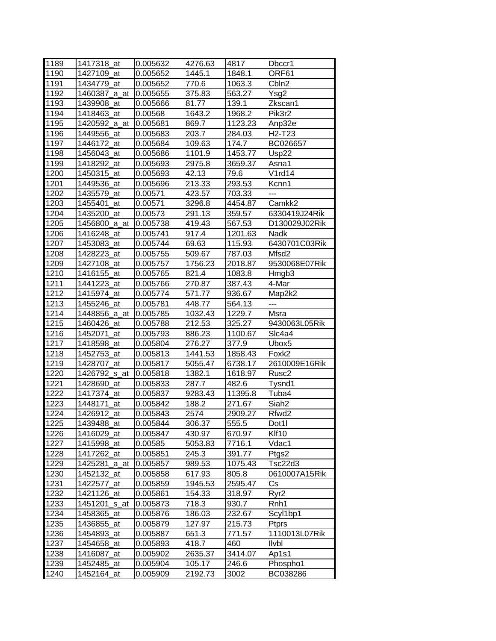| 1189 | 1417318_at             | 0.005632 | 4276.63 | 4817    | Dbccr1                          |
|------|------------------------|----------|---------|---------|---------------------------------|
| 1190 | 1427109_at             | 0.005652 | 1445.1  | 1848.1  | ORF61                           |
| 1191 | 1434779_at             | 0.005652 | 770.6   | 1063.3  | Cbln <sub>2</sub>               |
| 1192 | 1460387_a_at           | 0.005655 | 375.83  | 563.27  | Ysg2                            |
| 1193 | 1439908_at             | 0.005666 | 81.77   | 139.1   | Zkscan1                         |
| 1194 | 1418463_at             | 0.00568  | 1643.2  | 1968.2  | Pik3r2                          |
| 1195 | 1420592_a_at           | 0.005681 | 869.7   | 1123.23 | Anp32e                          |
| 1196 | 1449556_at             | 0.005683 | 203.7   | 284.03  | H <sub>2</sub> -T <sub>23</sub> |
| 1197 | 1446172_at             | 0.005684 | 109.63  | 174.7   | BC026657                        |
| 1198 | 1456043_at             | 0.005686 | 1101.9  | 1453.77 | Usp22                           |
| 1199 | 1418292_at             | 0.005693 | 2975.8  | 3659.37 | Asna1                           |
| 1200 | 1450315_at             | 0.005693 | 42.13   | 79.6    | V1rd14                          |
| 1201 | 1449536_at             | 0.005696 | 213.33  | 293.53  | Kcnn1                           |
| 1202 | 1435579_at             | 0.00571  | 423.57  | 703.33  | ---                             |
| 1203 | 1455401_at             | 0.00571  | 3296.8  | 4454.87 | Camkk2                          |
| 1204 | 1435200_at             | 0.00573  | 291.13  | 359.57  | 6330419J24Rik                   |
| 1205 | 1456800_a_at           | 0.005738 | 419.43  | 567.53  | D130029J02Rik                   |
| 1206 | 1416248_at             | 0.005741 | 917.4   | 1201.63 | Nadk                            |
| 1207 | 1453083_at             | 0.005744 | 69.63   | 115.93  | 6430701C03Rik                   |
| 1208 | 1428223 at             | 0.005755 | 509.67  | 787.03  | Mfsd <sub>2</sub>               |
| 1209 | 1427108_at             | 0.005757 | 1756.23 | 2018.87 | 9530068E07Rik                   |
| 1210 | 1416155 at             | 0.005765 | 821.4   | 1083.8  | Hmgb3                           |
| 1211 | 1441223 at             | 0.005766 | 270.87  | 387.43  | 4-Mar                           |
| 1212 | 1415974 at             | 0.005774 | 571.77  | 936.67  | Map2k2                          |
| 1213 | 1455246 at             | 0.005781 | 448.77  | 564.13  | ---                             |
| 1214 | 1448856_a_at           | 0.005785 | 1032.43 | 1229.7  | Msra                            |
| 1215 | 1460426 at             | 0.005788 | 212.53  | 325.27  | 9430063L05Rik                   |
| 1216 | 1452071<br>at          | 0.005793 | 886.23  | 1100.67 | SIc4a4                          |
| 1217 | 1418598_at             | 0.005804 | 276.27  | 377.9   | Ubox5                           |
| 1218 | 1452753_at             | 0.005813 | 1441.53 | 1858.43 | Foxk2                           |
| 1219 | 1428707_at             | 0.005817 | 5055.47 | 6738.17 | 2610009E16Rik                   |
| 1220 | 1426792_s_at           | 0.005818 | 1382.1  | 1618.97 | Rusc <sub>2</sub>               |
| 1221 | 1428690_at             | 0.005833 | 287.7   | 482.6   | Tysnd1                          |
| 1222 | 1417374_at             | 0.005837 | 9283.43 | 11395.8 | Tuba4                           |
| 1223 | 1448171 at             | 0.005842 | 188.2   | 271.67  | Siah <sub>2</sub>               |
| 1224 | 1426912_at             | 0.005843 | 2574    | 2909.27 | Rfwd2                           |
| 1225 | 1439488_at             | 0.005844 | 306.37  | 555.5   | Dot1l                           |
| 1226 | 1416029_at             | 0.005847 | 430.97  | 670.97  | Klf10                           |
| 1227 | 1415998 at             | 0.00585  | 5053.83 | 7716.1  | Vdac1                           |
| 1228 | 1417262_at             | 0.005851 | 245.3   | 391.77  | Ptgs2                           |
| 1229 | 1425281<br>_a_at       | 0.005857 | 989.53  | 1075.43 | Tsc22d3                         |
| 1230 | 1452132_at             | 0.005858 | 617.93  | 805.8   | 0610007A15Rik                   |
| 1231 | 1422577_at             | 0.005859 | 1945.53 | 2595.47 | Сs                              |
| 1232 | 1421126_at             | 0.005861 | 154.33  | 318.97  | Ryr2                            |
| 1233 | 1451201<br><u>s_at</u> | 0.005873 | 718.3   | 930.7   | Rnh1                            |
| 1234 | 1458365_at             | 0.005876 | 186.03  | 232.67  | Scyl1bp1                        |
| 1235 | 1436855_at             | 0.005879 | 127.97  | 215.73  | Ptprs                           |
| 1236 | 1454893_at             | 0.005887 | 651.3   | 771.57  | 1110013L07Rik                   |
| 1237 | 1454658_at             | 0.005893 | 418.7   | 460     | llvbl                           |
| 1238 | 1416087_at             | 0.005902 | 2635.37 | 3414.07 | Ap1s1                           |
| 1239 | 1452485_at             | 0.005904 | 105.17  | 246.6   |                                 |
|      |                        |          |         |         | Phospho1                        |
| 1240 | 1452164_at             | 0.005909 | 2192.73 | 3002    | BC038286                        |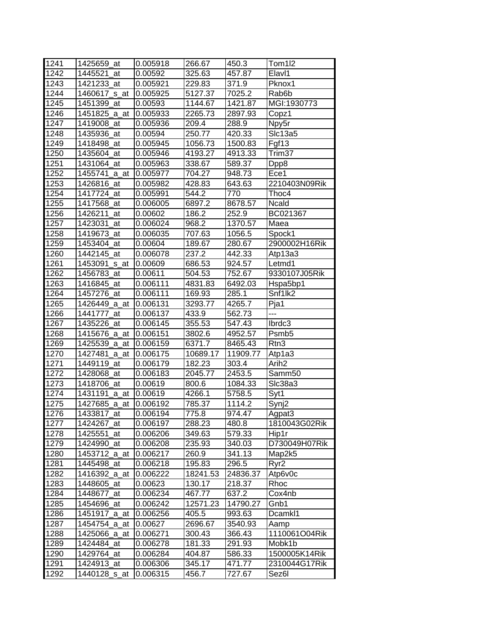| 1241 | 1425659_at       | 0.005918 | 266.67   | 450.3    | Tom1l2             |
|------|------------------|----------|----------|----------|--------------------|
| 1242 | 1445521 at       | 0.00592  | 325.63   | 457.87   | Elavl1             |
| 1243 | 1421233 at       | 0.005921 | 229.83   | 371.9    | Pknox1             |
| 1244 | 1460617_s_at     | 0.005925 | 5127.37  | 7025.2   | Rab <sub>6</sub> b |
| 1245 | 1451399 at       | 0.00593  | 1144.67  | 1421.87  | MGI:1930773        |
| 1246 | 1451825 a at     | 0.005933 | 2265.73  | 2897.93  | Copz1              |
| 1247 | 1419008_at       | 0.005936 | 209.4    | 288.9    | Npy5r              |
| 1248 | 1435936_at       | 0.00594  | 250.77   | 420.33   | Slc13a5            |
| 1249 | 1418498_at       | 0.005945 | 1056.73  | 1500.83  | Fgf13              |
| 1250 | 1435604_at       | 0.005946 | 4193.27  | 4913.33  | Trim37             |
| 1251 | 1431064_at       | 0.005963 | 338.67   | 589.37   | Dpp8               |
| 1252 | 1455741 a at     | 0.005977 | 704.27   | 948.73   | Ece1               |
| 1253 | 1426816_at       | 0.005982 | 428.83   | 643.63   | 2210403N09Rik      |
| 1254 | 1417724_at       | 0.005991 | 544.2    | 770      | Thoc4              |
| 1255 | 1417568 at       | 0.006005 | 6897.2   | 8678.57  | Ncald              |
| 1256 | 1426211_at       | 0.00602  | 186.2    | 252.9    | BC021367           |
| 1257 | 1423031<br>at    | 0.006024 | 968.2    | 1370.57  | Maea               |
| 1258 | 1419673_at       | 0.006035 | 707.63   | 1056.5   | Spock1             |
| 1259 | 1453404 at       | 0.00604  | 189.67   | 280.67   | 2900002H16Rik      |
| 1260 | 1442145 at       | 0.006078 | 237.2    | 442.33   | Atp13a3            |
| 1261 | 1453091<br>_s_at | 0.00609  | 686.53   | 924.57   | Letmd1             |
| 1262 | 1456783_at       | 0.00611  | 504.53   | 752.67   | 9330107J05Rik      |
| 1263 | 1416845 at       | 0.006111 | 4831.83  | 6492.03  | Hspa5bp1           |
| 1264 | 1457276_at       | 0.006111 | 169.93   | 285.1    | Snf1lk2            |
| 1265 | 1426449_a_at     | 0.006131 | 3293.77  | 4265.7   | Pja1               |
| 1266 | 1441777_at       | 0.006137 | 433.9    | 562.73   | ---                |
| 1267 | 1435226 at       | 0.006145 | 355.53   | 547.43   | lbrdc3             |
| 1268 | 1415676_a_at     | 0.006151 | 3802.6   | 4952.57  | Psmb <sub>5</sub>  |
| 1269 | 1425539_a_at     | 0.006159 | 6371.7   | 8465.43  | Rtn <sub>3</sub>   |
| 1270 | 1427481_a_at     | 0.006175 | 10689.17 | 11909.77 | Atp1a3             |
| 1271 | 1449119 at       | 0.006179 | 182.23   | 303.4    | Arih <sub>2</sub>  |
| 1272 | 1428068_at       | 0.006183 | 2045.77  | 2453.5   | Samm50             |
| 1273 | 1418706_at       | 0.00619  | 800.6    | 1084.33  | SIc38a3            |
| 1274 | 1431191 a at     | 0.00619  | 4266.1   | 5758.5   | Syt1               |
| 1275 | 1427685_a_at     | 0.006192 | 785.37   | 1114.2   | Synj2              |
| 1276 | 1433817_at       | 0.006194 | 775.8    | 974.47   | Agpat3             |
| 1277 | 1424267_at       | 0.006197 | 288.23   | 480.8    | 1810043G02Rik      |
| 1278 | 1425551<br>at    | 0.006206 | 349.63   | 579.33   | Hip1r              |
| 1279 | 1424990_at       | 0.006208 | 235.93   | 340.03   | D730049H07Rik      |
| 1280 | 1453712_a_at     | 0.006217 | 260.9    | 341.13   | Map2k5             |
| 1281 | 1445498_at       | 0.006218 | 195.83   | 296.5    | Ryr <sub>2</sub>   |
| 1282 | 1416392_a_at     | 0.006222 | 18241.53 | 24836.37 | Atp6v0c            |
| 1283 | 1448605_at       | 0.00623  | 130.17   | 218.37   | Rhoc               |
| 1284 | 1448677_at       | 0.006234 | 467.77   | 637.2    | Cox4nb             |
| 1285 | 1454696_at       | 0.006242 | 12571.23 | 14790.27 | Gnb1               |
| 1286 | 1451917_a_at     | 0.006256 | 405.5    | 993.63   | Dcamkl1            |
| 1287 | 1454754_a_at     | 0.00627  | 2696.67  | 3540.93  | Aamp               |
| 1288 | 1425066_a_at     | 0.006271 | 300.43   | 366.43   | 1110061O04Rik      |
| 1289 | 1424484_at       | 0.006278 | 181.33   | 291.93   | Mobk1b             |
| 1290 | 1429764_at       | 0.006284 | 404.87   | 586.33   | 1500005K14Rik      |
| 1291 | 1424913_at       | 0.006306 | 345.17   | 471.77   | 2310044G17Rik      |
| 1292 | 1440128_s_at     | 0.006315 | 456.7    | 727.67   | Sez6l              |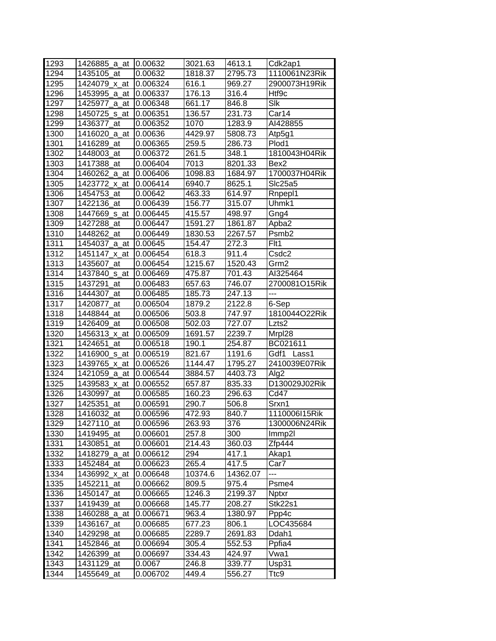| 1293         | 1426885_a_at             | 0.00632            | 3021.63        | 4613.1           | Cdk2ap1           |
|--------------|--------------------------|--------------------|----------------|------------------|-------------------|
| 1294         |                          |                    | 1818.37        | 2795.73          | 1110061N23Rik     |
|              | 1435105 at               | 0.00632            |                |                  |                   |
| 1295         | 1424079 x at             | 0.006324           | 616.1          | 969.27           | 2900073H19Rik     |
| 1296         | 1453995_a_at             | 0.006337           | 176.13         | 316.4            | Htf9c             |
| 1297         | 1425977_a_at             | 0.006348           | 661.17         | 846.8            | Slk               |
| 1298         | 1450725_s_at             | 0.006351           | 136.57         | 231.73           | Car14             |
| 1299         | 1436377_at               | 0.006352           | 1070           | 1283.9           | AI428855          |
| 1300         | 1416020_a_at             | 0.00636            | 4429.97        | 5808.73          | Atp5g1            |
| 1301         | 1416289_at               | 0.006365           | 259.5          | 286.73           | Plod1             |
| 1302         | 1448003_at               | 0.006372           | 261.5          | 348.1            | 1810043H04Rik     |
| 1303         | 1417388 at               | 0.006404           | 7013           | 8201.33          | Bex2              |
| 1304         | 1460262_a_at             | 0.006406           | 1098.83        | 1684.97          | 1700037H04Rik     |
| 1305         | 1423772 x at             | 0.006414           | 6940.7         | 8625.1           | Slc25a5           |
| 1306         | 1454753 at               | 0.00642            | 463.33         | 614.97           | Rnpepl1           |
| 1307         | 1422136 at               | 0.006439           | 156.77         | 315.07           | Uhmk1             |
| 1308         | 1447669_s_at             | 0.006445           | 415.57         | 498.97           | Gng4              |
| 1309         | 1427288 at               | 0.006447           | 1591.27        | 1861.87          | Apba2             |
| 1310         | 1448262_at               | 0.006449           | 1830.53        | 2267.57          | Psmb <sub>2</sub> |
| 1311         | 1454037_a_at             | 0.00645            | 154.47         | 272.3            | Flt1              |
| 1312         | 1451147_x_at             | 0.006454           | 618.3          | 911.4            | Csdc2             |
| 1313         | 1435607_at               | 0.006454           | 1215.67        | 1520.43          | Grm2              |
| 1314         | 1437840_s_at             | 0.006469           | 475.87         | 701.43           | AI325464          |
| 1315         | 1437291<br>at            | 0.006483           | 657.63         | 746.07           | 2700081O15Rik     |
| 1316         | 1444307 at               | 0.006485           | 185.73         | 247.13           | ---               |
| 1317         | 1420877 at               | 0.006504           | 1879.2         | 2122.8           | 6-Sep             |
| 1318         | 1448844_at               | 0.006506           | 503.8          | 747.97           | 1810044O22Rik     |
| 1319         | 1426409 at               | 0.006508           | 502.03         | 727.07           | Lzts2             |
| 1320         | 1456313_x_at             | 0.006509           | 1691.57        | 2239.7           | Mrpl28            |
| 1321         | 1424651<br>at            | 0.006518           | 190.1          | 254.87           | BC021611          |
| 1322         | 1416900_s_at             | 0.006519           | 821.67         | 1191.6           | Gdf1<br>Lass1     |
| 1323         | 1439765_x_at             | 0.006526           | 1144.47        | 1795.27          | 2410039E07Rik     |
| 1324         | 1421059_a_at             | 0.006544           | 3884.57        | 4403.73          | Alg <sub>2</sub>  |
| 1325         | 1439583 x at             | 0.006552           | 657.87         | 835.33           | D130029J02Rik     |
| 1326         | 1430997 at               | 0.006585           | 160.23         | 296.63           | Cd47              |
| 1327         | 1425351<br>at            | 0.006591           | 290.7          | 506.8            | Srxn1             |
| 1328         | 1416032 at               | 0.006596           | 472.93         | 840.7            | 1110006I15Rik     |
| 1329         | 1427110_at               | 0.006596           | 263.93         | 376              | 1300006N24Rik     |
| 1330         | 1419495 at               | 0.006601           | 257.8          | 300              | Immp2l            |
| 1331         | 1430851_at               | 0.006601           | 214.43         | 360.03           | Zfp444            |
| 1332         | 1418279_a_at             | 0.006612           | 294            | 417.1            | Akap1             |
| 1333         |                          |                    |                |                  |                   |
|              |                          |                    |                |                  |                   |
|              | 1452484_at               | 0.006623           | 265.4          | 417.5            | Car7<br>---       |
| 1334         | 1436992_x_at             | 0.006648           | 10374.6        | 14362.07         |                   |
| 1335         | 1452211_at               | 0.006662           | 809.5          | 975.4            | Psme4             |
| 1336         | 1450147 at               | 0.006665           | 1246.3         | 2199.37          | <b>Nptxr</b>      |
| 1337         | 1419439_at               | 0.006668           | 145.77         | 208.27           | Stk22s1           |
| 1338         | 1460288_a_at             | 0.006671           | 963.4          | 1380.97          | Ppp4c             |
| 1339         | 1436167_at               | 0.006685           | 677.23         | 806.1            | LOC435684         |
| 1340         | 1429298_at               | 0.006685           | 2289.7         | 2691.83          | Ddah1             |
| 1341         | 1452846_at               | 0.006694           | 305.4          | 552.53           | Ppfia4            |
| 1342         | 1426399_at               | 0.006697           | 334.43         | 424.97           | Vwa1              |
| 1343<br>1344 | 1431129_at<br>1455649_at | 0.0067<br>0.006702 | 246.8<br>449.4 | 339.77<br>556.27 | Usp31<br>Ttc9     |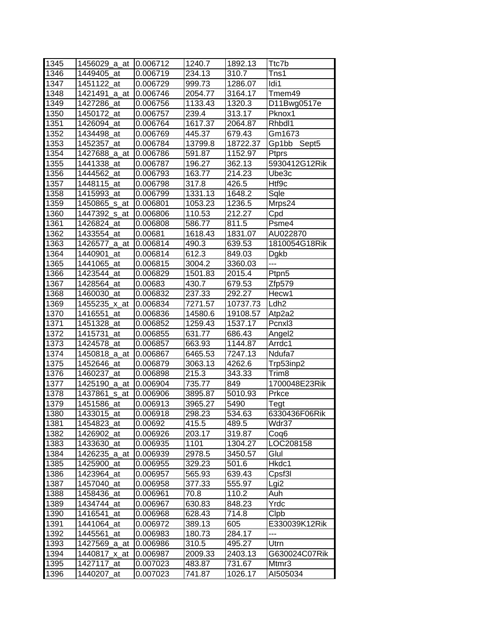| 1345 | 1456029_a_at     | 0.006712 | 1240.7  | 1892.13  | Ttc7b                         |
|------|------------------|----------|---------|----------|-------------------------------|
| 1346 | 1449405 at       | 0.006719 | 234.13  | 310.7    | Tns1                          |
| 1347 | 1451122_at       | 0.006729 | 999.73  | 1286.07  | Idi1                          |
| 1348 | 1421491<br>_a_at | 0.006746 | 2054.77 | 3164.17  | Tmem49                        |
| 1349 | 1427286 at       | 0.006756 | 1133.43 | 1320.3   | D11Bwg0517e                   |
| 1350 | 1450172_at       | 0.006757 | 239.4   | 313.17   | Pknox1                        |
|      |                  |          | 1617.37 | 2064.87  | Rhbdl1                        |
| 1351 | 1426094_at       | 0.006764 | 445.37  |          |                               |
| 1352 | 1434498_at       | 0.006769 |         | 679.43   | Gm1673                        |
| 1353 | 1452357_at       | 0.006784 | 13799.8 | 18722.37 | Gp1bb<br>Sept <sub>5</sub>    |
| 1354 | 1427688_a_at     | 0.006786 | 591.87  | 1152.97  | <b>Ptprs</b><br>5930412G12Rik |
| 1355 | 1441338 at       | 0.006787 | 196.27  | 362.13   |                               |
| 1356 | 1444562_at       | 0.006793 | 163.77  | 214.23   | Ube3c                         |
| 1357 | 1448115<br>at    | 0.006798 | 317.8   | 426.5    | Htf9c                         |
| 1358 | 1415993_at       | 0.006799 | 1331.13 | 1648.2   | Sqle                          |
| 1359 | 1450865_s_at     | 0.006801 | 1053.23 | 1236.5   | Mrps24                        |
| 1360 | 1447392_s_at     | 0.006806 | 110.53  | 212.27   | Cpd                           |
| 1361 | 1426824<br>at    | 0.006808 | 586.77  | 811.5    | Psme4                         |
| 1362 | 1433554_at       | 0.00681  | 1618.43 | 1831.07  | AU022870                      |
| 1363 | 1426577_a_at     | 0.006814 | 490.3   | 639.53   | 1810054G18Rik                 |
| 1364 | 1440901<br>at    | 0.006814 | 612.3   | 849.03   | Dgkb                          |
| 1365 | 1441065_at       | 0.006815 | 3004.2  | 3360.03  | ---                           |
| 1366 | 1423544 at       | 0.006829 | 1501.83 | 2015.4   | Ptpn5                         |
| 1367 | 1428564 at       | 0.00683  | 430.7   | 679.53   | Zfp579                        |
| 1368 | 1460030_at       | 0.006832 | 237.33  | 292.27   | Hecw1                         |
| 1369 | 1455235_x_at     | 0.006834 | 7271.57 | 10737.73 | Ldh <sub>2</sub>              |
| 1370 | 1416551_at       | 0.006836 | 14580.6 | 19108.57 | Atp2a2                        |
| 1371 | 1451328 at       | 0.006852 | 1259.43 | 1537.17  | Pcnx <sub>13</sub>            |
| 1372 | 1415731_at       | 0.006855 | 631.77  | 686.43   | Angel <sub>2</sub>            |
| 1373 | 1424578<br>at    | 0.006857 | 663.93  | 1144.87  | Arrdc1                        |
| 1374 | 1450818_a_at     | 0.006867 | 6465.53 | 7247.13  | Ndufa7                        |
| 1375 | 1452646<br>at    | 0.006879 | 3063.13 | 4262.6   | Trp53inp2                     |
| 1376 | 1460237_at       | 0.006898 | 215.3   | 343.33   | Trim8                         |
| 1377 | 1425190_a_at     | 0.006904 | 735.77  | 849      | 1700048E23Rik                 |
| 1378 | 1437861_s_at     | 0.006906 | 3895.87 | 5010.93  | Prkce                         |
| 1379 | 1451586 at       | 0.006913 | 3965.27 | 5490     | Tegt                          |
| 1380 | 1433015_at       | 0.006918 | 298.23  | 534.63   | 6330436F06Rik                 |
| 1381 | 1454823 at       | 0.00692  | 415.5   | 489.5    | Wdr37                         |
| 1382 | 1426902_at       | 0.006926 | 203.17  | 319.87   | Coq6                          |
| 1383 | 1433630_at       | 0.006935 | 1101    | 1304.27  | LOC208158                     |
| 1384 | 1426235_a_at     | 0.006939 | 2978.5  | 3450.57  | Glul                          |
| 1385 | 1425900_at       | 0.006955 | 329.23  | 501.6    | Hkdc1                         |
| 1386 | 1423964 at       | 0.006957 | 565.93  | 639.43   | Cpsf3l                        |
| 1387 | 1457040_at       | 0.006958 | 377.33  | 555.97   | Lgi2                          |
| 1388 | 1458436 at       | 0.006961 | 70.8    | 110.2    | Auh                           |
| 1389 | 1434744_at       | 0.006967 | 630.83  | 848.23   | Yrdc                          |
| 1390 | 1416541<br>at    | 0.006968 | 628.43  | 714.8    | Clpb                          |
| 1391 | 1441064 at       | 0.006972 | 389.13  | 605      | E330039K12Rik                 |
| 1392 | 1445561<br>at    | 0.006983 | 180.73  | 284.17   | ---                           |
| 1393 | 1427569_a_at     | 0.006986 | 310.5   | 495.27   | Utrn                          |
| 1394 | 1440817_x_at     | 0.006987 | 2009.33 | 2403.13  | G630024C07Rik                 |
| 1395 | 1427117_at       | 0.007023 | 483.87  | 731.67   | Mtmr3                         |
| 1396 | 1440207_at       | 0.007023 | 741.87  | 1026.17  | AI505034                      |
|      |                  |          |         |          |                               |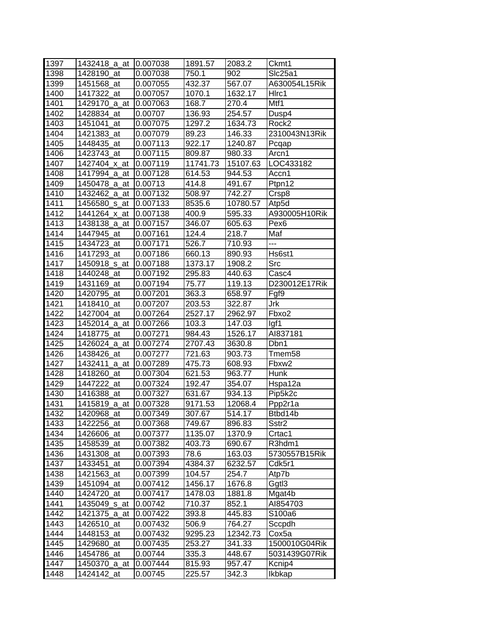| 1397 | 1432418_a_at     | 0.007038 | 1891.57  | 2083.2   | Ckmt1              |
|------|------------------|----------|----------|----------|--------------------|
| 1398 | 1428190 at       | 0.007038 | 750.1    | 902      | Slc25a1            |
| 1399 | 1451568_at       | 0.007055 | 432.37   | 567.07   | A630054L15Rik      |
| 1400 | 1417322 at       | 0.007057 | 1070.1   | 1632.17  | HIrc1              |
| 1401 | 1429170 a at     | 0.007063 | 168.7    | 270.4    | Mtf1               |
| 1402 | 1428834 at       | 0.00707  | 136.93   | 254.57   | Dusp4              |
| 1403 | 1451041_at       | 0.007075 | 1297.2   | 1634.73  | Rock <sub>2</sub>  |
| 1404 | 1421383_at       | 0.007079 | 89.23    | 146.33   | 2310043N13Rik      |
| 1405 | 1448435 at       | 0.007113 | 922.17   | 1240.87  | Pcqap              |
| 1406 | 1423743_at       | 0.007115 | 809.87   | 980.33   | Arcn1              |
| 1407 | 1427404_x_at     | 0.007119 | 11741.73 | 15107.63 | LOC433182          |
| 1408 | 1417994 a at     | 0.007128 | 614.53   | 944.53   | Accn1              |
| 1409 | 1450478_a_at     | 0.00713  | 414.8    | 491.67   | Ptpn12             |
| 1410 | 1432462_a_at     | 0.007132 | 508.97   | 742.27   | Crsp8              |
| 1411 | 1456580_s_at     | 0.007133 | 8535.6   | 10780.57 | Atp5d              |
| 1412 | 1441264_x_at     | 0.007138 | 400.9    | 595.33   | A930005H10Rik      |
| 1413 | 1438138_a_at     | 0.007157 | 346.07   | 605.63   | Pex <sub>6</sub>   |
| 1414 | 1447945 at       | 0.007161 | 124.4    | 218.7    | Maf                |
| 1415 | 1434723 at       | 0.007171 | 526.7    | 710.93   | $\overline{a}$     |
| 1416 | 1417293 at       | 0.007186 | 660.13   | 890.93   | Hs6st1             |
| 1417 | 1450918_s_at     | 0.007188 | 1373.17  | 1908.2   | Src                |
| 1418 | 1440248 at       | 0.007192 | 295.83   | 440.63   | Casc4              |
| 1419 | 1431169 at       | 0.007194 | 75.77    | 119.13   | D230012E17Rik      |
| 1420 | 1420795_at       | 0.007201 | 363.3    | 658.97   | Fgf9               |
| 1421 | 1418410 at       | 0.007207 | 203.53   | 322.87   | Jrk                |
| 1422 | 1427004 at       | 0.007264 | 2527.17  | 2962.97  | Fbxo2              |
| 1423 | 1452014_a_at     | 0.007266 | 103.3    | 147.03   | lgf1               |
| 1424 | 1418775 at       | 0.007271 | 984.43   | 1526.17  | AI837181           |
| 1425 | 1426024_a_at     | 0.007274 | 2707.43  | 3630.8   | Dbn1               |
| 1426 | 1438426 at       | 0.007277 | 721.63   | 903.73   | Tmem <sub>58</sub> |
| 1427 | 1432411_a_at     | 0.007289 | 475.73   | 608.93   | Fbxw2              |
| 1428 | 1418260<br>at    | 0.007304 | 621.53   | 963.77   | <b>Hunk</b>        |
| 1429 | 1447222_at       | 0.007324 | 192.47   | 354.07   | Hspa12a            |
| 1430 | 1416388_at       | 0.007327 | 631.67   | 934.13   | Pip5k2c            |
| 1431 | 1415819_a_at     | 0.007328 | 9171.53  | 12068.4  | Ppp2r1a            |
| 1432 | 1420968_at       | 0.007349 | 307.67   | 514.17   | Btbd14b            |
| 1433 | 1422256_at       | 0.007368 | 749.67   | 896.83   | Sstr <sub>2</sub>  |
| 1434 | 1426606_at       | 0.007377 | 1135.07  | 1370.9   | Crtac1             |
| 1435 | 1458539_at       | 0.007382 | 403.73   | 690.67   | R3hdm1             |
| 1436 | 1431308 at       | 0.007393 | 78.6     | 163.03   | 5730557B15Rik      |
| 1437 | 1433451 at       | 0.007394 | 4384.37  | 6232.57  | Cdk5r1             |
| 1438 | 1421563 at       | 0.007399 | 104.57   | 254.7    | Atp7b              |
| 1439 | 1451094 at       | 0.007412 | 1456.17  | 1676.8   | Ggtl3              |
| 1440 | 1424720 at       | 0.007417 | 1478.03  | 1881.8   | Mgat4b             |
| 1441 | 1435049_s_at     | 0.00742  | 710.37   | 852.1    | AI854703           |
| 1442 | 1421375<br>_a_at | 0.007422 | 393.8    | 445.83   | S100a6             |
| 1443 | 1426510<br>at    | 0.007432 | 506.9    | 764.27   | Sccpdh             |
| 1444 | 1448153_at       | 0.007432 | 9295.23  | 12342.73 | Cox5a              |
| 1445 | 1429680_at       | 0.007435 | 253.27   | 341.33   | 1500010G04Rik      |
| 1446 | 1454786_at       | 0.00744  | 335.3    | 448.67   | 5031439G07Rik      |
| 1447 | 1450370_a_at     | 0.007444 | 815.93   | 957.47   | Kcnip4             |
| 1448 | 1424142_at       | 0.00745  | 225.57   | 342.3    | Ikbkap             |
|      |                  |          |          |          |                    |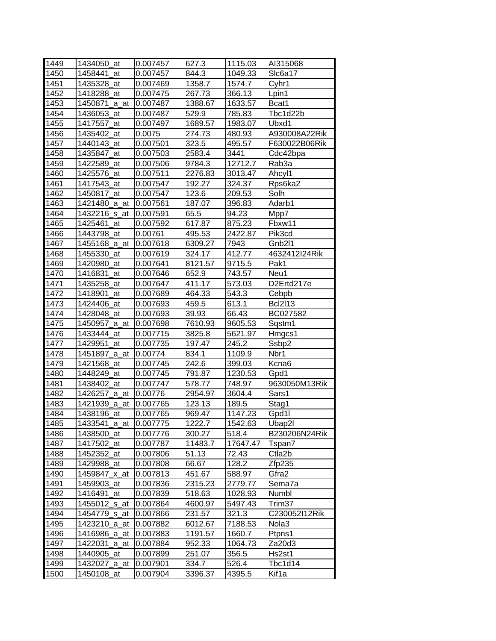| 1449 | 1434050_at            | 0.007457 | 627.3   | 1115.03  | AI315068          |
|------|-----------------------|----------|---------|----------|-------------------|
| 1450 | 1458441 at            | 0.007457 | 844.3   | 1049.33  | SIc6a17           |
| 1451 | 1435328_at            | 0.007469 | 1358.7  | 1574.7   | Cyhr1             |
| 1452 | 1418288_at            | 0.007475 | 267.73  | 366.13   | Lpin1             |
| 1453 | 1450871_a_at          | 0.007487 | 1388.67 | 1633.57  | Bcat1             |
| 1454 | 1436053_at            | 0.007487 | 529.9   | 785.83   | Tbc1d22b          |
| 1455 | 1417557 at            | 0.007497 | 1689.57 | 1983.07  | Ubxd1             |
| 1456 | 1435402_at            | 0.0075   | 274.73  | 480.93   | A930008A22Rik     |
| 1457 | 1440143 at            | 0.007501 | 323.5   | 495.57   | F630022B06Rik     |
| 1458 | 1435847_at            | 0.007503 | 2583.4  | 3441     | Cdc42bpa          |
| 1459 | 1422589 at            | 0.007506 | 9784.3  | 12712.7  | Rab3a             |
| 1460 | 1425576_at            | 0.007511 | 2276.83 | 3013.47  | Ahcyl1            |
| 1461 | 1417543_at            | 0.007547 | 192.27  | 324.37   | Rps6ka2           |
| 1462 | 1450817_at            | 0.007547 | 123.6   | 209.53   | Solh              |
| 1463 | 1421480_a_at          | 0.007561 | 187.07  | 396.83   | Adarb1            |
| 1464 | 1432216_s_at          | 0.007591 | 65.5    | 94.23    | Mpp7              |
| 1465 | 1425461<br>at         | 0.007592 | 617.87  | 875.23   | Fbxw11            |
| 1466 | 1443798 at            | 0.00761  | 495.53  | 2422.87  | Pik3cd            |
| 1467 | 1455168 a at          | 0.007618 | 6309.27 | 7943     | Gnb2l1            |
| 1468 | 1455330 at            | 0.007619 | 324.17  | 412.77   | 4632412I24Rik     |
| 1469 | 1420980_at            | 0.007641 | 8121.57 | 9715.5   | Pak1              |
| 1470 | 1416831 at            | 0.007646 | 652.9   | 743.57   | Neu1              |
| 1471 | 1435258_at            | 0.007647 | 411.17  | 573.03   | D2Ertd217e        |
| 1472 | 1418901_at            | 0.007689 | 464.33  | 543.3    | Cebpb             |
| 1473 | 1424406 at            | 0.007693 | 459.5   | 613.1    | <b>Bcl2l13</b>    |
| 1474 | 1428048_at            | 0.007693 | 39.93   | 66.43    | BC027582          |
| 1475 | 1450957_a_at          | 0.007698 | 7610.93 | 9605.53  | Sqstm1            |
| 1476 | 1433444_at            | 0.007715 | 3825.8  | 5621.97  | Hmgcs1            |
| 1477 | 1429951<br>at         | 0.007735 | 197.47  | 245.2    | Ssbp2             |
| 1478 | 1451897_a_at          | 0.00774  | 834.1   | 1109.9   | Nbr1              |
| 1479 | 1421568<br>at         | 0.007745 | 242.6   | 399.03   | Kcna6             |
| 1480 | 1448249_at            | 0.007745 | 791.87  | 1230.53  | Gpd1              |
| 1481 | 1438402_at            | 0.007747 | 578.77  | 748.97   | 9630050M13Rik     |
| 1482 | 1426257_a_at          | 0.00776  | 2954.97 | 3604.4   | Sars1             |
| 1483 | 1421939_a_at          | 0.007765 | 123.13  | 189.5    | Stag1             |
| 1484 | 1438196_at            | 0.007765 | 969.47  | 1147.23  | Gpd1l             |
| 1485 | 1433541_a_at 0.007775 |          | 1222.7  | 1542.63  | Ubap2l            |
| 1486 | 1438500_at            | 0.007776 | 300.27  | 518.4    | B230206N24Rik     |
| 1487 | 1417502_at            | 0.007787 | 11483.7 | 17647.47 | Tspan7            |
| 1488 | 1452352_at            | 0.007806 | 51.13   | 72.43    | Ctla2b            |
| 1489 | 1429988 at            | 0.007808 | 66.67   | 128.2    | Zfp235            |
| 1490 | 1459847_x_at          | 0.007813 | 451.67  | 588.97   | Gfra2             |
| 1491 | 1459903_at            | 0.007836 | 2315.23 | 2779.77  | Sema7a            |
| 1492 | 1416491_at            | 0.007839 | 518.63  | 1028.93  | Numbl             |
| 1493 | 1455012_s_at          | 0.007864 | 4600.97 | 5497.43  | Trim37            |
| 1494 | 1454779_s_at          | 0.007866 | 231.57  | 321.3    | C230052I12Rik     |
| 1495 | 1423210_a_at          | 0.007882 | 6012.67 | 7188.53  | Nola <sub>3</sub> |
| 1496 | 1416986_a_at          | 0.007883 | 1191.57 | 1660.7   | Ptpns1            |
| 1497 | 1422031_a_at          | 0.007884 | 952.33  | 1064.73  | Za20d3            |
| 1498 | 1440905_at            |          |         | 356.5    | Hs2st1            |
|      |                       | 0.007899 | 251.07  |          |                   |
| 1499 | 1432027_a_at          | 0.007901 | 334.7   | 526.4    | Tbc1d14           |
| 1500 | 1450108_at            | 0.007904 | 3396.37 | 4395.5   | Kif1a             |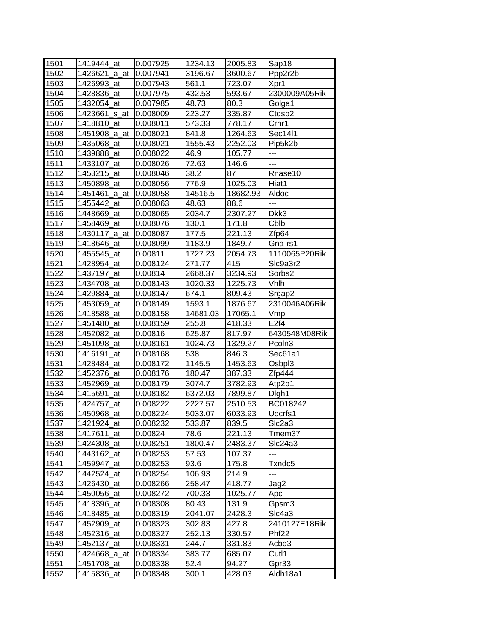| 1501 | 1419444 at     | 0.007925 | 1234.13  | 2005.83  | Sap18              |
|------|----------------|----------|----------|----------|--------------------|
| 1502 | 1426621_a_at   | 0.007941 | 3196.67  | 3600.67  | Ppp2r2b            |
| 1503 | 1426993_at     | 0.007943 | 561.1    | 723.07   | Xpr1               |
| 1504 | 1428836_at     | 0.007975 | 432.53   | 593.67   | 2300009A05Rik      |
| 1505 | 1432054_at     | 0.007985 | 48.73    | 80.3     | Golga1             |
| 1506 | 1423661_s_at   | 0.008009 | 223.27   | 335.87   | Ctdsp2             |
| 1507 | 1418810_at     | 0.008011 | 573.33   | 778.17   | Crhr1              |
| 1508 | 1451908_a_at   | 0.008021 | 841.8    | 1264.63  | Sec14l1            |
| 1509 | 1435068_at     | 0.008021 | 1555.43  | 2252.03  | Pip5k2b            |
| 1510 | 1439888_at     | 0.008022 | 46.9     | 105.77   | ---                |
| 1511 | 1433107_at     | 0.008026 | 72.63    | 146.6    | ---                |
| 1512 | 1453215<br>at  | 0.008046 | 38.2     | 87       | Rnase10            |
| 1513 | 1450898_at     | 0.008056 | 776.9    | 1025.03  | Hiat1              |
| 1514 | 1451461_a_at   | 0.008058 | 14516.5  | 18682.93 | Aldoc              |
| 1515 | 1455442<br>at  | 0.008063 | 48.63    | 88.6     | ---                |
| 1516 | 1448669 at     | 0.008065 | 2034.7   | 2307.27  | Dkk3               |
| 1517 | 1458469_at     | 0.008076 | 130.1    | 171.8    | Cblb               |
| 1518 | 1430117_a_at   | 0.008087 | 177.5    | 221.13   | Zfp64              |
| 1519 | 1418646_at     | 0.008099 | 1183.9   | 1849.7   | Gna-rs1            |
| 1520 | 1455545 at     | 0.00811  | 1727.23  | 2054.73  | 1110065P20Rik      |
| 1521 | 1428954_at     | 0.008124 | 271.77   | 415      | Slc9a3r2           |
| 1522 | 1437197 at     | 0.00814  | 2668.37  | 3234.93  | Sorbs2             |
| 1523 | 1434708_at     | 0.008143 | 1020.33  | 1225.73  | Vhlh               |
| 1524 | 1429884_at     | 0.008147 | 674.1    | 809.43   | Srgap2             |
| 1525 | 1453059_at     | 0.008149 | 1593.1   | 1876.67  | 2310046A06Rik      |
| 1526 | 1418588 at     | 0.008158 | 14681.03 | 17065.1  | Vmp                |
| 1527 | 1451480_at     | 0.008159 | 255.8    | 418.33   | E2f4               |
| 1528 | 1452082_at     | 0.00816  | 625.87   | 817.97   | 6430548M08Rik      |
| 1529 | 1451098_at     | 0.008161 | 1024.73  | 1329.27  | Pcoln <sub>3</sub> |
| 1530 | 1416191<br>at  | 0.008168 | 538      | 846.3    | Sec61a1            |
| 1531 | 1428484_at     | 0.008172 | 1145.5   | 1453.63  | Osbpl3             |
| 1532 | 1452376<br>at  | 0.008176 | 180.47   | 387.33   | Zfp444             |
| 1533 | 1452969<br>at  | 0.008179 | 3074.7   | 3782.93  | Atp2b1             |
| 1534 | 1415691<br>at  | 0.008182 | 6372.03  | 7899.87  | Digh1              |
| 1535 | 1424757<br>_at | 0.008222 | 2227.57  | 2510.53  | BC018242           |
| 1536 | 1450968 at     | 0.008224 | 5033.07  | 6033.93  | Uqcrfs1            |
| 1537 | 1421924_at     | 0.008232 | 533.87   | 839.5    | Slc2a3             |
| 1538 | 1417611_at     | 0.00824  | 78.6     | 221.13   | Tmem37             |
| 1539 | 1424308_at     | 0.008251 | 1800.47  | 2483.37  | Slc24a3            |
| 1540 | 1443162_at     | 0.008253 | 57.53    | 107.37   |                    |
| 1541 | 1459947_at     | 0.008253 | 93.6     | 175.8    | Txndc5             |
| 1542 | 1442524_at     | 0.008254 | 106.93   | 214.9    | ---                |
| 1543 | 1426430 at     | 0.008266 | 258.47   | 418.77   | Jag2               |
| 1544 | 1450056_at     | 0.008272 | 700.33   | 1025.77  | Apc                |
| 1545 | 1418396<br>_at | 0.008308 | 80.43    | 131.9    | Gpsm3              |
| 1546 | 1418485_at     | 0.008319 | 2041.07  | 2428.3   | SIc4a3             |
| 1547 | 1452909_at     | 0.008323 | 302.83   | 427.8    | 2410127E18Rik      |
| 1548 | 1452316_at     | 0.008327 | 252.13   | 330.57   | Phf <sub>22</sub>  |
| 1549 | 1452137_at     | 0.008331 | 244.7    | 331.83   | Acbd3              |
| 1550 | 1424668_a_at   | 0.008334 | 383.77   | 685.07   | Cutl1              |
| 1551 | 1451708_at     | 0.008338 | 52.4     | 94.27    | Gpr33              |
| 1552 | 1415836_at     | 0.008348 | 300.1    | 428.03   | Aldh18a1           |
|      |                |          |          |          |                    |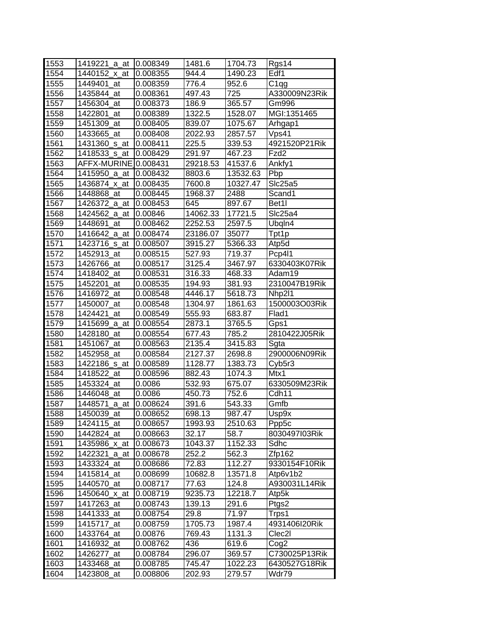| 1553 | 1419221_a_at             | 0.008349 | 1481.6   | 1704.73  | Rgs14              |
|------|--------------------------|----------|----------|----------|--------------------|
| 1554 | 1440152_x_at             | 0.008355 | 944.4    | 1490.23  | Edf1               |
| 1555 | 1449401 at               | 0.008359 | 776.4    | 952.6    | $\overline{C}$ 1qg |
| 1556 | 1435844 at               | 0.008361 | 497.43   | 725      | A330009N23Rik      |
| 1557 | 1456304_at               | 0.008373 | 186.9    | 365.57   | Gm996              |
| 1558 | 1422801 at               | 0.008389 | 1322.5   | 1528.07  | MGI:1351465        |
| 1559 | 1451309_at               | 0.008405 | 839.07   | 1075.67  | Arhgap1            |
| 1560 | 1433665_at               | 0.008408 | 2022.93  | 2857.57  | Vps41              |
| 1561 | 1431360_s_at             | 0.008411 | 225.5    | 339.53   | 4921520P21Rik      |
| 1562 | 1418533_s_at             | 0.008429 | 291.97   | 467.23   | Fzd2               |
| 1563 | AFFX-MURINE              | 0.008431 | 29218.53 | 41537.6  | Ankfy1             |
| 1564 | 1415950_a_at             | 0.008432 | 8803.6   | 13532.63 | Pbp                |
| 1565 | 1436874_x_at             | 0.008435 | 7600.8   | 10327.47 | Slc25a5            |
| 1566 | 1448868 at               | 0.008445 | 1968.37  | 2488     | Scand1             |
| 1567 | 1426372_a_at             | 0.008453 | 645      | 897.67   | Bet <sub>1</sub>   |
| 1568 | 1424562_a_at             | 0.00846  | 14062.33 | 17721.5  | Slc25a4            |
| 1569 | 1448691 at               | 0.008462 | 2252.53  | 2597.5   | Ubqln4             |
| 1570 | 1416642_a_at             | 0.008474 | 23186.07 | 35077    | Tpt1p              |
| 1571 | 1423716 <sub>_S_at</sub> | 0.008507 | 3915.27  | 5366.33  | Atp5d              |
| 1572 | 1452913 at               | 0.008515 | 527.93   | 719.37   | Pcp4I1             |
| 1573 | 1426766_at               | 0.008517 | 3125.4   | 3467.97  | 6330403K07Rik      |
| 1574 | 1418402 at               | 0.008531 | 316.33   | 468.33   | Adam19             |
| 1575 | 1452201_at               | 0.008535 | 194.93   | 381.93   | 2310047B19Rik      |
| 1576 | 1416972<br>at            | 0.008548 | 4446.17  | 5618.73  | Nhp211             |
| 1577 | 1450007_at               | 0.008548 | 1304.97  | 1861.63  | 1500003O03Rik      |
| 1578 | 1424421<br>at            | 0.008549 | 555.93   | 683.87   | Flad1              |
| 1579 | 1415699_a_at             | 0.008554 | 2873.1   | 3765.5   | Gps1               |
| 1580 | 1428180<br>at            | 0.008554 | 677.43   | 785.2    | 2810422J05Rik      |
| 1581 | 1451067_at               | 0.008563 | 2135.4   | 3415.83  | Sgta               |
| 1582 | 1452958<br>at            | 0.008584 | 2127.37  | 2698.8   | 2900006N09Rik      |
| 1583 | 1422186_s_at             | 0.008589 | 1128.77  | 1383.73  | Cyb5r3             |
| 1584 | 1418522<br>at            | 0.008596 | 882.43   | 1074.3   | Mtx1               |
| 1585 | 1453324<br>at            | 0.0086   | 532.93   | 675.07   | 6330509M23Rik      |
| 1586 | 1446048_at               | 0.0086   | 450.73   | 752.6    | Cdh <sub>11</sub>  |
| 1587 | 1448571<br>_a_at         | 0.008624 | 391.6    | 543.33   | Gmfb               |
| 1588 | 1450039_at               | 0.008652 | 698.13   | 987.47   | Usp9x              |
| 1589 | 1424115_at               | 0.008657 | 1993.93  | 2510.63  | Ppp5c              |
| 1590 | 1442824 at               | 0.008663 | 32.17    | 58.7     | 8030497103Rik      |
| 1591 | 1435986_x_at             | 0.008673 | 1043.37  | 1152.33  | Sdhc               |
| 1592 | 1422321_a_at             | 0.008678 | 252.2    | 562.3    | Zfp162             |
| 1593 | 1433324_at               | 0.008686 | 72.83    | 112.27   | 9330154F10Rik      |
| 1594 | 1415814_at               | 0.008699 | 10682.8  | 13571.8  | Atp6v1b2           |
| 1595 | 1440570_at               | 0.008717 | 77.63    | 124.8    | A930031L14Rik      |
| 1596 | 1450640_x_at             | 0.008719 | 9235.73  | 12218.7  | Atp5k              |
| 1597 | 1417263_at               | 0.008743 | 139.13   | 291.6    | Ptgs2              |
| 1598 | 1441333_at               | 0.008754 | 29.8     | 71.97    | Trps1              |
| 1599 | 1415717<br>at            | 0.008759 | 1705.73  | 1987.4   | 4931406I20Rik      |
| 1600 | 1433764_at               | 0.00876  | 769.43   | 1131.3   | Clec2l             |
| 1601 | 1416932<br>at            | 0.008762 | 436      | 619.6    | Cog <sub>2</sub>   |
| 1602 | 1426277_at               | 0.008784 | 296.07   | 369.57   | C730025P13Rik      |
| 1603 | 1433468_at               | 0.008785 | 745.47   | 1022.23  | 6430527G18Rik      |
| 1604 | 1423808_at               | 0.008806 | 202.93   | 279.57   | Wdr79              |
|      |                          |          |          |          |                    |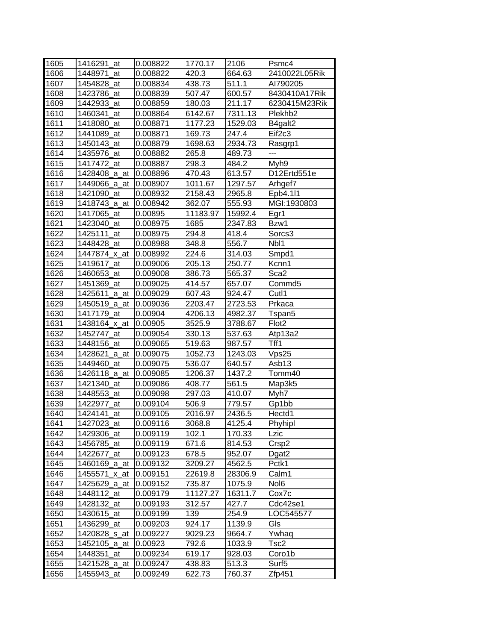| 1605 | 1416291_at       | 0.008822 | 1770.17  | 2106    | Psmc4               |
|------|------------------|----------|----------|---------|---------------------|
| 1606 | 1448971<br>at    | 0.008822 | 420.3    | 664.63  | 2410022L05Rik       |
| 1607 | 1454828_at       | 0.008834 | 438.73   | 511.1   | AI790205            |
| 1608 | 1423786_at       | 0.008839 | 507.47   | 600.57  | 8430410A17Rik       |
| 1609 | 1442933_at       | 0.008859 | 180.03   | 211.17  | 6230415M23Rik       |
| 1610 | 1460341<br>at    | 0.008864 | 6142.67  | 7311.13 | Plekhb <sub>2</sub> |
| 1611 | 1418080<br>at    | 0.008871 | 1177.23  | 1529.03 | B4galt2             |
| 1612 | 1441089 at       | 0.008871 | 169.73   | 247.4   | Eif <sub>2c3</sub>  |
| 1613 | 1450143 at       | 0.008879 | 1698.63  | 2934.73 | Rasgrp1             |
| 1614 | 1435976_at       | 0.008882 | 265.8    | 489.73  | ---                 |
| 1615 | 1417472_at       | 0.008887 | 298.3    | 484.2   | Myh9                |
| 1616 | 1428408_a_at     | 0.008896 | 470.43   | 613.57  | D12Ertd551e         |
| 1617 | 1449066_a_at     | 0.008907 | 1011.67  | 1297.57 | Arhgef7             |
| 1618 | 1421090<br>at    | 0.008932 | 2158.43  | 2965.8  | Epb4.111            |
| 1619 | 1418743_a_at     | 0.008942 | 362.07   | 555.93  | MGI:1930803         |
| 1620 | 1417065_at       | 0.00895  | 11183.97 | 15992.4 | Egr1                |
| 1621 | 1423040 at       | 0.008975 | 1685     | 2347.83 | Bzw1                |
| 1622 | 1425111<br>at    | 0.008975 | 294.8    | 418.4   | Sorcs3              |
| 1623 | 1448428 at       | 0.008988 | 348.8    | 556.7   | Nb <sub>1</sub>     |
| 1624 | 1447874_x_at     | 0.008992 | 224.6    | 314.03  | Smpd1               |
| 1625 | 1419617 at       | 0.009006 | 205.13   | 250.77  | Kcnn1               |
| 1626 | 1460653_at       | 0.009008 | 386.73   | 565.37  | Sca2                |
| 1627 | 1451369_at       | 0.009025 | 414.57   | 657.07  | Commd5              |
| 1628 | 1425611_a_at     | 0.009029 | 607.43   | 924.47  | Cutl1               |
| 1629 | 1450519_a_at     | 0.009036 | 2203.47  | 2723.53 | Prkaca              |
| 1630 | 1417179_at       | 0.00904  | 4206.13  | 4982.37 | Tspan5              |
| 1631 | 1438164_x_at     | 0.00905  | 3525.9   | 3788.67 | Flot <sub>2</sub>   |
| 1632 | 1452747_at       | 0.009054 | 330.13   | 537.63  | Atp13a2             |
| 1633 | 1448156_at       | 0.009065 | 519.63   | 987.57  | Tff1                |
| 1634 | 1428621<br>_a_at | 0.009075 | 1052.73  | 1243.03 | Vps25               |
| 1635 | 1449460<br>at    | 0.009075 | 536.07   | 640.57  | Asb13               |
| 1636 | 1426118_a_at     | 0.009085 | 1206.37  | 1437.2  | Tomm40              |
| 1637 | 1421340_at       | 0.009086 | 408.77   | 561.5   | Map3k5              |
| 1638 | 1448553_at       | 0.009098 | 297.03   | 410.07  | Myh7                |
| 1639 | 1422977_at       | 0.009104 | 506.9    | 779.57  | Gp1bb               |
| 1640 | 1424141 at       | 0.009105 | 2016.97  | 2436.5  | Hectd1              |
| 1641 | 1427023_at       | 0.009116 | 3068.8   | 4125.4  | Phyhipl             |
| 1642 | 1429306_at       | 0.009119 | 102.1    | 170.33  | Lzic                |
| 1643 | 1456785_at       | 0.009119 | 671.6    | 814.53  | Crsp2               |
| 1644 | 1422677 at       | 0.009123 | 678.5    | 952.07  | Dgat2               |
| 1645 | 1460169_a_at     | 0.009132 | 3209.27  | 4562.5  | Pctk1               |
| 1646 | 1455571_x_at     | 0.009151 | 22619.8  | 28306.9 | Calm1               |
| 1647 | 1425629_a_at     | 0.009152 | 735.87   | 1075.9  | Nol6                |
| 1648 | 1448112_at       | 0.009179 | 11127.27 | 16311.7 | Cox7c               |
| 1649 | 1428132_at       | 0.009193 | 312.57   | 427.7   | Cdc42se1            |
| 1650 | 1430615 at       | 0.009199 | 139      | 254.9   | LOC545577           |
| 1651 | 1436299 at       | 0.009203 | 924.17   | 1139.9  | Gls                 |
| 1652 | 1420828_s_at     | 0.009227 | 9029.23  | 9664.7  | Ywhaq               |
| 1653 | 1452105_a_at     | 0.00923  | 792.6    | 1033.9  | Tsc2                |
| 1654 | 1448351_at       | 0.009234 | 619.17   | 928.03  | Coro1b              |
| 1655 | 1421528_a_at     | 0.009247 | 438.83   | 513.3   | Surf5               |
| 1656 | 1455943_at       | 0.009249 | 622.73   | 760.37  | Zfp451              |
|      |                  |          |          |         |                     |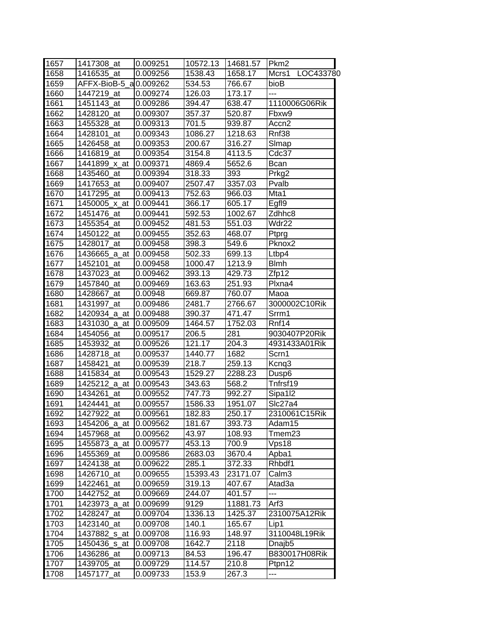| 1657 | 1417308 at             | 0.009251 | 10572.13 | 14681.57 | Pkm <sub>2</sub>    |
|------|------------------------|----------|----------|----------|---------------------|
| 1658 | 1416535 at             | 0.009256 | 1538.43  | 1658.17  | Mcrs1 LOC433780     |
| 1659 | AFFX-BioB-5_a 0.009262 |          | 534.53   | 766.67   | bioB                |
| 1660 | 1447219 at             | 0.009274 | 126.03   | 173.17   | ---                 |
| 1661 | 1451143 at             | 0.009286 | 394.47   | 638.47   | 1110006G06Rik       |
| 1662 | 1428120 at             | 0.009307 | 357.37   | 520.87   | Fbxw9               |
| 1663 | 1455328_at             | 0.009313 | 701.5    | 939.87   | Accn2               |
| 1664 | 1428101_at             | 0.009343 | 1086.27  | 1218.63  | Rnf38               |
| 1665 | 1426458 at             | 0.009353 | 200.67   | 316.27   | Slmap               |
| 1666 | 1416819 at             | 0.009354 | 3154.8   | 4113.5   | Cdc37               |
| 1667 | 1441899_x_at           | 0.009371 | 4869.4   | 5652.6   | Bcan                |
| 1668 | 1435460_at             | 0.009394 | 318.33   | 393      | Prkg2               |
| 1669 | 1417653_at             | 0.009407 | 2507.47  | 3357.03  | Pvalb               |
| 1670 | 1417295 at             | 0.009413 | 752.63   | 966.03   | Mta1                |
| 1671 | 1450005_x_at           | 0.009441 | 366.17   | 605.17   | Egfl9               |
| 1672 | 1451476 at             | 0.009441 | 592.53   | 1002.67  | Zdhhc8              |
| 1673 | 1455354_at             | 0.009452 | 481.53   | 551.03   | Wdr22               |
| 1674 | 1450122 at             | 0.009455 | 352.63   | 468.07   | Ptprg               |
| 1675 | 1428017_at             | 0.009458 | 398.3    | 549.6    | Pknox <sub>2</sub>  |
| 1676 | 1436665_a_at           | 0.009458 | 502.33   | 699.13   | Ltbp4               |
| 1677 | 1452101_at             | 0.009458 | 1000.47  | 1213.9   | <b>Blmh</b>         |
| 1678 | 1437023 at             | 0.009462 | 393.13   | 429.73   | Zfp12               |
| 1679 | 1457840_at             | 0.009469 | 163.63   | 251.93   | Plxna4              |
| 1680 | 1428667_at             | 0.00948  | 669.87   | 760.07   | Maoa                |
| 1681 | 1431997 at             | 0.009486 | 2481.7   | 2766.67  | 3000002C10Rik       |
| 1682 | 1420934_a_at           | 0.009488 | 390.37   | 471.47   | Srrm1               |
| 1683 | 1431030 a at           | 0.009509 | 1464.57  | 1752.03  | Rnf14               |
| 1684 | 1454056 at             | 0.009517 | 206.5    | 281      | 9030407P20Rik       |
| 1685 | 1453932_at             | 0.009526 | 121.17   | 204.3    | 4931433A01Rik       |
| 1686 | 1428718_at             | 0.009537 | 1440.77  | 1682     | Scrn1               |
| 1687 | 1458421<br>at          | 0.009539 | 218.7    | 259.13   | Kcnq3               |
| 1688 | 1415834 at             | 0.009543 | 1529.27  | 2288.23  | Dusp <sub>6</sub>   |
| 1689 | 1425212 a at           | 0.009543 | 343.63   | 568.2    | Tnfrsf19            |
| 1690 | 1434261 at             | 0.009552 | 747.73   | 992.27   | Sipa1 <sub>12</sub> |
| 1691 | 1424441<br>at          | 0.009557 | 1586.33  | 1951.07  | Slc27a4             |
| 1692 | 1427922_at             | 0.009561 | 182.83   | 250.17   | 2310061C15Rik       |
| 1693 | 1454206_a_at           | 0.009562 | 181.67   | 393.73   | Adam15              |
| 1694 | 1457968_at             | 0.009562 | 43.97    | 108.93   | Tmem23              |
| 1695 | 1455873_a_at           | 0.009577 | 453.13   | 700.9    | Vps18               |
| 1696 | 1455369_at             | 0.009586 | 2683.03  | 3670.4   | Apba1               |
| 1697 | 1424138_at             | 0.009622 | 285.1    | 372.33   | Rhbdf1              |
| 1698 | 1426710_at             | 0.009655 | 15393.43 | 23171.07 | Calm <sub>3</sub>   |
| 1699 | 1422461<br>at          | 0.009659 | 319.13   | 407.67   | Atad3a              |
| 1700 | 1442752_at             | 0.009669 | 244.07   | 401.57   | ---                 |
| 1701 | 1423973_a_at           | 0.009699 | 9129     | 11881.73 | Arf3                |
| 1702 | 1428247 at             | 0.009704 | 1336.13  | 1425.37  | 2310075A12Rik       |
| 1703 | 1423140<br>at          | 0.009708 | 140.1    | 165.67   | Lip1                |
| 1704 | 1437882_s_at           | 0.009708 | 116.93   | 148.97   | 3110048L19Rik       |
| 1705 | 1450436_s_at           | 0.009708 | 1642.7   | 2118     | Dnajb <sub>5</sub>  |
| 1706 | 1436286_at             | 0.009713 | 84.53    | 196.47   | B830017H08Rik       |
| 1707 | 1439705_at             | 0.009729 | 114.57   | 210.8    | Ptpn12              |
| 1708 | 1457177_at             | 0.009733 | 153.9    | 267.3    | ---                 |
|      |                        |          |          |          |                     |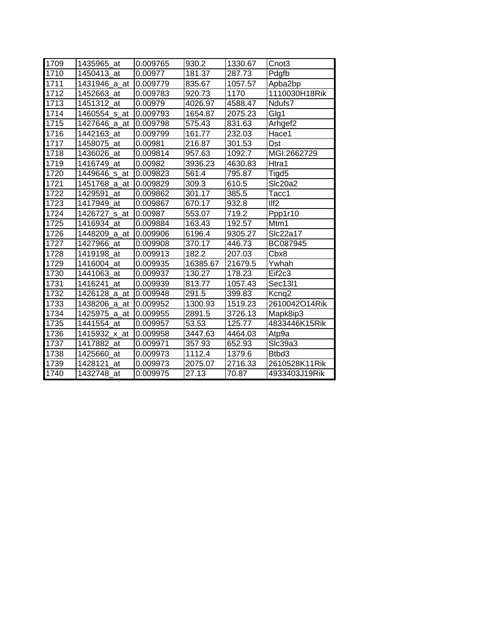| 1709 | 1435965 at    | 0.009765 | 930.2    | 1330.67 | Cnot <sub>3</sub>   |
|------|---------------|----------|----------|---------|---------------------|
| 1710 | 1450413 at    | 0.00977  | 181.37   | 287.73  | Pdgfb               |
| 1711 | 1431946 a at  | 0.009779 | 835.67   | 1057.57 | Apba2bp             |
| 1712 | 1452663 at    | 0.009783 | 920.73   | 1170    | 1110030H18Rik       |
| 1713 | 1451312 at    | 0.00979  | 4026.97  | 4588.47 | Ndufs7              |
| 1714 | 1460554_s_at  | 0.009793 | 1654.87  | 2075.23 | Glg1                |
| 1715 | 1427646 a at  | 0.009798 | 575.43   | 831.63  | Arhgef <sub>2</sub> |
| 1716 | 1442163 at    | 0.009799 | 161.77   | 232.03  | Hace1               |
| 1717 | 1458075<br>at | 0.00981  | 216.87   | 301.53  | Dst                 |
| 1718 | 1436026 at    | 0.009814 | 957.63   | 1092.7  | MGI:2662729         |
| 1719 | 1416749 at    | 0.00982  | 3936.23  | 4630.83 | Htra1               |
| 1720 | 1449646_s_at  | 0.009823 | 561.4    | 795.87  | Tigd5               |
| 1721 | 1451768_a_at  | 0.009829 | 309.3    | 610.5   | Slc20a2             |
| 1722 | 1429591 at    | 0.009862 | 301.17   | 385.5   | Tacc1               |
| 1723 | 1417949 at    | 0.009867 | 670.17   | 932.8   | I/f2                |
| 1724 | 1426727_s_at  | 0.00987  | 553.07   | 719.2   | Ppp1r10             |
| 1725 | 1416934 at    | 0.009884 | 163.43   | 192.57  | Mtm1                |
| 1726 | 1448209 a at  | 0.009906 | 6196.4   | 9305.27 | Slc22a17            |
| 1727 | 1427966 at    | 0.009908 | 370.17   | 446.73  | BC087945            |
| 1728 | 1419198 at    | 0.009913 | 182.2    | 207.03  | Cbx8                |
| 1729 | 1416004 at    | 0.009935 | 16385.67 | 21679.5 | Ywhah               |
| 1730 | 1441063 at    | 0.009937 | 130.27   | 178.23  | Eif <sub>2c3</sub>  |
| 1731 | 1416241 at    | 0.009939 | 813.77   | 1057.43 | Sec13l1             |
| 1732 | 1426128_a_at  | 0.009948 | 291.5    | 399.83  | Kcnq2               |
| 1733 | 1438206_a_at  | 0.009952 | 1300.93  | 1519.23 | 2610042O14Rik       |
| 1734 | 1425975_a_at  | 0.009955 | 2891.5   | 3726.13 | Mapk8ip3            |
| 1735 | 1441554 at    | 0.009957 | 53.53    | 125.77  | 4833446K15Rik       |
| 1736 | 1415932 x at  | 0.009958 | 3447.63  | 4464.03 | Atp9a               |
| 1737 | 1417882 at    | 0.009971 | 357.93   | 652.93  | SIc39a3             |
| 1738 | 1425660 at    | 0.009973 | 1112.4   | 1379.6  | Btbd3               |
| 1739 | 1428121<br>at | 0.009973 | 2075.07  | 2716.33 | 2610528K11Rik       |
| 1740 | 1432748 at    | 0.009975 | 27.13    | 70.87   | 4933403J19Rik       |